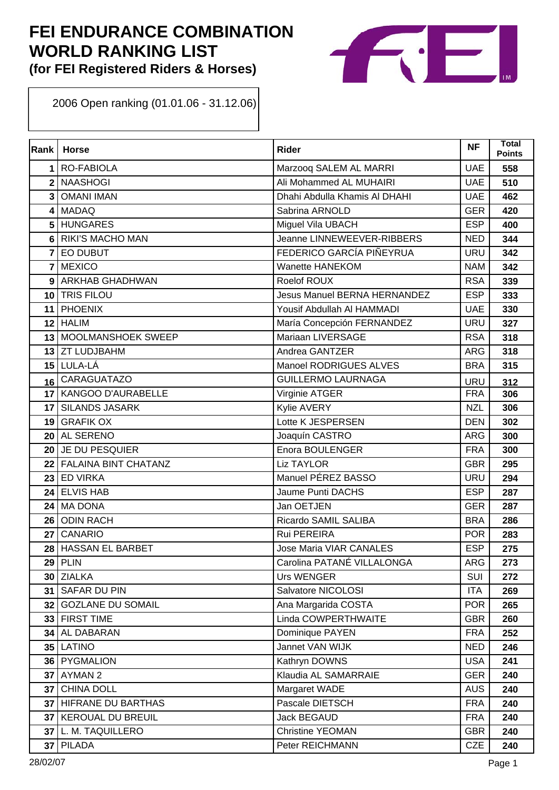# **FEI ENDURANCE COMBINATION WORLD RANKING LIST**

**(for FEI Registered Riders & Horses)**



Open ranking (01.01.06 - 31.12.06)

| Rank            | <b>Horse</b>                | <b>Rider</b>                        | <b>NF</b>  | <b>Total</b><br><b>Points</b> |
|-----------------|-----------------------------|-------------------------------------|------------|-------------------------------|
| 1               | <b>RO-FABIOLA</b>           | Marzooq SALEM AL MARRI              | <b>UAE</b> | 558                           |
| $\mathbf{2}$    | <b>NAASHOGI</b>             | Ali Mohammed AL MUHAIRI             | <b>UAE</b> | 510                           |
| 3               | <b>OMANI IMAN</b>           | Dhahi Abdulla Khamis Al DHAHI       | <b>UAE</b> | 462                           |
| 4               | <b>MADAQ</b>                | Sabrina ARNOLD                      | <b>GER</b> | 420                           |
| 5               | <b>HUNGARES</b>             | Miguel Vila UBACH                   | <b>ESP</b> | 400                           |
| 6               | <b>RIKI'S MACHO MAN</b>     | Jeanne LINNEWEEVER-RIBBERS          | <b>NED</b> | 344                           |
| 7               | <b>EO DUBUT</b>             | FEDERICO GARCÍA PIÑEYRUA            | <b>URU</b> | 342                           |
| $\overline{7}$  | <b>MEXICO</b>               | <b>Wanette HANEKOM</b>              | <b>NAM</b> | 342                           |
| 9               | <b>ARKHAB GHADHWAN</b>      | Roelof ROUX                         | <b>RSA</b> | 339                           |
| 10              | <b>TRIS FILOU</b>           | <b>Jesus Manuel BERNA HERNANDEZ</b> | <b>ESP</b> | 333                           |
| 11              | <b>PHOENIX</b>              | Yousif Abdullah AI HAMMADI          | <b>UAE</b> | 330                           |
| 12              | <b>HALIM</b>                | María Concepción FERNANDEZ          | <b>URU</b> | 327                           |
| 13              | <b>MOOLMANSHOEK SWEEP</b>   | Mariaan LIVERSAGE                   | <b>RSA</b> | 318                           |
|                 | 13 ZT LUDJBAHM              | Andrea GANTZER                      | <b>ARG</b> | 318                           |
|                 | 15 LULA-LÁ                  | Manoel RODRIGUES ALVES              | <b>BRA</b> | 315                           |
| 16              | <b>CARAGUATAZO</b>          | <b>GUILLERMO LAURNAGA</b>           | URU        | 312                           |
|                 | 17 KANGOO D'AURABELLE       | Virginie ATGER                      | <b>FRA</b> | 306                           |
| 17              | <b>SILANDS JASARK</b>       | Kylie AVERY                         | <b>NZL</b> | 306                           |
| 19              | <b>GRAFIK OX</b>            | Lotte K JESPERSEN                   | <b>DEN</b> | 302                           |
| 20              | <b>AL SERENO</b>            | Joaquín CASTRO                      | <b>ARG</b> | 300                           |
| 20              | JE DU PESQUIER              | Enora BOULENGER                     | <b>FRA</b> | 300                           |
| 22              | <b>FALAINA BINT CHATANZ</b> | <b>Liz TAYLOR</b>                   | <b>GBR</b> | 295                           |
| 23              | <b>ED VIRKA</b>             | Manuel PÉREZ BASSO                  | <b>URU</b> | 294                           |
| 24 <sup>1</sup> | <b>ELVIS HAB</b>            | Jaume Punti DACHS                   | <b>ESP</b> | 287                           |
| 24              | <b>MA DONA</b>              | Jan OETJEN                          | <b>GER</b> | 287                           |
| 26              | <b>ODIN RACH</b>            | Ricardo SAMIL SALIBA                | <b>BRA</b> | 286                           |
| 27              | <b>CANARIO</b>              | Rui PEREIRA                         | <b>POR</b> | 283                           |
| 28              | <b>HASSAN EL BARBET</b>     | <b>Jose Maria VIAR CANALES</b>      | <b>ESP</b> | 275                           |
| 29              | <b>PLIN</b>                 | Carolina PATANÉ VILLALONGA          | ARG        | 273                           |
|                 | 30 ZIALKA                   | <b>Urs WENGER</b>                   | SUI        | 272                           |
| 31              | <b>SAFAR DU PIN</b>         | Salvatore NICOLOSI                  | <b>ITA</b> | 269                           |
| 32              | <b>GOZLANE DU SOMAIL</b>    | Ana Margarida COSTA                 | <b>POR</b> | 265                           |
|                 | 33 FIRST TIME               | Linda COWPERTHWAITE                 | <b>GBR</b> | 260                           |
|                 | 34 AL DABARAN               | Dominique PAYEN                     | <b>FRA</b> | 252                           |
| 35              | <b>LATINO</b>               | Jannet VAN WIJK                     | <b>NED</b> | 246                           |
|                 | 36 PYGMALION                | Kathryn DOWNS                       | <b>USA</b> | 241                           |
| 37 <sup>1</sup> | <b>AYMAN 2</b>              | Klaudia AL SAMARRAIE                | <b>GER</b> | 240                           |
| 37 <sup>1</sup> | <b>CHINA DOLL</b>           | Margaret WADE                       | <b>AUS</b> | 240                           |
| 37 <sup>1</sup> | HIFRANE DU BARTHAS          | Pascale DIETSCH                     | <b>FRA</b> | 240                           |
|                 | 37 KEROUAL DU BREUIL        | <b>Jack BEGAUD</b>                  | <b>FRA</b> | 240                           |
| 37 <sup>1</sup> | L. M. TAQUILLERO            | <b>Christine YEOMAN</b>             | <b>GBR</b> | 240                           |
|                 | 37 PILADA                   | Peter REICHMANN                     | <b>CZE</b> | 240                           |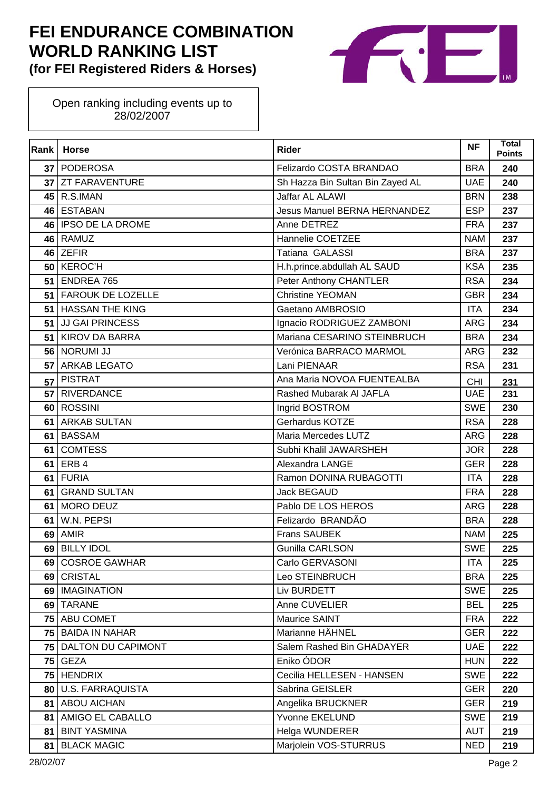

| Rank | <b>Horse</b>             | <b>Rider</b>                        | <b>NF</b>  | Total<br><b>Points</b> |
|------|--------------------------|-------------------------------------|------------|------------------------|
| 37   | PODEROSA                 | Felizardo COSTA BRANDAO             | <b>BRA</b> | 240                    |
| 37   | <b>ZT FARAVENTURE</b>    | Sh Hazza Bin Sultan Bin Zayed AL    | <b>UAE</b> | 240                    |
| 45   | R.S.IMAN                 | Jaffar AL ALAWI                     | <b>BRN</b> | 238                    |
| 46   | <b>ESTABAN</b>           | <b>Jesus Manuel BERNA HERNANDEZ</b> | <b>ESP</b> | 237                    |
| 46   | <b>IPSO DE LA DROME</b>  | Anne DETREZ                         | <b>FRA</b> | 237                    |
|      | 46 RAMUZ                 | Hannelie COETZEE                    | <b>NAM</b> | 237                    |
| 46   | <b>ZEFIR</b>             | Tatiana GALASSI                     | <b>BRA</b> | 237                    |
| 50   | <b>KEROC'H</b>           | H.h.prince.abdullah AL SAUD         | <b>KSA</b> | 235                    |
| 51   | <b>ENDREA 765</b>        | Peter Anthony CHANTLER              | <b>RSA</b> | 234                    |
| 51   | <b>FAROUK DE LOZELLE</b> | <b>Christine YEOMAN</b>             | <b>GBR</b> | 234                    |
| 51   | <b>HASSAN THE KING</b>   | Gaetano AMBROSIO                    | <b>ITA</b> | 234                    |
| 51   | JJ GAI PRINCESS          | Ignacio RODRIGUEZ ZAMBONI           | <b>ARG</b> | 234                    |
| 51   | <b>KIROV DA BARRA</b>    | Mariana CESARINO STEINBRUCH         | <b>BRA</b> | 234                    |
|      | 56 NORUMI JJ             | Verónica BARRACO MARMOL             | <b>ARG</b> | 232                    |
| 57   | <b>ARKAB LEGATO</b>      | Lani PIENAAR                        | <b>RSA</b> | 231                    |
| 57   | <b>PISTRAT</b>           | Ana Maria NOVOA FUENTEALBA          | <b>CHI</b> | 231                    |
| 57   | <b>RIVERDANCE</b>        | Rashed Mubarak AI JAFLA             | <b>UAE</b> | 231                    |
| 60   | <b>ROSSINI</b>           | Ingrid BOSTROM                      | <b>SWE</b> | 230                    |
| 61   | <b>ARKAB SULTAN</b>      | Gerhardus KOTZE                     | <b>RSA</b> | 228                    |
| 61   | <b>BASSAM</b>            | Maria Mercedes LUTZ                 | <b>ARG</b> | 228                    |
| 61   | <b>COMTESS</b>           | Subhi Khalil JAWARSHEH              | <b>JOR</b> | 228                    |
| 61   | ERB 4                    | Alexandra LANGE                     | <b>GER</b> | 228                    |
| 61   | <b>FURIA</b>             | Ramon DONINA RUBAGOTTI              | <b>ITA</b> | 228                    |
| 61   | <b>GRAND SULTAN</b>      | Jack BEGAUD                         | <b>FRA</b> | 228                    |
| 61   | MORO DEUZ                | Pablo DE LOS HEROS                  | <b>ARG</b> | 228                    |
| 61   | W.N. PEPSI               | Felizardo BRANDÃO                   | <b>BRA</b> | 228                    |
| 69   | <b>AMIR</b>              | <b>Frans SAUBEK</b>                 | <b>NAM</b> | 225                    |
| 69   | <b>BILLY IDOL</b>        | <b>Gunilla CARLSON</b>              | <b>SWE</b> | 225                    |
|      | 69 COSROE GAWHAR         | Carlo GERVASONI                     | <b>ITA</b> | 225                    |
| 69   | <b>CRISTAL</b>           | Leo STEINBRUCH                      | <b>BRA</b> | 225                    |
|      | 69   IMAGINATION         | Liv BURDETT                         | <b>SWE</b> | 225                    |
|      | 69 TARANE                | Anne CUVELIER                       | <b>BEL</b> | 225                    |
|      | 75 ABU COMET             | Maurice SAINT                       | <b>FRA</b> | 222                    |
| 75   | <b>BAIDA IN NAHAR</b>    | Marianne HÄHNEL                     | <b>GER</b> | 222                    |
|      | 75 DALTON DU CAPIMONT    | Salem Rashed Bin GHADAYER           | <b>UAE</b> | 222                    |
| 75   | <b>GEZA</b>              | Eniko ÓDOR                          | <b>HUN</b> | 222                    |
| 75   | <b>HENDRIX</b>           | Cecilia HELLESEN - HANSEN           | <b>SWE</b> | 222                    |
| 80   | <b>U.S. FARRAQUISTA</b>  | Sabrina GEISLER                     | <b>GER</b> | 220                    |
| 81   | <b>ABOU AICHAN</b>       | Angelika BRUCKNER                   | <b>GER</b> | 219                    |
| 81   | AMIGO EL CABALLO         | Yvonne EKELUND                      | <b>SWE</b> | 219                    |
| 81   | <b>BINT YASMINA</b>      | Helga WUNDERER                      | <b>AUT</b> | 219                    |
| 81   | <b>BLACK MAGIC</b>       | Marjolein VOS-STURRUS               | <b>NED</b> | 219                    |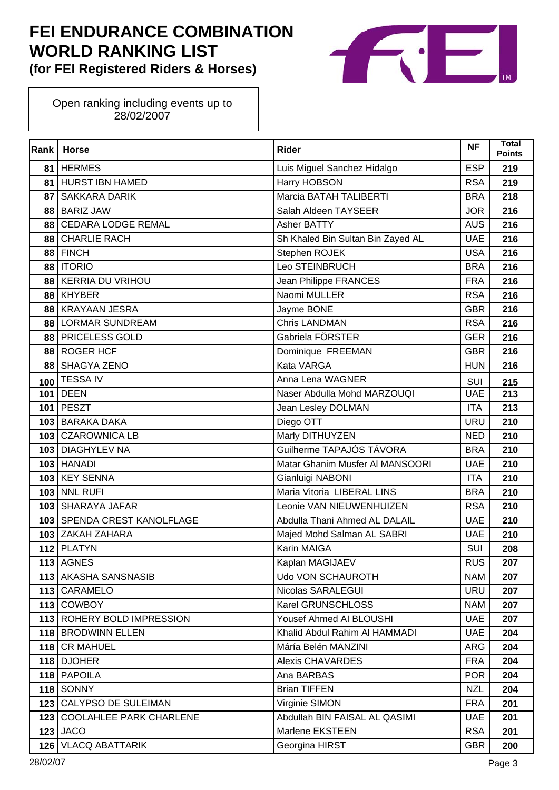

| Rank | <b>Horse</b>                   | <b>Rider</b>                      | <b>NF</b>  | Total<br><b>Points</b> |
|------|--------------------------------|-----------------------------------|------------|------------------------|
| 81   | <b>HERMES</b>                  | Luis Miguel Sanchez Hidalgo       | <b>ESP</b> | 219                    |
| 81   | <b>HURST IBN HAMED</b>         | Harry HOBSON                      | <b>RSA</b> | 219                    |
| 87   | <b>SAKKARA DARIK</b>           | Marcia BATAH TALIBERTI            | <b>BRA</b> | 218                    |
| 88   | <b>BARIZ JAW</b>               | Salah Aldeen TAYSEER              | <b>JOR</b> | 216                    |
| 88   | <b>CEDARA LODGE REMAL</b>      | Asher BATTY                       | <b>AUS</b> | 216                    |
| 88   | <b>CHARLIE RACH</b>            | Sh Khaled Bin Sultan Bin Zayed AL | <b>UAE</b> | 216                    |
| 88   | <b>FINCH</b>                   | Stephen ROJEK                     | <b>USA</b> | 216                    |
| 88   | <b>ITORIO</b>                  | Leo STEINBRUCH                    | <b>BRA</b> | 216                    |
| 88   | <b>KERRIA DU VRIHOU</b>        | Jean Philippe FRANCES             | <b>FRA</b> | 216                    |
| 88   | <b>KHYBER</b>                  | Naomi MULLER                      | <b>RSA</b> | 216                    |
| 88   | <b>KRAYAAN JESRA</b>           | Jayme BONE                        | <b>GBR</b> | 216                    |
| 88   | <b>LORMAR SUNDREAM</b>         | <b>Chris LANDMAN</b>              | <b>RSA</b> | 216                    |
| 88   | PRICELESS GOLD                 | Gabriela FÖRSTER                  | <b>GER</b> | 216                    |
| 88   | <b>ROGER HCF</b>               | Dominique FREEMAN                 | <b>GBR</b> | 216                    |
| 88   | SHAGYA ZENO                    | <b>Kata VARGA</b>                 | <b>HUN</b> | 216                    |
| 100  | <b>TESSA IV</b>                | Anna Lena WAGNER                  | SUI        | 215                    |
| 101  | <b>DEEN</b>                    | Naser Abdulla Mohd MARZOUQI       | <b>UAE</b> | 213                    |
| 101  | <b>PESZT</b>                   | Jean Lesley DOLMAN                | <b>ITA</b> | 213                    |
| 103  | <b>BARAKA DAKA</b>             | Diego OTT                         | <b>URU</b> | 210                    |
|      | 103 CZAROWNICA LB              | Marly DITHUYZEN                   | <b>NED</b> | 210                    |
| 103  | <b>DIAGHYLEV NA</b>            | Guilherme TAPAJÓS TÁVORA          | <b>BRA</b> | 210                    |
|      | <b>103 HANADI</b>              | Matar Ghanim Musfer Al MANSOORI   | <b>UAE</b> | 210                    |
| 103  | <b>KEY SENNA</b>               | Gianluigi NABONI                  | <b>ITA</b> | 210                    |
|      | <b>103 NNL RUFI</b>            | Maria Vitoria LIBERAL LINS        | <b>BRA</b> | 210                    |
| 103  | <b>SHARAYA JAFAR</b>           | Leonie VAN NIEUWENHUIZEN          | <b>RSA</b> | 210                    |
|      | 103 SPENDA CREST KANOLFLAGE    | Abdulla Thani Ahmed AL DALAIL     | <b>UAE</b> | 210                    |
| 103  | ZAKAH ZAHARA                   | Majed Mohd Salman AL SABRI        | <b>UAE</b> | 210                    |
|      | 112 PLATYN                     | Karin MAIGA                       | SUI        | 208                    |
|      | 113 AGNES                      | Kaplan MAGIJAEV                   | <b>RUS</b> | 207                    |
| 113  | AKASHA SANSNASIB               | Udo VON SCHAUROTH                 | <b>NAM</b> | 207                    |
|      | 113 CARAMELO                   | Nicolas SARALEGUI                 | <b>URU</b> | 207                    |
|      | 113 COWBOY                     | Karel GRUNSCHLOSS                 | <b>NAM</b> | 207                    |
|      | 113 ROHERY BOLD IMPRESSION     | Yousef Ahmed AI BLOUSHI           | <b>UAE</b> | 207                    |
|      | 118 BRODWINN ELLEN             | Khalid Abdul Rahim AI HAMMADI     | <b>UAE</b> | 204                    |
|      | 118 CR MAHUEL                  | Máría Belén MANZINI               | <b>ARG</b> | 204                    |
|      | 118 DJOHER                     | <b>Alexis CHAVARDES</b>           | <b>FRA</b> | 204                    |
|      | 118 PAPOILA                    | Ana BARBAS                        | <b>POR</b> | 204                    |
| 118  | <b>SONNY</b>                   | <b>Brian TIFFEN</b>               | <b>NZL</b> | 204                    |
| 123  | CALYPSO DE SULEIMAN            | Virginie SIMON                    | <b>FRA</b> | 201                    |
| 123  | <b>COOLAHLEE PARK CHARLENE</b> | Abdullah BIN FAISAL AL QASIMI     | <b>UAE</b> | 201                    |
|      | $123$ JACO                     | Marlene EKSTEEN                   | <b>RSA</b> | 201                    |
| 126  | <b>VLACQ ABATTARIK</b>         | Georgina HIRST                    | <b>GBR</b> | 200                    |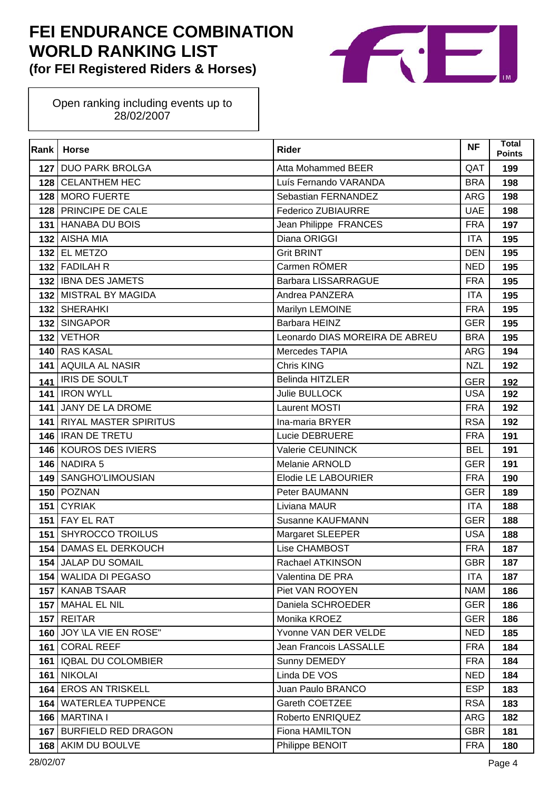

| Rank | <b>Horse</b>                 | <b>Rider</b>                   | <b>NF</b>  | Total<br><b>Points</b> |
|------|------------------------------|--------------------------------|------------|------------------------|
|      | 127 DUO PARK BROLGA          | Atta Mohammed BEER             | QAT        | 199                    |
| 128  | <b>CELANTHEM HEC</b>         | Luís Fernando VARANDA          | <b>BRA</b> | 198                    |
| 128  | <b>MORO FUERTE</b>           | Sebastian FERNANDEZ            | <b>ARG</b> | 198                    |
| 128  | <b>PRINCIPE DE CALE</b>      | <b>Federico ZUBIAURRE</b>      | <b>UAE</b> | 198                    |
|      | 131 HANABA DU BOIS           | Jean Philippe FRANCES          | <b>FRA</b> | 197                    |
|      | 132 AISHA MIA                | Diana ORIGGI                   | <b>ITA</b> | 195                    |
| 132  | <b>EL METZO</b>              | <b>Grit BRINT</b>              | <b>DEN</b> | 195                    |
|      | 132 FADILAH R                | Carmen RÖMER                   | <b>NED</b> | 195                    |
|      | 132   IBNA DES JAMETS        | <b>Barbara LISSARRAGUE</b>     | <b>FRA</b> | 195                    |
|      | 132 MISTRAL BY MAGIDA        | Andrea PANZERA                 | <b>ITA</b> | 195                    |
| 132  | <b>SHERAHKI</b>              | Marilyn LEMOINE                | <b>FRA</b> | 195                    |
| 132  | <b>SINGAPOR</b>              | Barbara HEINZ                  | <b>GER</b> | 195                    |
| 132  | <b>VETHOR</b>                | Leonardo DIAS MOREIRA DE ABREU | <b>BRA</b> | 195                    |
| 140  | <b>RAS KASAL</b>             | Mercedes TAPIA                 | <b>ARG</b> | 194                    |
| 141  | <b>AQUILA AL NASIR</b>       | <b>Chris KING</b>              | <b>NZL</b> | 192                    |
| 141  | IRIS DE SOULT                | Belinda HITZLER                | <b>GER</b> | 192                    |
| 141  | <b>IRON WYLL</b>             | Julie BULLOCK                  | <b>USA</b> | 192                    |
| 141  | JANY DE LA DROME             | Laurent MOSTI                  | <b>FRA</b> | 192                    |
| 141  | <b>RIYAL MASTER SPIRITUS</b> | Ina-maria BRYER                | <b>RSA</b> | 192                    |
|      | 146   IRAN DE TRETU          | Lucie DEBRUERE                 | <b>FRA</b> | 191                    |
|      | 146 KOUROS DES IVIERS        | Valerie CEUNINCK               | <b>BEL</b> | 191                    |
|      | <b>146 NADIRA 5</b>          | Melanie ARNOLD                 | <b>GER</b> | 191                    |
| 149  | SANGHO'LIMOUSIAN             | Elodie LE LABOURIER            | <b>FRA</b> | 190                    |
| 150  | POZNAN                       | Peter BAUMANN                  | <b>GER</b> | 189                    |
| 151  | <b>CYRIAK</b>                | Liviana MAUR                   | <b>ITA</b> | 188                    |
| 151  | <b>FAY EL RAT</b>            | Susanne KAUFMANN               | <b>GER</b> | 188                    |
| 151  | <b>SHYROCCO TROILUS</b>      | Margaret SLEEPER               | <b>USA</b> | 188                    |
| 154  | <b>DAMAS EL DERKOUCH</b>     | Lise CHAMBOST                  | <b>FRA</b> | 187                    |
|      | 154 JALAP DU SOMAIL          | Rachael ATKINSON               | <b>GBR</b> | 187                    |
| 154  | <b>WALIDA DI PEGASO</b>      | Valentina DE PRA               | <b>ITA</b> | 187                    |
|      | 157 KANAB TSAAR              | Piet VAN ROOYEN                | <b>NAM</b> | 186                    |
|      | 157   MAHAL EL NIL           | Daniela SCHROEDER              | <b>GER</b> | 186                    |
| 157  | <b>REITAR</b>                | Monika KROEZ                   | <b>GER</b> | 186                    |
| 160  | JOY \LA VIE EN ROSE"         | Yvonne VAN DER VELDE           | <b>NED</b> | 185                    |
| 161  | <b>CORAL REEF</b>            | Jean Francois LASSALLE         | <b>FRA</b> | 184                    |
| 161  | <b>IQBAL DU COLOMBIER</b>    | Sunny DEMEDY                   | <b>FRA</b> | 184                    |
| 161  | <b>NIKOLAI</b>               | Linda DE VOS                   | <b>NED</b> | 184                    |
| 164  | <b>EROS AN TRISKELL</b>      | Juan Paulo BRANCO              | <b>ESP</b> | 183                    |
|      | 164   WATERLEA TUPPENCE      | Gareth COETZEE                 | <b>RSA</b> | 183                    |
| 166  | <b>MARTINA I</b>             | Roberto ENRIQUEZ               | <b>ARG</b> | 182                    |
| 167  | <b>BURFIELD RED DRAGON</b>   | Fiona HAMILTON                 | <b>GBR</b> | 181                    |
| 168  | AKIM DU BOULVE               | Philippe BENOIT                | <b>FRA</b> | 180                    |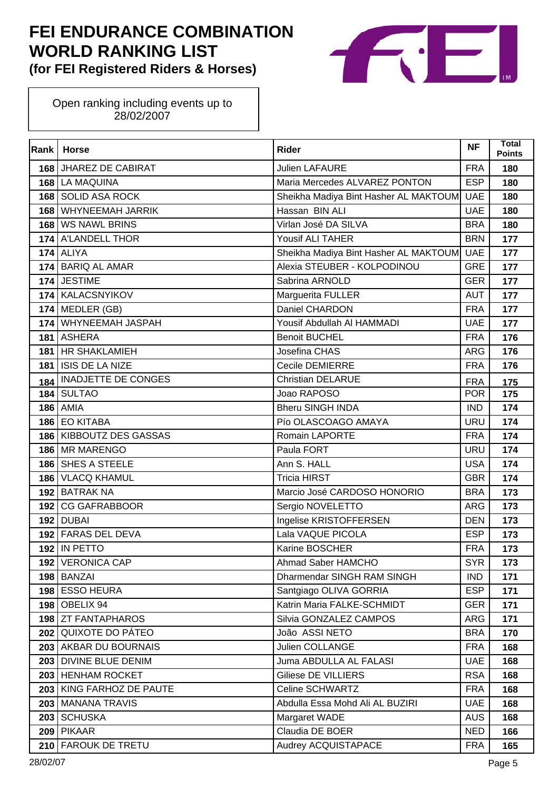

| Rank | <b>Horse</b>               | <b>Rider</b>                          | <b>NF</b>  | <b>Total</b><br><b>Points</b> |
|------|----------------------------|---------------------------------------|------------|-------------------------------|
|      | 168 JHAREZ DE CABIRAT      | <b>Julien LAFAURE</b>                 | <b>FRA</b> | 180                           |
|      | 168 LA MAQUINA             | Maria Mercedes ALVAREZ PONTON         | <b>ESP</b> | 180                           |
| 168  | <b>SOLID ASA ROCK</b>      | Sheikha Madiya Bint Hasher AL MAKTOUM | <b>UAE</b> | 180                           |
| 168  | <b>WHYNEEMAH JARRIK</b>    | Hassan BIN ALI                        | <b>UAE</b> | 180                           |
|      | 168 WS NAWL BRINS          | Virlan José DA SILVA                  | <b>BRA</b> | 180                           |
|      | 174 A'LANDELL THOR         | Yousif ALI TAHER                      | <b>BRN</b> | 177                           |
|      | <b>174 ALIYA</b>           | Sheikha Madiya Bint Hasher AL MAKTOUM | <b>UAE</b> | 177                           |
|      | 174 BARIQ AL AMAR          | Alexia STEUBER - KOLPODINOU           | <b>GRE</b> | 177                           |
|      | 174 JESTIME                | Sabrina ARNOLD                        | <b>GER</b> | 177                           |
|      | 174 KALACSNYIKOV           | Marguerita FULLER                     | <b>AUT</b> | 177                           |
|      | $174$ MEDLER (GB)          | Daniel CHARDON                        | <b>FRA</b> | 177                           |
|      | 174 WHYNEEMAH JASPAH       | Yousif Abdullah Al HAMMADI            | <b>UAE</b> | 177                           |
|      | 181 ASHERA                 | <b>Benoit BUCHEL</b>                  | <b>FRA</b> | 176                           |
|      | 181 HR SHAKLAMIEH          | Josefina CHAS                         | <b>ARG</b> | 176                           |
| 181  | <b>ISIS DE LA NIZE</b>     | Cecile DEMIERRE                       | <b>FRA</b> | 176                           |
| 184  | <b>INADJETTE DE CONGES</b> | <b>Christian DELARUE</b>              | <b>FRA</b> | 175                           |
|      | 184 SULTAO                 | Joao RAPOSO                           | <b>POR</b> | 175                           |
|      | <b>186 AMIA</b>            | <b>Bheru SINGH INDA</b>               | <b>IND</b> | 174                           |
|      | 186 EO KITABA              | Pío OLASCOAGO AMAYA                   | <b>URU</b> | 174                           |
|      | 186   KIBBOUTZ DES GASSAS  | Romain LAPORTE                        | <b>FRA</b> | 174                           |
|      | 186 MR MARENGO             | Paula FORT                            | <b>URU</b> | 174                           |
|      | 186 SHES A STEELE          | Ann S. HALL                           | <b>USA</b> | 174                           |
| 186  | <b>VLACQ KHAMUL</b>        | <b>Tricia HIRST</b>                   | <b>GBR</b> | 174                           |
|      | 192 BATRAK NA              | Marcio José CARDOSO HONORIO           | <b>BRA</b> | 173                           |
| 192  | <b>CG GAFRABBOOR</b>       | Sergio NOVELETTO                      | <b>ARG</b> | 173                           |
|      | <b>192 DUBAI</b>           | Ingelise KRISTOFFERSEN                | <b>DEN</b> | 173                           |
|      | 192 FARAS DEL DEVA         | Lala VAQUE PICOLA                     | <b>ESP</b> | 173                           |
|      | <b>192 IN PETTO</b>        | Karine BOSCHER                        | <b>FRA</b> | 173                           |
|      | 192 VERONICA CAP           | Ahmad Saber HAMCHO                    | SYR        | 173                           |
|      | 198 BANZAI                 | Dharmendar SINGH RAM SINGH            | <b>IND</b> | 171                           |
|      | 198 ESSO HEURA             | Santgiago OLIVA GORRIA                | <b>ESP</b> | 171                           |
|      | <b>198   OBELIX 94</b>     | Katrin Maria FALKE-SCHMIDT            | <b>GER</b> | 171                           |
|      | 198 ZT FANTAPHAROS         | Silvia GONZALEZ CAMPOS                | <b>ARG</b> | 171                           |
|      | 202 QUIXOTE DO PÁTEO       | João ASSI NETO                        | <b>BRA</b> | 170                           |
|      | 203   AKBAR DU BOURNAIS    | Julien COLLANGE                       | <b>FRA</b> | 168                           |
|      | 203 DIVINE BLUE DENIM      | Juma ABDULLA AL FALASI                | <b>UAE</b> | 168                           |
|      | 203 HENHAM ROCKET          | Giliese DE VILLIERS                   | <b>RSA</b> | 168                           |
|      | 203 KING FARHOZ DE PAUTE   | Celine SCHWARTZ                       | <b>FRA</b> | 168                           |
|      | 203 MANANA TRAVIS          | Abdulla Essa Mohd Ali AL BUZIRI       | <b>UAE</b> | 168                           |
|      | 203 SCHUSKA                | Margaret WADE                         | <b>AUS</b> | 168                           |
|      | 209 PIKAAR                 | Claudia DE BOER                       | <b>NED</b> | 166                           |
|      | 210 FAROUK DE TRETU        | Audrey ACQUISTAPACE                   | <b>FRA</b> | 165                           |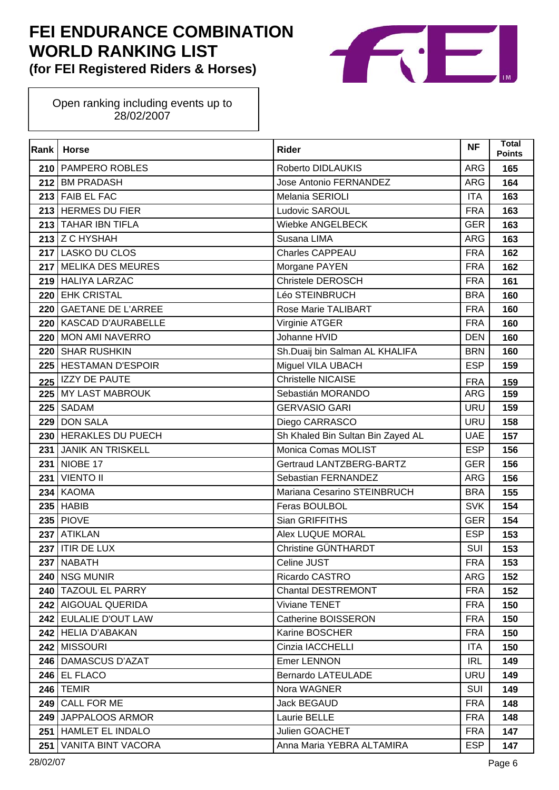

| Rank | <b>Horse</b>              | <b>Rider</b>                      | <b>NF</b>  | Total<br><b>Points</b> |
|------|---------------------------|-----------------------------------|------------|------------------------|
| 210  | <b>PAMPERO ROBLES</b>     | Roberto DIDLAUKIS                 | <b>ARG</b> | 165                    |
|      | 212 BM PRADASH            | Jose Antonio FERNANDEZ            | <b>ARG</b> | 164                    |
| 213  | <b>FAIB EL FAC</b>        | Melania SERIOLI                   | <b>ITA</b> | 163                    |
|      | 213 HERMES DU FIER        | Ludovic SAROUL                    | <b>FRA</b> | 163                    |
|      | 213 TAHAR IBN TIFLA       | Wiebke ANGELBECK                  | <b>GER</b> | 163                    |
|      | 213 Z C HYSHAH            | Susana LIMA                       | <b>ARG</b> | 163                    |
| 217  | <b>LASKO DU CLOS</b>      | Charles CAPPEAU                   | <b>FRA</b> | 162                    |
|      | 217 MELIKA DES MEURES     | Morgane PAYEN                     | <b>FRA</b> | 162                    |
|      | 219 HALIYA LARZAC         | Christele DEROSCH                 | <b>FRA</b> | 161                    |
| 220  | <b>EHK CRISTAL</b>        | Léo STEINBRUCH                    | <b>BRA</b> | 160                    |
| 220  | <b>GAETANE DE L'ARREE</b> | Rose Marie TALIBART               | <b>FRA</b> | 160                    |
| 220  | <b>KASCAD D'AURABELLE</b> | Virginie ATGER                    | <b>FRA</b> | 160                    |
| 220  | <b>MON AMI NAVERRO</b>    | Johanne HVID                      | <b>DEN</b> | 160                    |
| 220  | <b>SHAR RUSHKIN</b>       | Sh.Duaij bin Salman AL KHALIFA    | <b>BRN</b> | 160                    |
| 225  | <b>HESTAMAN D'ESPOIR</b>  | Miguel VILA UBACH                 | <b>ESP</b> | 159                    |
| 225  | <b>IZZY DE PAUTE</b>      | <b>Christelle NICAISE</b>         | <b>FRA</b> | 159                    |
|      | 225 MY LAST MABROUK       | Sebastián MORANDO                 | <b>ARG</b> | 159                    |
| 225  | SADAM                     | <b>GERVASIO GARI</b>              | <b>URU</b> | 159                    |
| 229  | <b>DON SALA</b>           | Diego CARRASCO                    | <b>URU</b> | 158                    |
| 230  | <b>HERAKLES DU PUECH</b>  | Sh Khaled Bin Sultan Bin Zayed AL | <b>UAE</b> | 157                    |
| 231  | <b>JANIK AN TRISKELL</b>  | Monica Comas MOLIST               | <b>ESP</b> | 156                    |
| 231  | NIOBE 17                  | Gertraud LANTZBERG-BARTZ          | <b>GER</b> | 156                    |
| 231  | <b>VIENTO II</b>          | Sebastian FERNANDEZ               | <b>ARG</b> | 156                    |
| 234  | <b>KAOMA</b>              | Mariana Cesarino STEINBRUCH       | <b>BRA</b> | 155                    |
| 235  | <b>HABIB</b>              | Feras BOULBOL                     | <b>SVK</b> | 154                    |
|      | <b>235 PIOVE</b>          | Sian GRIFFITHS                    | <b>GER</b> | 154                    |
| 237  | <b>ATIKLAN</b>            | <b>Alex LUQUE MORAL</b>           | <b>ESP</b> | 153                    |
| 237  | <b>ITIR DE LUX</b>        | Christine GÜNTHARDT               | SUI        | 153                    |
|      | 237 NABATH                | Celine JUST                       | <b>FRA</b> | 153                    |
| 240  | <b>NSG MUNIR</b>          | Ricardo CASTRO                    | ARG        | 152                    |
|      | 240 TAZOUL EL PARRY       | <b>Chantal DESTREMONT</b>         | <b>FRA</b> | 152                    |
|      | 242 AIGOUAL QUERIDA       | Viviane TENET                     | <b>FRA</b> | 150                    |
|      | 242 EULALIE D'OUT LAW     | Catherine BOISSERON               | <b>FRA</b> | 150                    |
|      | 242   HELIA D'ABAKAN      | Karine BOSCHER                    | <b>FRA</b> | 150                    |
|      | 242 MISSOURI              | Cinzia IACCHELLI                  | <b>ITA</b> | 150                    |
|      | 246 DAMASCUS D'AZAT       | <b>Emer LENNON</b>                | <b>IRL</b> | 149                    |
|      | 246 EL FLACO              | Bernardo LATEULADE                | <b>URU</b> | 149                    |
| 246  | <b>TEMIR</b>              | Nora WAGNER                       | SUI        | 149                    |
| 249  | <b>CALL FOR ME</b>        | Jack BEGAUD                       | <b>FRA</b> | 148                    |
| 249  | JAPPALOOS ARMOR           | Laurie BELLE                      | <b>FRA</b> | 148                    |
| 251  | HAMLET EL INDALO          | Julien GOACHET                    | <b>FRA</b> | 147                    |
| 251  | <b>VANITA BINT VACORA</b> | Anna Maria YEBRA ALTAMIRA         | <b>ESP</b> | 147                    |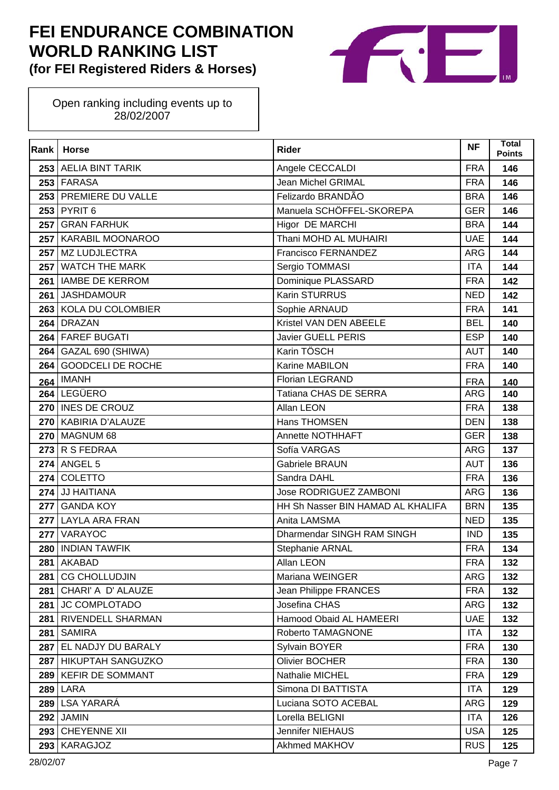

| Rank | <b>Horse</b>             | <b>Rider</b>                      | <b>NF</b>  | <b>Total</b><br><b>Points</b> |
|------|--------------------------|-----------------------------------|------------|-------------------------------|
|      | 253 AELIA BINT TARIK     | Angele CECCALDI                   | <b>FRA</b> | 146                           |
|      | 253 FARASA               | Jean Michel GRIMAL                | <b>FRA</b> | 146                           |
| 253  | PREMIERE DU VALLE        | Felizardo BRANDÃO                 | <b>BRA</b> | 146                           |
| 253  | PYRIT <sub>6</sub>       | Manuela SCHÖFFEL-SKOREPA          | <b>GER</b> | 146                           |
| 257  | <b>GRAN FARHUK</b>       | Higor DE MARCHI                   | <b>BRA</b> | 144                           |
|      | 257 KARABIL MOONAROO     | Thani MOHD AL MUHAIRI             | <b>UAE</b> | 144                           |
| 257  | MZ LUDJLECTRA            | Francisco FERNANDEZ               | <b>ARG</b> | 144                           |
| 257  | <b>WATCH THE MARK</b>    | Sergio TOMMASI                    | <b>ITA</b> | 144                           |
| 261  | <b>IAMBE DE KERROM</b>   | Dominique PLASSARD                | <b>FRA</b> | 142                           |
| 261  | <b>JASHDAMOUR</b>        | Karin STURRUS                     | <b>NED</b> | 142                           |
| 263  | KOLA DU COLOMBIER        | Sophie ARNAUD                     | <b>FRA</b> | 141                           |
| 264  | <b>DRAZAN</b>            | Kristel VAN DEN ABEELE            | <b>BEL</b> | 140                           |
|      | 264 FAREF BUGATI         | Javier GUELL PERIS                | <b>ESP</b> | 140                           |
| 264  | GAZAL 690 (SHIWA)        | Karin TÖSCH                       | <b>AUT</b> | 140                           |
| 264  | <b>GOODCELI DE ROCHE</b> | Karine MABILON                    | <b>FRA</b> | 140                           |
| 264  | <b>IMANH</b>             | Florian LEGRAND                   | <b>FRA</b> | 140                           |
|      | 264 LEGÜERO              | Tatiana CHAS DE SERRA             | <b>ARG</b> | 140                           |
|      | 270   INES DE CROUZ      | Allan LEON                        | <b>FRA</b> | 138                           |
| 270  | KABIRIA D'ALAUZE         | Hans THOMSEN                      | <b>DEN</b> | 138                           |
|      | <b>270 MAGNUM 68</b>     | Annette NOTHHAFT                  | <b>GER</b> | 138                           |
|      | $273$ R S FEDRAA         | Sofía VARGAS                      | <b>ARG</b> | 137                           |
| 274  | ANGEL 5                  | <b>Gabriele BRAUN</b>             | <b>AUT</b> | 136                           |
| 274  | COLETTO                  | Sandra DAHL                       | <b>FRA</b> | 136                           |
| 274  | JJ HAITIANA              | Jose RODRIGUEZ ZAMBONI            | <b>ARG</b> | 136                           |
| 277  | <b>GANDA KOY</b>         | HH Sh Nasser BIN HAMAD AL KHALIFA | <b>BRN</b> | 135                           |
|      | 277 LAYLA ARA FRAN       | Anita LAMSMA                      | <b>NED</b> | 135                           |
| 277  | VARAYOC                  | Dharmendar SINGH RAM SINGH        | <b>IND</b> | 135                           |
| 280  | <b>INDIAN TAWFIK</b>     | Stephanie ARNAL                   | <b>FRA</b> | 134                           |
| 281  | AKABAD                   | Allan LEON                        | <b>FRA</b> | 132                           |
| 281  | <b>CG CHOLLUDJIN</b>     | Mariana WEINGER                   | <b>ARG</b> | 132                           |
| 281  | CHARI' A D' ALAUZE       | Jean Philippe FRANCES             | <b>FRA</b> | 132                           |
| 281  | <b>JC COMPLOTADO</b>     | Josefina CHAS                     | <b>ARG</b> | 132                           |
| 281  | <b>RIVENDELL SHARMAN</b> | Hamood Obaid AL HAMEERI           | <b>UAE</b> | 132                           |
| 281  | <b>SAMIRA</b>            | Roberto TAMAGNONE                 | <b>ITA</b> | 132                           |
| 287  | EL NADJY DU BARALY       | Sylvain BOYER                     | <b>FRA</b> | 130                           |
|      | 287 HIKUPTAH SANGUZKO    | <b>Olivier BOCHER</b>             | <b>FRA</b> | 130                           |
| 289  | <b>KEFIR DE SOMMANT</b>  | Nathalie MICHEL                   | <b>FRA</b> | 129                           |
| 289  | LARA                     | Simona DI BATTISTA                | <b>ITA</b> | 129                           |
| 289  | LSA YARARÁ               | Luciana SOTO ACEBAL               | <b>ARG</b> | 129                           |
| 292  | <b>JAMIN</b>             | Lorella BELIGNI                   | <b>ITA</b> | 126                           |
| 293  | <b>CHEYENNE XII</b>      | Jennifer NIEHAUS                  | <b>USA</b> | 125                           |
| 293  | <b>KARAGJOZ</b>          | Akhmed MAKHOV                     | <b>RUS</b> | 125                           |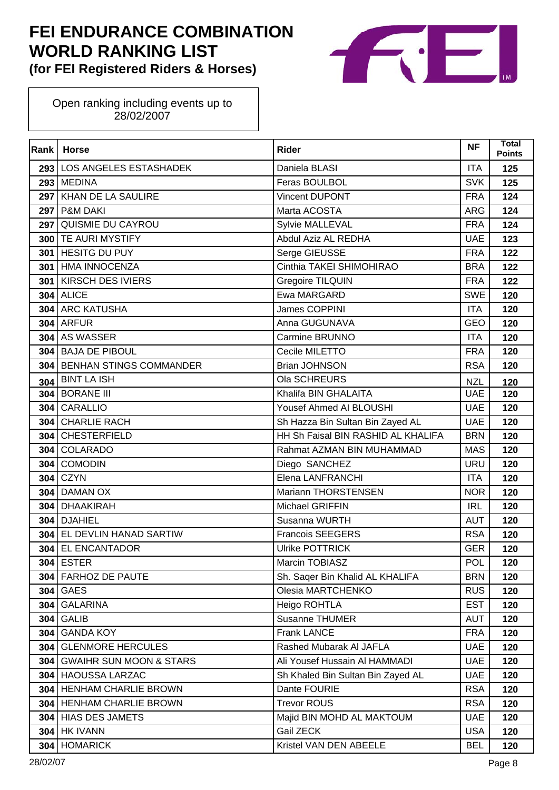

| Rank | <b>Horse</b>                       | <b>Rider</b>                       | <b>NF</b>  | <b>Total</b><br><b>Points</b> |
|------|------------------------------------|------------------------------------|------------|-------------------------------|
|      | 293   LOS ANGELES ESTASHADEK       | Daniela BLASI                      | <b>ITA</b> | 125                           |
|      | 293 MEDINA                         | Feras BOULBOL                      | <b>SVK</b> | 125                           |
| 297  | <b>KHAN DE LA SAULIRE</b>          | Vincent DUPONT                     | <b>FRA</b> | 124                           |
|      | <b>297 P&amp;M DAKI</b>            | Marta ACOSTA                       | <b>ARG</b> | 124                           |
| 297  | QUISMIE DU CAYROU                  | Sylvie MALLEVAL                    | <b>FRA</b> | 124                           |
|      | 300 TE AURI MYSTIFY                | Abdul Aziz AL REDHA                | <b>UAE</b> | 123                           |
| 301  | <b>HESITG DU PUY</b>               | Serge GIEUSSE                      | <b>FRA</b> | 122                           |
|      | 301 HMA INNOCENZA                  | Cinthia TAKEI SHIMOHIRAO           | <b>BRA</b> | 122                           |
| 301  | <b>KIRSCH DES IVIERS</b>           | Gregoire TILQUIN                   | <b>FRA</b> | 122                           |
|      | <b>304 ALICE</b>                   | Ewa MARGARD                        | <b>SWE</b> | 120                           |
| 304  | <b>ARC KATUSHA</b>                 | James COPPINI                      | <b>ITA</b> | 120                           |
|      | <b>304 ARFUR</b>                   | Anna GUGUNAVA                      | <b>GEO</b> | 120                           |
| 304  | AS WASSER                          | Carmine BRUNNO                     | <b>ITA</b> | 120                           |
|      | 304 BAJA DE PIBOUL                 | Cecile MILETTO                     | <b>FRA</b> | 120                           |
| 304  | <b>BENHAN STINGS COMMANDER</b>     | <b>Brian JOHNSON</b>               | <b>RSA</b> | 120                           |
| 304  | <b>BINT LA ISH</b>                 | Ola SCHREURS                       | <b>NZL</b> | 120                           |
| 304  | <b>BORANE III</b>                  | Khalifa BIN GHALAITA               | <b>UAE</b> | 120                           |
| 304  | CARALLIO                           | Yousef Ahmed AI BLOUSHI            | <b>UAE</b> | 120                           |
| 304  | <b>CHARLIE RACH</b>                | Sh Hazza Bin Sultan Bin Zayed AL   | <b>UAE</b> | 120                           |
| 304  | <b>CHESTERFIELD</b>                | HH Sh Faisal BIN RASHID AL KHALIFA | <b>BRN</b> | 120                           |
| 304  | COLARADO                           | Rahmat AZMAN BIN MUHAMMAD          | <b>MAS</b> | 120                           |
| 304  | <b>COMODIN</b>                     | Diego SANCHEZ                      | <b>URU</b> | 120                           |
| 304  | <b>CZYN</b>                        | Elena LANFRANCHI                   | <b>ITA</b> | 120                           |
| 304  | <b>DAMAN OX</b>                    | Mariann THORSTENSEN                | <b>NOR</b> | 120                           |
| 304  | <b>DHAAKIRAH</b>                   | Michael GRIFFIN                    | <b>IRL</b> | 120                           |
| 304  | <b>DJAHIEL</b>                     | Susanna WURTH                      | <b>AUT</b> | 120                           |
| 304  | EL DEVLIN HANAD SARTIW             | <b>Francois SEEGERS</b>            | <b>RSA</b> | 120                           |
| 304  | <b>EL ENCANTADOR</b>               | <b>Ulrike POTTRICK</b>             | <b>GER</b> | 120                           |
|      | <b>304 ESTER</b>                   | Marcin TOBIASZ                     | <b>POL</b> | 120                           |
| 304  | <b>FARHOZ DE PAUTE</b>             | Sh. Saqer Bin Khalid AL KHALIFA    | <b>BRN</b> | 120                           |
|      | 304 GAES                           | Olesia MARTCHENKO                  | <b>RUS</b> | 120                           |
| 304  | <b>GALARINA</b>                    | Heigo ROHTLA                       | <b>EST</b> | 120                           |
| 304  | <b>GALIB</b>                       | Susanne THUMER                     | <b>AUT</b> | 120                           |
| 304  | <b>GANDA KOY</b>                   | <b>Frank LANCE</b>                 | <b>FRA</b> | 120                           |
| 304  | <b>GLENMORE HERCULES</b>           | Rashed Mubarak Al JAFLA            | <b>UAE</b> | 120                           |
| 304  | <b>GWAIHR SUN MOON &amp; STARS</b> | Ali Yousef Hussain Al HAMMADI      | <b>UAE</b> | 120                           |
| 304  | <b>HAOUSSA LARZAC</b>              | Sh Khaled Bin Sultan Bin Zayed AL  | <b>UAE</b> | 120                           |
|      | 304   HENHAM CHARLIE BROWN         | Dante FOURIE                       | <b>RSA</b> | 120                           |
| 304  | <b>HENHAM CHARLIE BROWN</b>        | <b>Trevor ROUS</b>                 | <b>RSA</b> | 120                           |
|      | 304 HIAS DES JAMETS                | Majid BIN MOHD AL MAKTOUM          | <b>UAE</b> | 120                           |
|      | <b>304   HK IVANN</b>              | Gail ZECK                          | <b>USA</b> | 120                           |
| 304  | <b>HOMARICK</b>                    | Kristel VAN DEN ABEELE             | <b>BEL</b> | 120                           |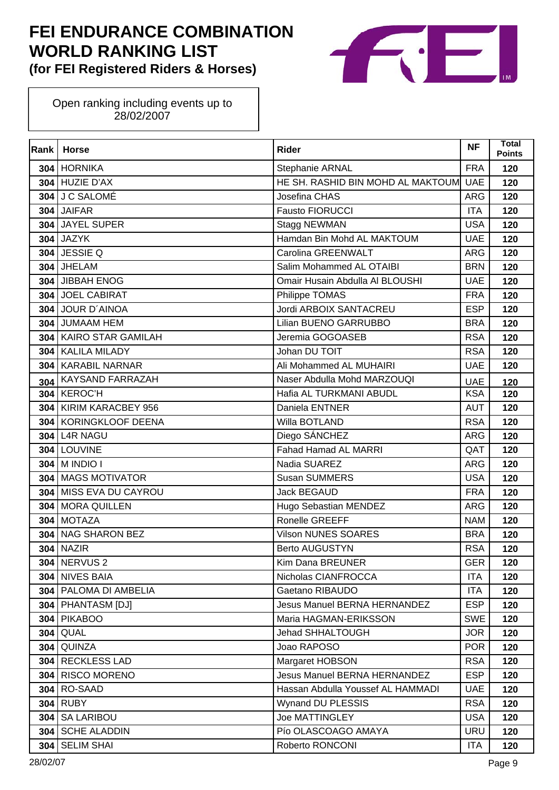

| Rank | <b>Horse</b>            | <b>Rider</b>                          | <b>NF</b>  | Total<br><b>Points</b> |
|------|-------------------------|---------------------------------------|------------|------------------------|
|      | 304 HORNIKA             | Stephanie ARNAL                       | <b>FRA</b> | 120                    |
|      | $304$ HUZIE D'AX        | HE SH. RASHID BIN MOHD AL MAKTOUM UAE |            | 120                    |
| 304  | J C SALOMÉ              | Josefina CHAS                         | <b>ARG</b> | 120                    |
|      | 304 JAIFAR              | Fausto FIORUCCI                       | <b>ITA</b> | 120                    |
|      | 304 JAYEL SUPER         | Stagg NEWMAN                          | <b>USA</b> | 120                    |
|      | <b>304 JAZYK</b>        | Hamdan Bin Mohd AL MAKTOUM            | <b>UAE</b> | 120                    |
|      | 304 JESSIE Q            | Carolina GREENWALT                    | <b>ARG</b> | 120                    |
|      | 304 JHELAM              | Salim Mohammed AL OTAIBI              | <b>BRN</b> | 120                    |
|      | 304 JIBBAH ENOG         | Omair Husain Abdulla Al BLOUSHI       | <b>UAE</b> | 120                    |
|      | 304 JOEL CABIRAT        | Philippe TOMAS                        | <b>FRA</b> | 120                    |
|      | 304 JOUR D'AINOA        | Jordi ARBOIX SANTACREU                | <b>ESP</b> | 120                    |
|      | 304 JUMAAM HEM          | Lilian BUENO GARRUBBO                 | <b>BRA</b> | 120                    |
|      | 304 KAIRO STAR GAMILAH  | Jeremia GOGOASEB                      | <b>RSA</b> | 120                    |
|      | 304 KALILA MILADY       | Johan DU TOIT                         | <b>RSA</b> | 120                    |
| 304  | <b>KARABIL NARNAR</b>   | Ali Mohammed AL MUHAIRI               | <b>UAE</b> | 120                    |
| 304  | <b>KAYSAND FARRAZAH</b> | Naser Abdulla Mohd MARZOUQI           | <b>UAE</b> | 120                    |
|      | 304 KEROC'H             | Hafia AL TURKMANI ABUDL               | <b>KSA</b> | 120                    |
|      | 304 KIRIM KARACBEY 956  | Daniela ENTNER                        | <b>AUT</b> | 120                    |
| 304  | KORINGKLOOF DEENA       | Willa BOTLAND                         | <b>RSA</b> | 120                    |
|      | 304 L4R NAGU            | Diego SÁNCHEZ                         | <b>ARG</b> | 120                    |
|      | 304 LOUVINE             | Fahad Hamad AL MARRI                  | QAT        | 120                    |
|      | 304 M INDIO I           | Nadia SUAREZ                          | <b>ARG</b> | 120                    |
| 304  | <b>MAGS MOTIVATOR</b>   | <b>Susan SUMMERS</b>                  | <b>USA</b> | 120                    |
|      | 304 MISS EVA DU CAYROU  | <b>Jack BEGAUD</b>                    | <b>FRA</b> | 120                    |
|      | 304 MORA QUILLEN        | Hugo Sebastian MENDEZ                 | <b>ARG</b> | 120                    |
|      | 304 MOTAZA              | Ronelle GREEFF                        | <b>NAM</b> | 120                    |
| 304  | NAG SHARON BEZ          | <b>Vilson NUNES SOARES</b>            | <b>BRA</b> | 120                    |
| 304  | <b>NAZIR</b>            | <b>Berto AUGUSTYN</b>                 | <b>RSA</b> | 120                    |
|      | <b>304   NERVUS 2</b>   | Kim Dana BREUNER                      | <b>GER</b> | 120                    |
| 304  | <b>NIVES BAIA</b>       | Nicholas CIANFROCCA                   | <b>ITA</b> | 120                    |
|      | 304   PALOMA DI AMBELIA | Gaetano RIBAUDO                       | <b>ITA</b> | 120                    |
|      | 304   PHANTASM [DJ]     | Jesus Manuel BERNA HERNANDEZ          | <b>ESP</b> | 120                    |
| 304  | <b>PIKABOO</b>          | Maria HAGMAN-ERIKSSON                 | <b>SWE</b> | 120                    |
|      | <b>304 QUAL</b>         | Jehad SHHALTOUGH                      | <b>JOR</b> | 120                    |
| 304  | QUINZA                  | Joao RAPOSO                           | <b>POR</b> | 120                    |
|      | 304 RECKLESS LAD        | Margaret HOBSON                       | <b>RSA</b> | 120                    |
| 304  | <b>RISCO MORENO</b>     | <b>Jesus Manuel BERNA HERNANDEZ</b>   | <b>ESP</b> | 120                    |
|      | <b>304 RO-SAAD</b>      | Hassan Abdulla Youssef AL HAMMADI     | <b>UAE</b> | 120                    |
| 304  | <b>RUBY</b>             | Wynand DU PLESSIS                     | <b>RSA</b> | 120                    |
| 304  | <b>SA LARIBOU</b>       | <b>Joe MATTINGLEY</b>                 | <b>USA</b> | 120                    |
| 304  | <b>SCHE ALADDIN</b>     | Pío OLASCOAGO AMAYA                   | <b>URU</b> | 120                    |
| 304  | <b>SELIM SHAI</b>       | Roberto RONCONI                       | <b>ITA</b> | 120                    |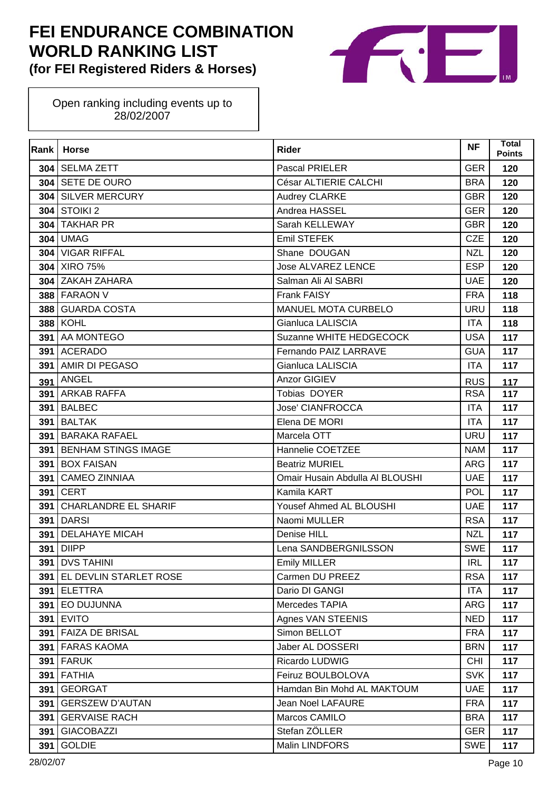

| Rank | <b>Horse</b>                | <b>Rider</b>                    | <b>NF</b>  | <b>Total</b><br><b>Points</b> |
|------|-----------------------------|---------------------------------|------------|-------------------------------|
|      | 304 SELMA ZETT              | Pascal PRIELER                  | <b>GER</b> | 120                           |
|      | 304 SETE DE OURO            | César ALTIERIE CALCHI           | <b>BRA</b> | 120                           |
| 304  | <b>SILVER MERCURY</b>       | Audrey CLARKE                   | <b>GBR</b> | 120                           |
| 304  | <b>STOIKI 2</b>             | Andrea HASSEL                   | <b>GER</b> | 120                           |
|      | 304 TAKHAR PR               | Sarah KELLEWAY                  | <b>GBR</b> | 120                           |
| 304  | <b>UMAG</b>                 | Emil STEFEK                     | <b>CZE</b> | 120                           |
| 304  | <b>VIGAR RIFFAL</b>         | Shane DOUGAN                    | <b>NZL</b> | 120                           |
|      | 304 XIRO 75%                | <b>Jose ALVAREZ LENCE</b>       | <b>ESP</b> | 120                           |
|      | 304 ZAKAH ZAHARA            | Salman Ali Al SABRI             | <b>UAE</b> | 120                           |
|      | <b>388 FARAON V</b>         | Frank FAISY                     | <b>FRA</b> | 118                           |
| 388  | <b>GUARDA COSTA</b>         | <b>MANUEL MOTA CURBELO</b>      | <b>URU</b> | 118                           |
|      | <b>388 KOHL</b>             | Gianluca LALISCIA               | <b>ITA</b> | 118                           |
| 391  | AA MONTEGO                  | Suzanne WHITE HEDGECOCK         | <b>USA</b> | 117                           |
|      | 391 ACERADO                 | Fernando PAIZ LARRAVE           | <b>GUA</b> | 117                           |
| 391  | AMIR DI PEGASO              | Gianluca LALISCIA               | <b>ITA</b> | 117                           |
| 391  | <b>ANGEL</b>                | Anzor GIGIEV                    | <b>RUS</b> | 117                           |
| 391  | <b>ARKAB RAFFA</b>          | Tobias DOYER                    | <b>RSA</b> | 117                           |
| 391  | <b>BALBEC</b>               | Jose' CIANFROCCA                | <b>ITA</b> | 117                           |
| 391  | <b>BALTAK</b>               | Elena DE MORI                   | <b>ITA</b> | 117                           |
| 391  | <b>BARAKA RAFAEL</b>        | Marcela OTT                     | <b>URU</b> | 117                           |
| 391  | <b>BENHAM STINGS IMAGE</b>  | Hannelie COETZEE                | <b>NAM</b> | 117                           |
| 391  | <b>BOX FAISAN</b>           | <b>Beatriz MURIEL</b>           | <b>ARG</b> | 117                           |
| 391  | <b>CAMEO ZINNIAA</b>        | Omair Husain Abdulla Al BLOUSHI | <b>UAE</b> | 117                           |
| 391  | <b>CERT</b>                 | Kamila KART                     | <b>POL</b> | 117                           |
| 391  | <b>CHARLANDRE EL SHARIF</b> | Yousef Ahmed AL BLOUSHI         | <b>UAE</b> | 117                           |
| 391  | <b>DARSI</b>                | Naomi MULLER                    | <b>RSA</b> | 117                           |
| 391  | <b>DELAHAYE MICAH</b>       | Denise HILL                     | <b>NZL</b> | 117                           |
| 391  | <b>DIIPP</b>                | Lena SANDBERGNILSSON            | <b>SWE</b> | 117                           |
|      | 391   DVS TAHINI            | <b>Emily MILLER</b>             | <b>IRL</b> | 117                           |
| 391  | EL DEVLIN STARLET ROSE      | Carmen DU PREEZ                 | <b>RSA</b> | 117                           |
| 391  | <b>ELETTRA</b>              | Dario DI GANGI                  | <b>ITA</b> | 117                           |
| 391  | <b>EO DUJUNNA</b>           | Mercedes TAPIA                  | <b>ARG</b> | 117                           |
| 391  | <b>EVITO</b>                | Agnes VAN STEENIS               | <b>NED</b> | 117                           |
| 391  | <b>FAIZA DE BRISAL</b>      | Simon BELLOT                    | <b>FRA</b> | 117                           |
| 391  | <b>FARAS KAOMA</b>          | Jaber AL DOSSERI                | <b>BRN</b> | 117                           |
| 391  | <b>FARUK</b>                | Ricardo LUDWIG                  | <b>CHI</b> | 117                           |
| 391  | <b>FATHIA</b>               | Feiruz BOULBOLOVA               | <b>SVK</b> | 117                           |
| 391  | <b>GEORGAT</b>              | Hamdan Bin Mohd AL MAKTOUM      | <b>UAE</b> | 117                           |
| 391  | <b>GERSZEW D'AUTAN</b>      | Jean Noel LAFAURE               | <b>FRA</b> | 117                           |
| 391  | <b>GERVAISE RACH</b>        | Marcos CAMILO                   | <b>BRA</b> | 117                           |
| 391  | <b>GIACOBAZZI</b>           | Stefan ZÖLLER                   | <b>GER</b> | 117                           |
| 391  | <b>GOLDIE</b>               | Malin LINDFORS                  | <b>SWE</b> | 117                           |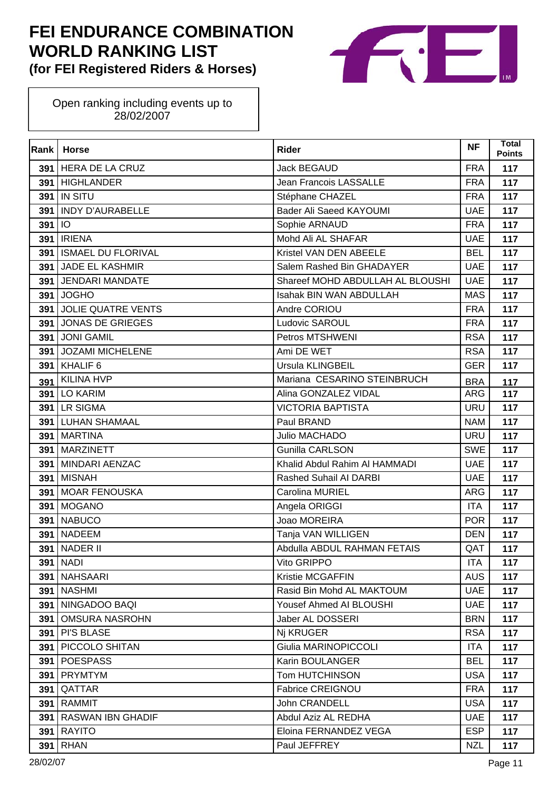

| Rank | <b>Horse</b>              | <b>Rider</b>                     | <b>NF</b>  | Total<br><b>Points</b> |
|------|---------------------------|----------------------------------|------------|------------------------|
|      | 391 HERA DE LA CRUZ       | Jack BEGAUD                      | <b>FRA</b> | 117                    |
|      | 391 HIGHLANDER            | Jean Francois LASSALLE           | <b>FRA</b> | 117                    |
| 391  | <b>IN SITU</b>            | Stéphane CHAZEL                  | <b>FRA</b> | 117                    |
| 391  | <b>INDY D'AURABELLE</b>   | Bader Ali Saeed KAYOUMI          | <b>UAE</b> | 117                    |
| 391  | <b>IO</b>                 | Sophie ARNAUD                    | <b>FRA</b> | 117                    |
| 391  | <b>IRIENA</b>             | Mohd Ali AL SHAFAR               | <b>UAE</b> | 117                    |
| 391  | <b>ISMAEL DU FLORIVAL</b> | Kristel VAN DEN ABEELE           | <b>BEL</b> | 117                    |
| 391  | <b>JADE EL KASHMIR</b>    | Salem Rashed Bin GHADAYER        | <b>UAE</b> | 117                    |
| 391  | <b>JENDARI MANDATE</b>    | Shareef MOHD ABDULLAH AL BLOUSHI | <b>UAE</b> | 117                    |
| 391  | <b>JOGHO</b>              | Isahak BIN WAN ABDULLAH          | <b>MAS</b> | 117                    |
| 391  | <b>JOLIE QUATRE VENTS</b> | Andre CORIOU                     | <b>FRA</b> | 117                    |
| 391  | JONAS DE GRIEGES          | Ludovic SAROUL                   | <b>FRA</b> | 117                    |
|      | 391 JONI GAMIL            | Petros MTSHWENI                  | <b>RSA</b> | 117                    |
| 391  | JOZAMI MICHELENE          | Ami DE WET                       | <b>RSA</b> | 117                    |
| 391  | KHALIF <sub>6</sub>       | Ursula KLINGBEIL                 | <b>GER</b> | 117                    |
| 391  | <b>KILINA HVP</b>         | Mariana CESARINO STEINBRUCH      | <b>BRA</b> | 117                    |
| 391  | <b>LO KARIM</b>           | Alina GONZALEZ VIDAL             | <b>ARG</b> | 117                    |
|      | 391 LR SIGMA              | <b>VICTORIA BAPTISTA</b>         | <b>URU</b> | 117                    |
| 391  | <b>LUHAN SHAMAAL</b>      | Paul BRAND                       | <b>NAM</b> | 117                    |
| 391  | <b>MARTINA</b>            | Julio MACHADO                    | <b>URU</b> | 117                    |
| 391  | <b>MARZINETT</b>          | Gunilla CARLSON                  | <b>SWE</b> | 117                    |
|      | 391 MINDARI AENZAC        | Khalid Abdul Rahim AI HAMMADI    | <b>UAE</b> | 117                    |
| 391  | <b>MISNAH</b>             | Rashed Suhail AI DARBI           | <b>UAE</b> | 117                    |
| 391  | <b>MOAR FENOUSKA</b>      | Carolina MURIEL                  | <b>ARG</b> | 117                    |
| 391  | <b>MOGANO</b>             | Angela ORIGGI                    | <b>ITA</b> | 117                    |
| 391  | <b>NABUCO</b>             | Joao MOREIRA                     | <b>POR</b> | 117                    |
| 391  | <b>NADEEM</b>             | Tanja VAN WILLIGEN               | <b>DEN</b> | 117                    |
| 391  | <b>NADER II</b>           | Abdulla ABDUL RAHMAN FETAIS      | QAT        | 117                    |
|      | <b>391   NADI</b>         | Vito GRIPPO                      | <b>ITA</b> | 117                    |
| 391  | <b>NAHSAARI</b>           | Kristie MCGAFFIN                 | <b>AUS</b> | 117                    |
|      | 391   NASHMI              | Rasid Bin Mohd AL MAKTOUM        | <b>UAE</b> | 117                    |
| 391  | NINGADOO BAQI             | Yousef Ahmed AI BLOUSHI          | <b>UAE</b> | 117                    |
| 391  | <b>OMSURA NASROHN</b>     | Jaber AL DOSSERI                 | <b>BRN</b> | 117                    |
| 391  | <b>PI'S BLASE</b>         | Nj KRUGER                        | <b>RSA</b> | 117                    |
| 391  | PICCOLO SHITAN            | Giulia MARINOPICCOLI             | <b>ITA</b> | 117                    |
| 391  | <b>POESPASS</b>           | Karin BOULANGER                  | <b>BEL</b> | 117                    |
| 391  | <b>PRYMTYM</b>            | <b>Tom HUTCHINSON</b>            | <b>USA</b> | 117                    |
| 391  | QATTAR                    | <b>Fabrice CREIGNOU</b>          | <b>FRA</b> | 117                    |
| 391  | RAMMIT                    | John CRANDELL                    | <b>USA</b> | 117                    |
| 391  | <b>RASWAN IBN GHADIF</b>  | Abdul Aziz AL REDHA              | <b>UAE</b> | 117                    |
| 391  | <b>RAYITO</b>             | Eloina FERNANDEZ VEGA            | <b>ESP</b> | 117                    |
| 391  | <b>RHAN</b>               | Paul JEFFREY                     | <b>NZL</b> | 117                    |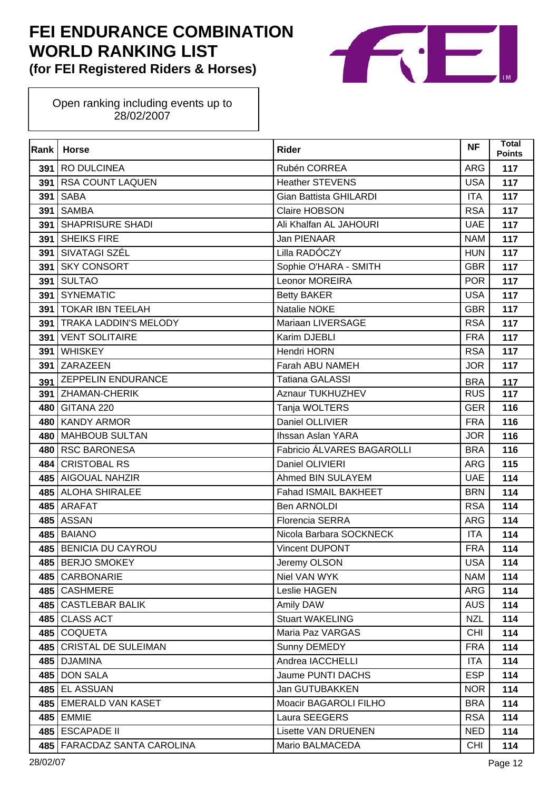

| Rank | <b>Horse</b>                  | <b>Rider</b>                  | <b>NF</b>  | <b>Total</b><br><b>Points</b> |
|------|-------------------------------|-------------------------------|------------|-------------------------------|
| 391  | RO DULCINEA                   | Rubén CORREA                  | <b>ARG</b> | 117                           |
| 391  | <b>RSA COUNT LAQUEN</b>       | <b>Heather STEVENS</b>        | <b>USA</b> | 117                           |
| 391  | <b>SABA</b>                   | <b>Gian Battista GHILARDI</b> | <b>ITA</b> | 117                           |
| 391  | <b>SAMBA</b>                  | Claire HOBSON                 | <b>RSA</b> | 117                           |
| 391  | <b>SHAPRISURE SHADI</b>       | Ali Khalfan AL JAHOURI        | <b>UAE</b> | 117                           |
| 391  | <b>SHEIKS FIRE</b>            | Jan PIENAAR                   | <b>NAM</b> | 117                           |
| 391  | SIVATAGI SZÉL                 | Lilla RADÓCZY                 | <b>HUN</b> | 117                           |
| 391  | <b>SKY CONSORT</b>            | Sophie O'HARA - SMITH         | <b>GBR</b> | 117                           |
| 391  | <b>SULTAO</b>                 | Leonor MOREIRA                | <b>POR</b> | 117                           |
| 391  | <b>SYNEMATIC</b>              | <b>Betty BAKER</b>            | <b>USA</b> | 117                           |
| 391  | <b>TOKAR IBN TEELAH</b>       | Natalie NOKE                  | <b>GBR</b> | 117                           |
| 391  | <b>TRAKA LADDIN'S MELODY</b>  | Mariaan LIVERSAGE             | <b>RSA</b> | 117                           |
| 391  | <b>VENT SOLITAIRE</b>         | Karim DJEBLI                  | <b>FRA</b> | 117                           |
| 391  | <b>WHISKEY</b>                | Hendri HORN                   | <b>RSA</b> | 117                           |
| 391  | ZARAZEEN                      | Farah ABU NAMEH               | <b>JOR</b> | 117                           |
| 391  | <b>ZEPPELIN ENDURANCE</b>     | <b>Tatiana GALASSI</b>        | <b>BRA</b> | 117                           |
|      | 391 ZHAMAN-CHERIK             | Aznaur TUKHUZHEV              | <b>RUS</b> | 117                           |
|      | 480 GITANA 220                | Tanja WOLTERS                 | <b>GER</b> | 116                           |
| 480  | <b>KANDY ARMOR</b>            | Daniel OLLIVIER               | <b>FRA</b> | 116                           |
| 480  | MAHBOUB SULTAN                | Ihssan Aslan YARA             | <b>JOR</b> | 116                           |
| 480  | <b>RSC BARONESA</b>           | Fabricio ÁLVARES BAGAROLLI    | <b>BRA</b> | 116                           |
| 484  | <b>CRISTOBAL RS</b>           | Daniel OLIVIERI               | <b>ARG</b> | 115                           |
|      | 485 AIGOUAL NAHZIR            | Ahmed BIN SULAYEM             | <b>UAE</b> | 114                           |
|      | 485 ALOHA SHIRALEE            | Fahad ISMAIL BAKHEET          | <b>BRN</b> | 114                           |
|      | 485 ARAFAT                    | Ben ARNOLDI                   | <b>RSA</b> | 114                           |
|      | 485 ASSAN                     | <b>Florencia SERRA</b>        | ARG        | 114                           |
| 485  | <b>BAIANO</b>                 | Nicola Barbara SOCKNECK       | <b>ITA</b> | 114                           |
|      | 485 BENICIA DU CAYROU         | Vincent DUPONT                | <b>FRA</b> | 114                           |
|      | 485 BERJO SMOKEY              | Jeremy OLSON                  | <b>USA</b> | 114                           |
|      | 485 CARBONARIE                | Niel VAN WYK                  | <b>NAM</b> | 114                           |
|      | 485 CASHMERE                  | Leslie HAGEN                  | ARG        | 114                           |
|      | 485 CASTLEBAR BALIK           | Amily DAW                     | <b>AUS</b> | 114                           |
|      | 485 CLASS ACT                 | <b>Stuart WAKELING</b>        | <b>NZL</b> | 114                           |
|      | 485 COQUETA                   | Maria Paz VARGAS              | <b>CHI</b> | 114                           |
|      | 485 CRISTAL DE SULEIMAN       | Sunny DEMEDY                  | <b>FRA</b> | 114                           |
|      | 485   DJAMINA                 | Andrea IACCHELLI              | <b>ITA</b> | 114                           |
|      | 485 DON SALA                  | Jaume PUNTI DACHS             | <b>ESP</b> | 114                           |
|      | 485 EL ASSUAN                 | Jan GUTUBAKKEN                | <b>NOR</b> | 114                           |
|      | 485 EMERALD VAN KASET         | Moacir BAGAROLI FILHO         | <b>BRA</b> | 114                           |
|      | 485 EMMIE                     | Laura SEEGERS                 | <b>RSA</b> | 114                           |
|      | 485 ESCAPADE II               | <b>Lisette VAN DRUENEN</b>    | <b>NED</b> | 114                           |
|      | 485   FARACDAZ SANTA CAROLINA | Mario BALMACEDA               | <b>CHI</b> | 114                           |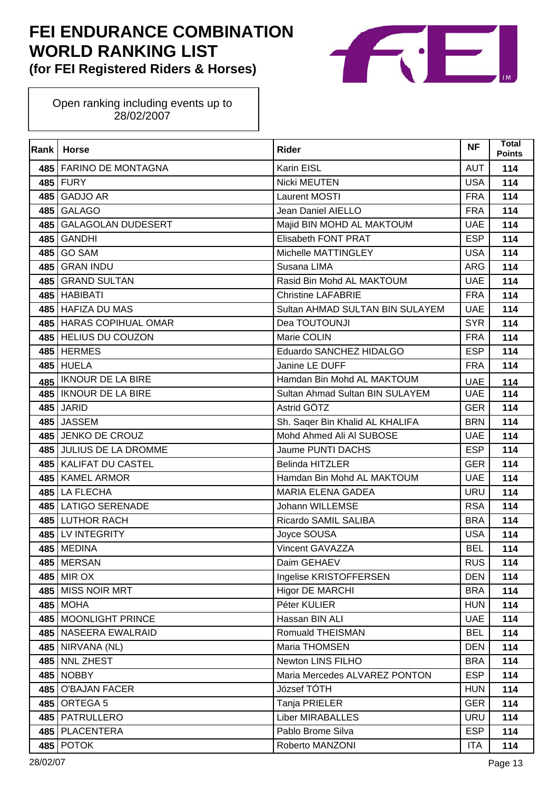

| Rank | <b>Horse</b>              | <b>Rider</b>                    | <b>NF</b>  | Total<br><b>Points</b> |
|------|---------------------------|---------------------------------|------------|------------------------|
|      | 485   FARINO DE MONTAGNA  | Karin EISL                      | <b>AUT</b> | 114                    |
|      | 485 FURY                  | Nicki MEUTEN                    | <b>USA</b> | 114                    |
| 485  | <b>GADJO AR</b>           | Laurent MOSTI                   | <b>FRA</b> | 114                    |
| 485  | <b>GALAGO</b>             | Jean Daniel AIELLO              | <b>FRA</b> | 114                    |
| 485  | <b>GALAGOLAN DUDESERT</b> | Majid BIN MOHD AL MAKTOUM       | <b>UAE</b> | 114                    |
| 485  | <b>GANDHI</b>             | Elisabeth FONT PRAT             | <b>ESP</b> | 114                    |
| 485  | <b>GO SAM</b>             | Michelle MATTINGLEY             | <b>USA</b> | 114                    |
| 485  | <b>GRAN INDU</b>          | Susana LIMA                     | <b>ARG</b> | 114                    |
|      | 485 GRAND SULTAN          | Rasid Bin Mohd AL MAKTOUM       | <b>UAE</b> | 114                    |
|      | 485 HABIBATI              | <b>Christine LAFABRIE</b>       | <b>FRA</b> | 114                    |
|      | 485 HAFIZA DU MAS         | Sultan AHMAD SULTAN BIN SULAYEM | <b>UAE</b> | 114                    |
|      | 485 HARAS COPIHUAL OMAR   | Dea TOUTOUNJI                   | <b>SYR</b> | 114                    |
|      | 485 HELIUS DU COUZON      | Marie COLIN                     | <b>FRA</b> | 114                    |
|      | 485 HERMES                | Eduardo SANCHEZ HIDALGO         | <b>ESP</b> | 114                    |
| 485  | <b>HUELA</b>              | Janine LE DUFF                  | <b>FRA</b> | 114                    |
| 485  | <b>IKNOUR DE LA BIRE</b>  | Hamdan Bin Mohd AL MAKTOUM      | <b>UAE</b> | 114                    |
|      | 485   IKNOUR DE LA BIRE   | Sultan Ahmad Sultan BIN SULAYEM | <b>UAE</b> | 114                    |
| 485  | <b>JARID</b>              | Astrid GÖTZ                     | <b>GER</b> | 114                    |
| 485  | <b>JASSEM</b>             | Sh. Saqer Bin Khalid AL KHALIFA | <b>BRN</b> | 114                    |
|      | 485 JENKO DE CROUZ        | Mohd Ahmed Ali Al SUBOSE        | <b>UAE</b> | 114                    |
|      | 485 JULIUS DE LA DROMME   | Jaume PUNTI DACHS               | <b>ESP</b> | 114                    |
| 485  | <b>KALIFAT DU CASTEL</b>  | Belinda HITZLER                 | <b>GER</b> | 114                    |
| 485  | <b>KAMEL ARMOR</b>        | Hamdan Bin Mohd AL MAKTOUM      | <b>UAE</b> | 114                    |
|      | 485 LA FLECHA             | <b>MARIA ELENA GADEA</b>        | <b>URU</b> | 114                    |
|      | 485 LATIGO SERENADE       | Johann WILLEMSE                 | <b>RSA</b> | 114                    |
|      | 485 LUTHOR RACH           | Ricardo SAMIL SALIBA            | <b>BRA</b> | 114                    |
| 485  | LV INTEGRITY              | Joyce SOUSA                     | <b>USA</b> | 114                    |
|      | 485 MEDINA                | Vincent GAVAZZA                 | <b>BEL</b> | 114                    |
|      | 485 MERSAN                | Daim GEHAEV                     | <b>RUS</b> | 114                    |
|      | 485 MIR OX                | Ingelise KRISTOFFERSEN          | <b>DEN</b> | 114                    |
|      | 485 MISS NOIR MRT         | <b>Higor DE MARCHI</b>          | <b>BRA</b> | 114                    |
|      | <b>485 MOHA</b>           | Péter KULIER                    | <b>HUN</b> | 114                    |
|      | 485 MOONLIGHT PRINCE      | Hassan BIN ALI                  | <b>UAE</b> | 114                    |
|      | 485 NASEERA EWALRAID      | Romuald THEISMAN                | <b>BEL</b> | 114                    |
|      | 485 NIRVANA (NL)          | Maria THOMSEN                   | <b>DEN</b> | 114                    |
|      | 485 NNL ZHEST             | Newton LINS FILHO               | <b>BRA</b> | 114                    |
| 485  | <b>NOBBY</b>              | Maria Mercedes ALVAREZ PONTON   | <b>ESP</b> | 114                    |
| 485  | <b>O'BAJAN FACER</b>      | József TÓTH                     | <b>HUN</b> | 114                    |
|      | 485 ORTEGA 5              | Tanja PRIELER                   | <b>GER</b> | 114                    |
|      | 485   PATRULLERO          | <b>Liber MIRABALLES</b>         | <b>URU</b> | 114                    |
|      | 485   PLACENTERA          | Pablo Brome Silva               | <b>ESP</b> | 114                    |
|      | <b>485 POTOK</b>          | Roberto MANZONI                 | <b>ITA</b> | 114                    |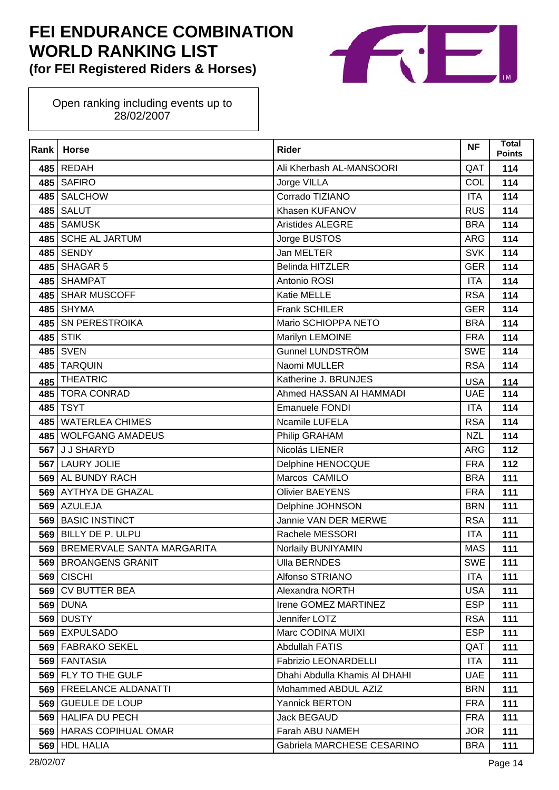

| Rank | <b>Horse</b>               | <b>Rider</b>                  | <b>NF</b>  | <b>Total</b><br><b>Points</b> |
|------|----------------------------|-------------------------------|------------|-------------------------------|
| 485  | <b>REDAH</b>               | Ali Kherbash AL-MANSOORI      | QAT        | 114                           |
| 485  | <b>SAFIRO</b>              | Jorge VILLA                   | COL        | 114                           |
| 485  | <b>SALCHOW</b>             | Corrado TIZIANO               | <b>ITA</b> | 114                           |
| 485  | <b>SALUT</b>               | Khasen KUFANOV                | <b>RUS</b> | 114                           |
| 485  | <b>SAMUSK</b>              | Aristides ALEGRE              | <b>BRA</b> | 114                           |
| 485  | <b>SCHE AL JARTUM</b>      | Jorge BUSTOS                  | <b>ARG</b> | 114                           |
| 485  | <b>SENDY</b>               | Jan MELTER                    | <b>SVK</b> | 114                           |
| 485  | <b>SHAGAR 5</b>            | Belinda HITZLER               | <b>GER</b> | 114                           |
| 485  | <b>SHAMPAT</b>             | Antonio ROSI                  | <b>ITA</b> | 114                           |
| 485  | <b>SHAR MUSCOFF</b>        | Katie MELLE                   | <b>RSA</b> | 114                           |
| 485  | <b>SHYMA</b>               | Frank SCHILER                 | <b>GER</b> | 114                           |
| 485  | <b>SN PERESTROIKA</b>      | Mario SCHIOPPA NETO           | <b>BRA</b> | 114                           |
| 485  | <b>STIK</b>                | Marilyn LEMOINE               | <b>FRA</b> | 114                           |
| 485  | <b>SVEN</b>                | <b>Gunnel LUNDSTRÖM</b>       | <b>SWE</b> | 114                           |
| 485  | <b>TARQUIN</b>             | Naomi MULLER                  | <b>RSA</b> | 114                           |
| 485  | <b>THEATRIC</b>            | Katherine J. BRUNJES          | <b>USA</b> | 114                           |
| 485  | <b>TORA CONRAD</b>         | Ahmed HASSAN AI HAMMADI       | <b>UAE</b> | 114                           |
| 485  | <b>TSYT</b>                | <b>Emanuele FONDI</b>         | <b>ITA</b> | 114                           |
| 485  | <b>WATERLEA CHIMES</b>     | Ncamile LUFELA                | <b>RSA</b> | 114                           |
| 485  | <b>WOLFGANG AMADEUS</b>    | Philip GRAHAM                 | <b>NZL</b> | 114                           |
| 567  | J J SHARYD                 | Nicolás LIENER                | <b>ARG</b> | 112                           |
| 567  | <b>LAURY JOLIE</b>         | Delphine HENOCQUE             | <b>FRA</b> | 112                           |
| 569  | AL BUNDY RACH              | Marcos CAMILO                 | <b>BRA</b> | 111                           |
| 569  | AYTHYA DE GHAZAL           | <b>Olivier BAEYENS</b>        | <b>FRA</b> | 111                           |
| 569  | <b>AZULEJA</b>             | Delphine JOHNSON              | <b>BRN</b> | 111                           |
| 569  | <b>BASIC INSTINCT</b>      | Jannie VAN DER MERWE          | <b>RSA</b> | 111                           |
| 569  | BILLY DE P. ULPU           | Rachele MESSORI               | <b>ITA</b> | 111                           |
| 569  | BREMERVALE SANTA MARGARITA | Norlaily BUNIYAMIN            | <b>MAS</b> | 111                           |
|      | 569 BROANGENS GRANIT       | <b>Ulla BERNDES</b>           | <b>SWE</b> | 111                           |
| 569  | <b>CISCHI</b>              | Alfonso STRIANO               | <b>ITA</b> | 111                           |
| 569  | <b>CV BUTTER BEA</b>       | Alexandra NORTH               | <b>USA</b> | 111                           |
|      | <b>569 DUNA</b>            | Irene GOMEZ MARTINEZ          | <b>ESP</b> | 111                           |
| 569  | <b>DUSTY</b>               | Jennifer LOTZ                 | <b>RSA</b> | 111                           |
| 569  | <b>EXPULSADO</b>           | Marc CODINA MUIXI             | <b>ESP</b> | 111                           |
|      | 569   FABRAKO SEKEL        | Abdullah FATIS                | QAT        | 111                           |
| 569  | <b>FANTASIA</b>            | <b>Fabrizio LEONARDELLI</b>   | <b>ITA</b> | 111                           |
| 569  | FLY TO THE GULF            | Dhahi Abdulla Khamis AI DHAHI | <b>UAE</b> | 111                           |
| 569  | <b>FREELANCE ALDANATTI</b> | Mohammed ABDUL AZIZ           | <b>BRN</b> | 111                           |
|      | 569 GUEULE DE LOUP         | <b>Yannick BERTON</b>         | <b>FRA</b> | 111                           |
|      | 569 HALIFA DU PECH         | Jack BEGAUD                   | <b>FRA</b> | 111                           |
|      | 569   HARAS COPIHUAL OMAR  | Farah ABU NAMEH               | <b>JOR</b> | 111                           |
| 569  | <b>HDL HALIA</b>           | Gabriela MARCHESE CESARINO    | <b>BRA</b> | 111                           |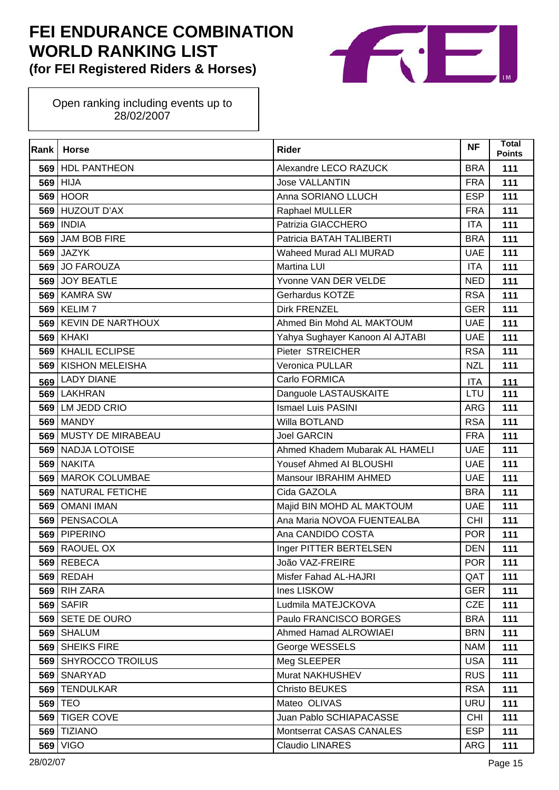

| Rank | <b>Horse</b>             | <b>Rider</b>                    | <b>NF</b>  | <b>Total</b><br><b>Points</b> |
|------|--------------------------|---------------------------------|------------|-------------------------------|
|      | 569 HDL PANTHEON         | Alexandre LECO RAZUCK           | <b>BRA</b> | 111                           |
|      | 569 HIJA                 | <b>Jose VALLANTIN</b>           | <b>FRA</b> | 111                           |
|      | <b>569 HOOR</b>          | Anna SORIANO LLUCH              | <b>ESP</b> | 111                           |
|      | 569 HUZOUT D'AX          | Raphael MULLER                  | <b>FRA</b> | 111                           |
|      | <b>569 INDIA</b>         | Patrizia GIACCHERO              | <b>ITA</b> | 111                           |
|      | 569 JAM BOB FIRE         | Patricia BATAH TALIBERTI        | <b>BRA</b> | 111                           |
| 569  | <b>JAZYK</b>             | <b>Waheed Murad ALI MURAD</b>   | <b>UAE</b> | 111                           |
|      | 569 JO FAROUZA           | Martina LUI                     | <b>ITA</b> | 111                           |
|      | 569 JOY BEATLE           | Yvonne VAN DER VELDE            | <b>NED</b> | 111                           |
|      | 569 KAMRA SW             | Gerhardus KOTZE                 | <b>RSA</b> | 111                           |
|      | 569 KELIM 7              | <b>Dirk FRENZEL</b>             | <b>GER</b> | 111                           |
|      | 569 KEVIN DE NARTHOUX    | Ahmed Bin Mohd AL MAKTOUM       | <b>UAE</b> | 111                           |
|      | <b>569 KHAKI</b>         | Yahya Sughayer Kanoon Al AJTABI | <b>UAE</b> | 111                           |
|      | 569 KHALIL ECLIPSE       | Pieter STREICHER                | <b>RSA</b> | 111                           |
| 569  | <b>KISHON MELEISHA</b>   | Veronica PULLAR                 | <b>NZL</b> | 111                           |
| 569  | <b>LADY DIANE</b>        | Carlo FORMICA                   | <b>ITA</b> | 111                           |
|      | 569 LAKHRAN              | Danguole LASTAUSKAITE           | LTU        | 111                           |
|      | 569 LM JEDD CRIO         | <b>Ismael Luis PASINI</b>       | <b>ARG</b> | 111                           |
|      | <b>569   MANDY</b>       | Willa BOTLAND                   | <b>RSA</b> | 111                           |
|      | 569 MUSTY DE MIRABEAU    | <b>Joel GARCIN</b>              | <b>FRA</b> | 111                           |
|      | <b>569 NADJA LOTOISE</b> | Ahmed Khadem Mubarak AL HAMELI  | <b>UAE</b> | 111                           |
|      | 569 NAKITA               | Yousef Ahmed AI BLOUSHI         | <b>UAE</b> | 111                           |
| 569  | <b>MAROK COLUMBAE</b>    | Mansour IBRAHIM AHMED           | <b>UAE</b> | 111                           |
|      | 569 NATURAL FETICHE      | Cida GAZOLA                     | <b>BRA</b> | 111                           |
| 569  | <b>OMANI IMAN</b>        | Majid BIN MOHD AL MAKTOUM       | <b>UAE</b> | 111                           |
|      | 569 PENSACOLA            | Ana Maria NOVOA FUENTEALBA      | <b>CHI</b> | 111                           |
| 569  | <b>PIPERINO</b>          | Ana CANDIDO COSTA               | <b>POR</b> | 111                           |
| 569  | <b>RAOUEL OX</b>         | Inger PITTER BERTELSEN          | <b>DEN</b> | 111                           |
|      | <b>569 REBECA</b>        | João VAZ-FREIRE                 | POR.       | 111                           |
|      | $569$ REDAH              | Misfer Fahad AL-HAJRI           | QAT        | 111                           |
|      | 569 RIH ZARA             | Ines LISKOW                     | <b>GER</b> | 111                           |
|      | $569$ SAFIR              | Ludmila MATEJCKOVA              | <b>CZE</b> | 111                           |
| 569  | SETE DE OURO             | Paulo FRANCISCO BORGES          | <b>BRA</b> | 111                           |
|      | 569 SHALUM               | Ahmed Hamad ALROWIAEI           | <b>BRN</b> | 111                           |
|      | 569 SHEIKS FIRE          | George WESSELS                  | <b>NAM</b> | 111                           |
|      | 569 SHYROCCO TROILUS     | Meg SLEEPER                     | <b>USA</b> | 111                           |
|      | 569 SNARYAD              | Murat NAKHUSHEV                 | <b>RUS</b> | 111                           |
|      | 569 TENDULKAR            | Christo BEUKES                  | <b>RSA</b> | 111                           |
|      | 569 TEO                  | Mateo OLIVAS                    | <b>URU</b> | 111                           |
|      | 569 TIGER COVE           | Juan Pablo SCHIAPACASSE         | <b>CHI</b> | 111                           |
|      | 569 TIZIANO              | Montserrat CASAS CANALES        | <b>ESP</b> | 111                           |
| 569  | <b>VIGO</b>              | <b>Claudio LINARES</b>          | <b>ARG</b> | 111                           |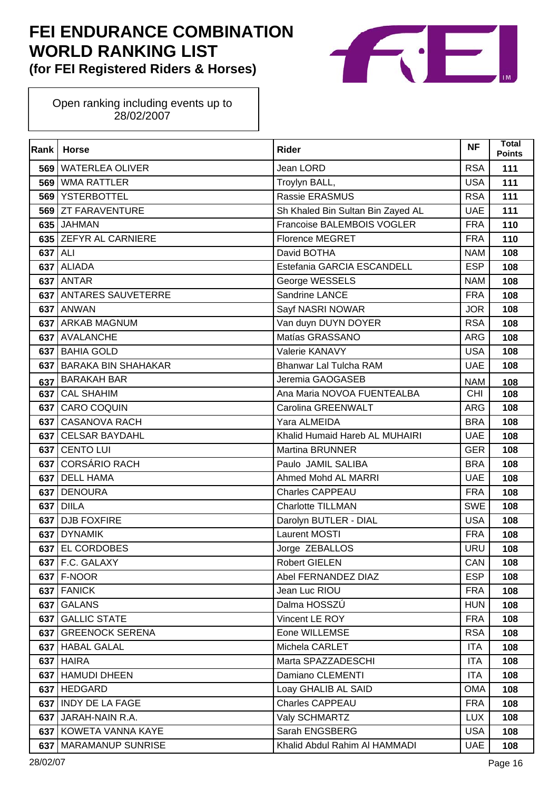

| Rank | <b>Horse</b>               | <b>Rider</b>                      | <b>NF</b>  | Total<br><b>Points</b> |
|------|----------------------------|-----------------------------------|------------|------------------------|
|      | 569 WATERLEA OLIVER        | Jean LORD                         | <b>RSA</b> | 111                    |
| 569  | <b>WMA RATTLER</b>         | Troylyn BALL,                     | <b>USA</b> | 111                    |
| 569  | <b>YSTERBOTTEL</b>         | Rassie ERASMUS                    | <b>RSA</b> | 111                    |
|      | 569 ZT FARAVENTURE         | Sh Khaled Bin Sultan Bin Zayed AL | <b>UAE</b> | 111                    |
|      | 635 JAHMAN                 | Francoise BALEMBOIS VOGLER        | <b>FRA</b> | 110                    |
|      | 635 ZEFYR AL CARNIERE      | <b>Florence MEGRET</b>            | <b>FRA</b> | 110                    |
| 637  | ALI                        | David BOTHA                       | <b>NAM</b> | 108                    |
|      | 637 ALIADA                 | Estefania GARCIA ESCANDELL        | <b>ESP</b> | 108                    |
|      | 637 ANTAR                  | George WESSELS                    | <b>NAM</b> | 108                    |
|      | 637 ANTARES SAUVETERRE     | Sandrine LANCE                    | <b>FRA</b> | 108                    |
| 637  | <b>ANWAN</b>               | Sayf NASRI NOWAR                  | <b>JOR</b> | 108                    |
|      | 637 ARKAB MAGNUM           | Van duyn DUYN DOYER               | <b>RSA</b> | 108                    |
|      | 637 AVALANCHE              | Matías GRASSANO                   | ARG        | 108                    |
|      | 637 BAHIA GOLD             | Valerie KANAVY                    | <b>USA</b> | 108                    |
| 637  | <b>BARAKA BIN SHAHAKAR</b> | <b>Bhanwar Lal Tulcha RAM</b>     | <b>UAE</b> | 108                    |
| 637  | <b>BARAKAH BAR</b>         | Jeremia GAOGASEB                  | <b>NAM</b> | 108                    |
|      | 637 CAL SHAHIM             | Ana Maria NOVOA FUENTEALBA        | <b>CHI</b> | 108                    |
|      | 637 CARO COQUIN            | Carolina GREENWALT                | <b>ARG</b> | 108                    |
| 637  | <b>CASANOVA RACH</b>       | Yara ALMEIDA                      | <b>BRA</b> | 108                    |
|      | 637 CELSAR BAYDAHL         | Khalid Humaid Hareb AL MUHAIRI    | <b>UAE</b> | 108                    |
|      | 637 CENTO LUI              | <b>Martina BRUNNER</b>            | <b>GER</b> | 108                    |
|      | 637 CORSÁRIO RACH          | Paulo JAMIL SALIBA                | <b>BRA</b> | 108                    |
| 637  | <b>DELL HAMA</b>           | Ahmed Mohd AL MARRI               | <b>UAE</b> | 108                    |
| 637  | <b>DENOURA</b>             | Charles CAPPEAU                   | <b>FRA</b> | 108                    |
| 637  | <b>DIILA</b>               | <b>Charlotte TILLMAN</b>          | <b>SWE</b> | 108                    |
|      | 637 DJB FOXFIRE            | Darolyn BUTLER - DIAL             | <b>USA</b> | 108                    |
| 637  | <b>DYNAMIK</b>             | Laurent MOSTI                     | <b>FRA</b> | 108                    |
|      | 637 EL CORDOBES            | Jorge ZEBALLOS                    | <b>URU</b> | 108                    |
|      | $637$ F.C. GALAXY          | <b>Robert GIELEN</b>              | CAN        | 108                    |
| 637  | F-NOOR                     | Abel FERNANDEZ DIAZ               | <b>ESP</b> | 108                    |
|      | 637 FANICK                 | Jean Luc RIOU                     | <b>FRA</b> | 108                    |
|      | 637 GALANS                 | Dalma HOSSZÚ                      | <b>HUN</b> | 108                    |
| 637  | <b>GALLIC STATE</b>        | Vincent LE ROY                    | <b>FRA</b> | 108                    |
| 637  | <b>GREENOCK SERENA</b>     | Eone WILLEMSE                     | <b>RSA</b> | 108                    |
|      | 637   HABAL GALAL          | Michela CARLET                    | ITA        | 108                    |
|      | <b>637 HAIRA</b>           | Marta SPAZZADESCHI                | <b>ITA</b> | 108                    |
| 637  | <b>HAMUDI DHEEN</b>        | Damiano CLEMENTI                  | <b>ITA</b> | 108                    |
|      | 637 HEDGARD                | Loay GHALIB AL SAID               | <b>OMA</b> | 108                    |
|      | 637 INDY DE LA FAGE        | <b>Charles CAPPEAU</b>            | <b>FRA</b> | 108                    |
|      | 637 JARAH-NAIN R.A.        | Valy SCHMARTZ                     | <b>LUX</b> | 108                    |
|      | 637   KOWETA VANNA KAYE    | Sarah ENGSBERG                    | <b>USA</b> | 108                    |
| 637  | <b>MARAMANUP SUNRISE</b>   | Khalid Abdul Rahim AI HAMMADI     | <b>UAE</b> | 108                    |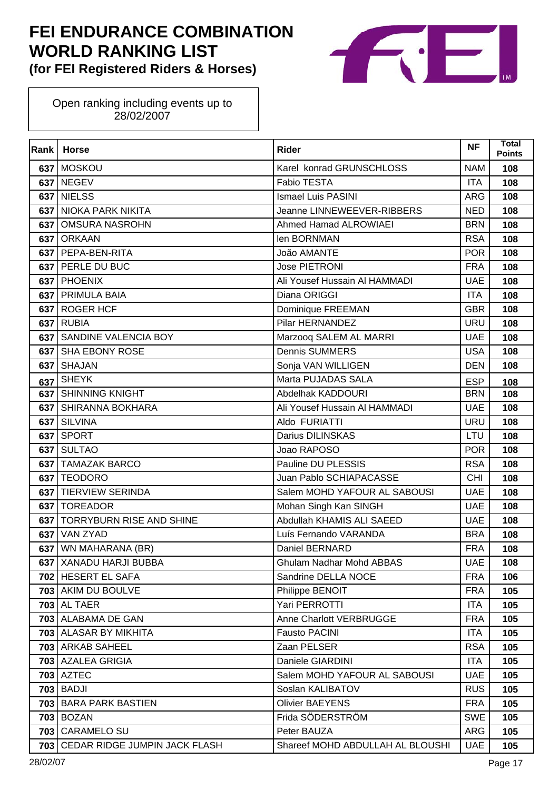

| Rank | <b>Horse</b>                      | <b>Rider</b>                     | <b>NF</b>  | <b>Total</b><br><b>Points</b> |
|------|-----------------------------------|----------------------------------|------------|-------------------------------|
|      | 637 MOSKOU                        | Karel konrad GRUNSCHLOSS         | <b>NAM</b> | 108                           |
|      | 637 NEGEV                         | Fabio TESTA                      | <b>ITA</b> | 108                           |
| 637  | <b>NIELSS</b>                     | <b>Ismael Luis PASINI</b>        | <b>ARG</b> | 108                           |
|      | 637 NIOKA PARK NIKITA             | Jeanne LINNEWEEVER-RIBBERS       | <b>NED</b> | 108                           |
| 637  | <b>OMSURA NASROHN</b>             | Ahmed Hamad ALROWIAEI            | <b>BRN</b> | 108                           |
|      | 637 ORKAAN                        | len BORNMAN                      | <b>RSA</b> | 108                           |
| 637  | PEPA-BEN-RITA                     | João AMANTE                      | <b>POR</b> | 108                           |
|      | 637 PERLE DU BUC                  | Jose PIETRONI                    | <b>FRA</b> | 108                           |
| 637  | <b>PHOENIX</b>                    | Ali Yousef Hussain Al HAMMADI    | <b>UAE</b> | 108                           |
|      | 637 PRIMULA BAIA                  | Diana ORIGGI                     | <b>ITA</b> | 108                           |
| 637  | <b>ROGER HCF</b>                  | Dominique FREEMAN                | <b>GBR</b> | 108                           |
| 637  | <b>RUBIA</b>                      | Pilar HERNANDEZ                  | <b>URU</b> | 108                           |
| 637  | SANDINE VALENCIA BOY              | Marzooq SALEM AL MARRI           | <b>UAE</b> | 108                           |
| 637  | <b>SHA EBONY ROSE</b>             | <b>Dennis SUMMERS</b>            | <b>USA</b> | 108                           |
| 637  | <b>SHAJAN</b>                     | Sonja VAN WILLIGEN               | <b>DEN</b> | 108                           |
| 637  | <b>SHEYK</b>                      | Marta PUJADAS SALA               | <b>ESP</b> | 108                           |
|      | 637 SHINNING KNIGHT               | Abdelhak KADDOURI                | <b>BRN</b> | 108                           |
| 637  | SHIRANNA BOKHARA                  | Ali Yousef Hussain Al HAMMADI    | <b>UAE</b> | 108                           |
| 637  | <b>SILVINA</b>                    | Aldo FURIATTI                    | <b>URU</b> | 108                           |
| 637  | <b>SPORT</b>                      | Darius DILINSKAS                 | LTU        | 108                           |
| 637  | <b>SULTAO</b>                     | Joao RAPOSO                      | <b>POR</b> | 108                           |
| 637  | <b>TAMAZAK BARCO</b>              | Pauline DU PLESSIS               | <b>RSA</b> | 108                           |
| 637  | <b>TEODORO</b>                    | Juan Pablo SCHIAPACASSE          | <b>CHI</b> | 108                           |
| 637  | <b>TIERVIEW SERINDA</b>           | Salem MOHD YAFOUR AL SABOUSI     | <b>UAE</b> | 108                           |
| 637  | <b>TOREADOR</b>                   | Mohan Singh Kan SINGH            | <b>UAE</b> | 108                           |
| 637  | <b>TORRYBURN RISE AND SHINE</b>   | Abdullah KHAMIS ALI SAEED        | <b>UAE</b> | 108                           |
| 637  | <b>VAN ZYAD</b>                   | Luís Fernando VARANDA            | <b>BRA</b> | 108                           |
|      | 637 WN MAHARANA (BR)              | Daniel BERNARD                   | <b>FRA</b> | 108                           |
|      | 637   XANADU HARJI BUBBA          | Ghulam Nadhar Mohd ABBAS         | UAE        | 108                           |
|      | 702 HESERT EL SAFA                | Sandrine DELLA NOCE              | <b>FRA</b> | 106                           |
|      | 703 AKIM DU BOULVE                | Philippe BENOIT                  | <b>FRA</b> | 105                           |
|      | <b>703 AL TAER</b>                | Yari PERROTTI                    | <b>ITA</b> | 105                           |
|      | 703 ALABAMA DE GAN                | Anne Charlott VERBRUGGE          | <b>FRA</b> | 105                           |
|      | <b>703 ALASAR BY MIKHITA</b>      | <b>Fausto PACINI</b>             | <b>ITA</b> | 105                           |
|      | 703 ARKAB SAHEEL                  | Zaan PELSER                      | <b>RSA</b> | 105                           |
|      | 703 AZALEA GRIGIA                 | Daniele GIARDINI                 | <b>ITA</b> | 105                           |
|      | <b>703 AZTEC</b>                  | Salem MOHD YAFOUR AL SABOUSI     | <b>UAE</b> | 105                           |
|      | <b>703 BADJI</b>                  | Soslan KALIBATOV                 | <b>RUS</b> | 105                           |
|      | 703 BARA PARK BASTIEN             | <b>Olivier BAEYENS</b>           | <b>FRA</b> | 105                           |
|      | <b>703 BOZAN</b>                  | Frida SÖDERSTRÖM                 | <b>SWE</b> | 105                           |
|      | 703 CARAMELO SU                   | Peter BAUZA                      | <b>ARG</b> | 105                           |
|      | 703 CEDAR RIDGE JUMPIN JACK FLASH | Shareef MOHD ABDULLAH AL BLOUSHI | <b>UAE</b> | 105                           |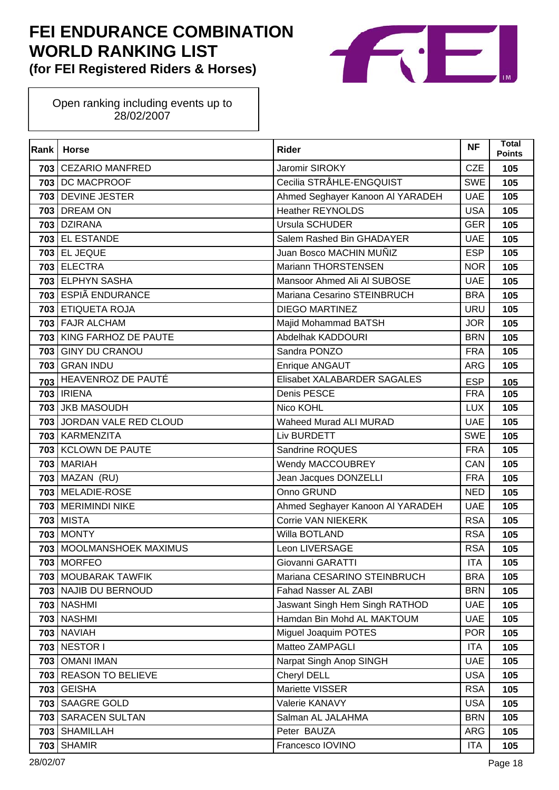

| Rank | <b>Horse</b>               | <b>Rider</b>                     | <b>NF</b>  | Total<br><b>Points</b> |
|------|----------------------------|----------------------------------|------------|------------------------|
|      | 703 CEZARIO MANFRED        | Jaromir SIROKY                   | <b>CZE</b> | 105                    |
|      | 703 DC MACPROOF            | Cecilia STRÅHLE-ENGQUIST         | <b>SWE</b> | 105                    |
|      | 703 DEVINE JESTER          | Ahmed Seghayer Kanoon Al YARADEH | <b>UAE</b> | 105                    |
|      | <b>703 DREAM ON</b>        | <b>Heather REYNOLDS</b>          | <b>USA</b> | 105                    |
|      | 703 DZIRANA                | Ursula SCHUDER                   | <b>GER</b> | 105                    |
|      | 703 EL ESTANDE             | Salem Rashed Bin GHADAYER        | <b>UAE</b> | 105                    |
| 703  | <b>EL JEQUE</b>            | Juan Bosco MACHIN MUÑIZ          | <b>ESP</b> | 105                    |
|      | 703 ELECTRA                | Mariann THORSTENSEN              | <b>NOR</b> | 105                    |
|      | 703 ELPHYN SASHA           | Mansoor Ahmed Ali Al SUBOSE      | <b>UAE</b> | 105                    |
|      | 703 ESPIÃ ENDURANCE        | Mariana Cesarino STEINBRUCH      | <b>BRA</b> | 105                    |
|      | 703 ETIQUETA ROJA          | <b>DIEGO MARTINEZ</b>            | URU        | 105                    |
|      | 703 FAJR ALCHAM            | Majid Mohammad BATSH             | <b>JOR</b> | 105                    |
|      | 703 KING FARHOZ DE PAUTE   | Abdelhak KADDOURI                | <b>BRN</b> | 105                    |
|      | 703 GINY DU CRANOU         | Sandra PONZO                     | <b>FRA</b> | 105                    |
|      | 703 GRAN INDU              | Enrique ANGAUT                   | <b>ARG</b> | 105                    |
| 703  | <b>HEAVENROZ DE PAUTÉ</b>  | Elisabet XALABARDER SAGALES      | <b>ESP</b> | 105                    |
|      | 703   IRIENA               | Denis PESCE                      | <b>FRA</b> | 105                    |
|      | 703 JKB MASOUDH            | Nico KOHL                        | <b>LUX</b> | 105                    |
|      | 703 JORDAN VALE RED CLOUD  | <b>Waheed Murad ALI MURAD</b>    | <b>UAE</b> | 105                    |
|      | 703 KARMENZITA             | Liv BURDETT                      | <b>SWE</b> | 105                    |
|      | 703 KCLOWN DE PAUTE        | Sandrine ROQUES                  | <b>FRA</b> | 105                    |
|      | <b>703 MARIAH</b>          | Wendy MACCOUBREY                 | CAN        | 105                    |
|      | 703 MAZAN (RU)             | Jean Jacques DONZELLI            | <b>FRA</b> | 105                    |
|      | 703 MELADIE-ROSE           | Onno GRUND                       | <b>NED</b> | 105                    |
|      | 703 MERIMINDI NIKE         | Ahmed Seghayer Kanoon Al YARADEH | <b>UAE</b> | 105                    |
|      | <b>703 MISTA</b>           | Corrie VAN NIEKERK               | <b>RSA</b> | 105                    |
| 703  | <b>MONTY</b>               | Willa BOTLAND                    | <b>RSA</b> | 105                    |
|      | 703   MOOLMANSHOEK MAXIMUS | Leon LIVERSAGE                   | <b>RSA</b> | 105                    |
|      | <b>703   MORFEO</b>        | Giovanni GARATTI                 | ITA        | 105                    |
|      | 703 MOUBARAK TAWFIK        | Mariana CESARINO STEINBRUCH      | <b>BRA</b> | 105                    |
|      | 703 NAJIB DU BERNOUD       | Fahad Nasser AL ZABI             | <b>BRN</b> | 105                    |
|      | <b>703 NASHMI</b>          | Jaswant Singh Hem Singh RATHOD   | <b>UAE</b> | 105                    |
|      | <b>703 NASHMI</b>          | Hamdan Bin Mohd AL MAKTOUM       | <b>UAE</b> | 105                    |
|      | <b>703 NAVIAH</b>          | Miguel Joaquim POTES             | <b>POR</b> | 105                    |
|      | 703 NESTOR I               | Matteo ZAMPAGLI                  | <b>ITA</b> | 105                    |
| 703  | <b>OMANI IMAN</b>          | Narpat Singh Anop SINGH          | <b>UAE</b> | 105                    |
| 703  | <b>REASON TO BELIEVE</b>   | Cheryl DELL                      | <b>USA</b> | 105                    |
|      | <b>703 GEISHA</b>          | Mariette VISSER                  | <b>RSA</b> | 105                    |
|      | 703 SAAGRE GOLD            | Valerie KANAVY                   | <b>USA</b> | 105                    |
|      | 703 SARACEN SULTAN         | Salman AL JALAHMA                | <b>BRN</b> | 105                    |
| 703  | <b>SHAMILLAH</b>           | Peter BAUZA                      | <b>ARG</b> | 105                    |
| 703  | <b>SHAMIR</b>              | Francesco IOVINO                 | <b>ITA</b> | 105                    |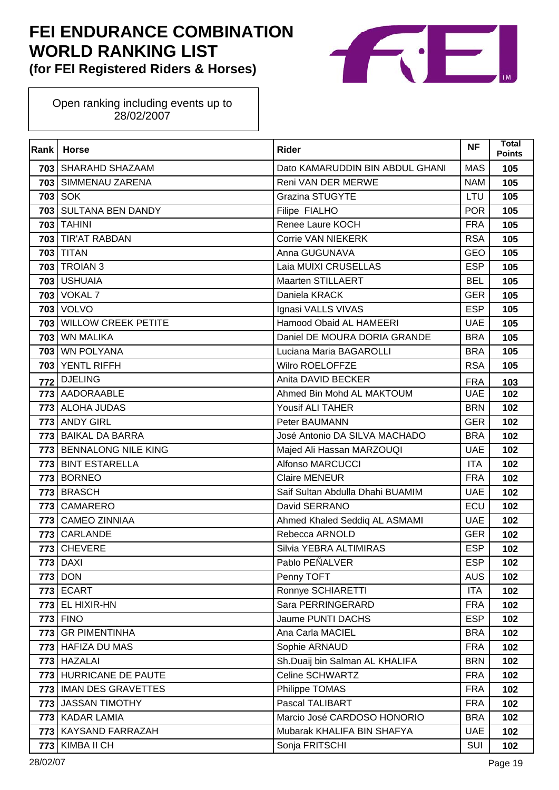

| Rank | <b>Horse</b>              | <b>Rider</b>                     | <b>NF</b>  | <b>Total</b><br><b>Points</b> |
|------|---------------------------|----------------------------------|------------|-------------------------------|
|      | 703   SHARAHD SHAZAAM     | Dato KAMARUDDIN BIN ABDUL GHANI  | <b>MAS</b> | 105                           |
|      | 703 SIMMENAU ZARENA       | Reni VAN DER MERWE               | <b>NAM</b> | 105                           |
| 703  | <b>SOK</b>                | <b>Grazina STUGYTE</b>           | LTU        | 105                           |
|      | 703 SULTANA BEN DANDY     | Filipe FIALHO                    | <b>POR</b> | 105                           |
|      | <b>703 TAHINI</b>         | Renee Laure KOCH                 | <b>FRA</b> | 105                           |
|      | 703 TIR'AT RABDAN         | Corrie VAN NIEKERK               | <b>RSA</b> | 105                           |
|      | <b>703 TITAN</b>          | Anna GUGUNAVA                    | <b>GEO</b> | 105                           |
|      | <b>703 TROIAN 3</b>       | Laia MUIXI CRUSELLAS             | <b>ESP</b> | 105                           |
|      | 703 USHUAIA               | Maarten STILLAERT                | <b>BEL</b> | 105                           |
|      | <b>703 VOKAL 7</b>        | Daniela KRACK                    | <b>GER</b> | 105                           |
| 703  | <b>VOLVO</b>              | Ignasi VALLS VIVAS               | <b>ESP</b> | 105                           |
|      | 703 WILLOW CREEK PETITE   | Hamood Obaid AL HAMEERI          | <b>UAE</b> | 105                           |
| 703  | <b>WN MALIKA</b>          | Daniel DE MOURA DORIA GRANDE     | <b>BRA</b> | 105                           |
|      | 703 WN POLYANA            | Luciana Maria BAGAROLLI          | <b>BRA</b> | 105                           |
| 703  | <b>YENTL RIFFH</b>        | Wilro ROELOFFZE                  | <b>RSA</b> | 105                           |
| 772  | <b>DJELING</b>            | Anita DAVID BECKER               | <b>FRA</b> | 103                           |
|      | 773 AADORAABLE            | Ahmed Bin Mohd AL MAKTOUM        | <b>UAE</b> | 102                           |
|      | 773 ALOHA JUDAS           | Yousif ALI TAHER                 | <b>BRN</b> | 102                           |
|      | 773 ANDY GIRL             | Peter BAUMANN                    | <b>GER</b> | 102                           |
|      | 773 BAIKAL DA BARRA       | José Antonio DA SILVA MACHADO    | <b>BRA</b> | 102                           |
|      | 773 BENNALONG NILE KING   | Majed Ali Hassan MARZOUQI        | <b>UAE</b> | 102                           |
|      | 773 BINT ESTARELLA        | <b>Alfonso MARCUCCI</b>          | <b>ITA</b> | 102                           |
| 773  | <b>BORNEO</b>             | <b>Claire MENEUR</b>             | <b>FRA</b> | 102                           |
|      | 773 BRASCH                | Saif Sultan Abdulla Dhahi BUAMIM | <b>UAE</b> | 102                           |
|      | 773 CAMARERO              | David SERRANO                    | ECU        | 102                           |
|      | 773 CAMEO ZINNIAA         | Ahmed Khaled Seddiq AL ASMAMI    | <b>UAE</b> | 102                           |
| 773  | CARLANDE                  | Rebecca ARNOLD                   | <b>GER</b> | 102                           |
| 773  | <b>CHEVERE</b>            | Silvia YEBRA ALTIMIRAS           | <b>ESP</b> | 102                           |
|      | <b>773   DAXI</b>         | Pablo PEÑALVER                   | ESP        | 102                           |
| 773  | <b>DON</b>                | Penny TOFT                       | <b>AUS</b> | 102                           |
|      | <b>773 ECART</b>          | Ronnye SCHIARETTI                | <b>ITA</b> | 102                           |
|      | $773$ EL HIXIR-HN         | Sara PERRINGERARD                | <b>FRA</b> | 102                           |
|      | <b>773 FINO</b>           | Jaume PUNTI DACHS                | <b>ESP</b> | 102                           |
|      | 773 GR PIMENTINHA         | Ana Carla MACIEL                 | <b>BRA</b> | 102                           |
|      | 773 HAFIZA DU MAS         | Sophie ARNAUD                    | <b>FRA</b> | 102                           |
|      | 773 HAZALAI               | Sh.Duaij bin Salman AL KHALIFA   | <b>BRN</b> | 102                           |
| 773  | HURRICANE DE PAUTE        | Celine SCHWARTZ                  | <b>FRA</b> | 102                           |
| 773  | <b>IMAN DES GRAVETTES</b> | Philippe TOMAS                   | <b>FRA</b> | 102                           |
|      | 773 JASSAN TIMOTHY        | Pascal TALIBART                  | <b>FRA</b> | 102                           |
|      | 773   KADAR LAMIA         | Marcio José CARDOSO HONORIO      | <b>BRA</b> | 102                           |
| 773  | KAYSAND FARRAZAH          | Mubarak KHALIFA BIN SHAFYA       | <b>UAE</b> | 102                           |
| 773  | KIMBA II CH               | Sonja FRITSCHI                   | SUI        | 102                           |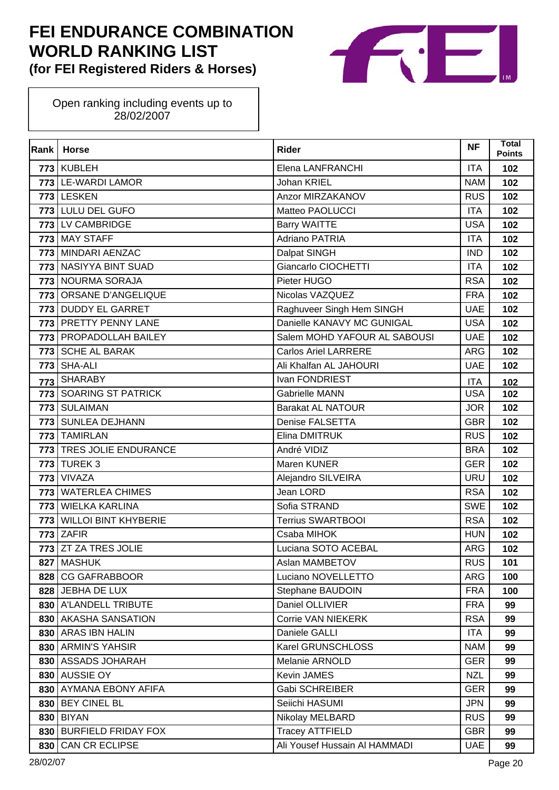

| Rank | <b>Horse</b>                | <b>Rider</b>                  | <b>NF</b>  | Total<br><b>Points</b> |
|------|-----------------------------|-------------------------------|------------|------------------------|
|      | 773 KUBLEH                  | Elena LANFRANCHI              | <b>ITA</b> | 102                    |
|      | 773 LE-WARDI LAMOR          | <b>Johan KRIEL</b>            | <b>NAM</b> | 102                    |
| 773  | <b>LESKEN</b>               | Anzor MIRZAKANOV              | <b>RUS</b> | 102                    |
|      | 773 LULU DEL GUFO           | Matteo PAOLUCCI               | <b>ITA</b> | 102                    |
|      | 773 LV CAMBRIDGE            | <b>Barry WAITTE</b>           | <b>USA</b> | 102                    |
| 773  | <b>MAY STAFF</b>            | <b>Adriano PATRIA</b>         | <b>ITA</b> | 102                    |
| 773  | MINDARI AENZAC              | Dalpat SINGH                  | <b>IND</b> | 102                    |
| 773  | NASIYYA BINT SUAD           | Giancarlo CIOCHETTI           | <b>ITA</b> | 102                    |
|      | 773 NOURMA SORAJA           | Pieter HUGO                   | <b>RSA</b> | 102                    |
| 773  | ORSANE D'ANGELIQUE          | Nicolas VAZQUEZ               | <b>FRA</b> | 102                    |
| 773  | <b>DUDDY EL GARRET</b>      | Raghuveer Singh Hem SINGH     | <b>UAE</b> | 102                    |
|      | 773 PRETTY PENNY LANE       | Danielle KANAVY MC GUNIGAL    | <b>USA</b> | 102                    |
|      | 773   PROPADOLLAH BAILEY    | Salem MOHD YAFOUR AL SABOUSI  | <b>UAE</b> | 102                    |
| 773  | <b>SCHE AL BARAK</b>        | <b>Carlos Ariel LARRERE</b>   | <b>ARG</b> | 102                    |
| 773  | SHA-ALI                     | Ali Khalfan AL JAHOURI        | <b>UAE</b> | 102                    |
| 773  | <b>SHARABY</b>              | Ivan FONDRIEST                | <b>ITA</b> | 102                    |
|      | 773 SOARING ST PATRICK      | <b>Gabrielle MANN</b>         | <b>USA</b> | 102                    |
| 773  | <b>SULAIMAN</b>             | <b>Barakat AL NATOUR</b>      | <b>JOR</b> | 102                    |
| 773  | <b>SUNLEA DEJHANN</b>       | Denise FALSETTA               | <b>GBR</b> | 102                    |
| 773  | <b>TAMIRLAN</b>             | Elina DMITRUK                 | <b>RUS</b> | 102                    |
|      | 773 TRES JOLIE ENDURANCE    | André VIDIZ                   | <b>BRA</b> | 102                    |
| 773  | <b>TUREK3</b>               | Maren KUNER                   | <b>GER</b> | 102                    |
| 773  | <b>VIVAZA</b>               | Alejandro SILVEIRA            | <b>URU</b> | 102                    |
| 773  | <b>WATERLEA CHIMES</b>      | Jean LORD                     | <b>RSA</b> | 102                    |
| 773  | <b>WIELKA KARLINA</b>       | Sofia STRAND                  | <b>SWE</b> | 102                    |
| 773  | <b>WILLOI BINT KHYBERIE</b> | <b>Terrius SWARTBOOI</b>      | <b>RSA</b> | 102                    |
| 773  | <b>ZAFIR</b>                | Csaba MIHOK                   | <b>HUN</b> | 102                    |
|      | 773 ZT ZA TRES JOLIE        | Luciana SOTO ACEBAL           | <b>ARG</b> | 102                    |
|      | 827 MASHUK                  | Aslan MAMBETOV                | <b>RUS</b> | 101                    |
| 828  | <b>CG GAFRABBOOR</b>        | Luciano NOVELLETTO            | ARG        | 100                    |
|      | 828 JEBHA DE LUX            | Stephane BAUDOIN              | <b>FRA</b> | 100                    |
|      | 830 A'LANDELL TRIBUTE       | Daniel OLLIVIER               | <b>FRA</b> | 99                     |
|      | 830 AKASHA SANSATION        | Corrie VAN NIEKERK            | <b>RSA</b> | 99                     |
|      | 830 ARAS IBN HALIN          | Daniele GALLI                 | <b>ITA</b> | 99                     |
|      | 830 ARMIN'S YAHSIR          | Karel GRUNSCHLOSS             | <b>NAM</b> | 99                     |
|      | 830   ASSADS JOHARAH        | Melanie ARNOLD                | <b>GER</b> | 99                     |
|      | 830 AUSSIE OY               | Kevin JAMES                   | <b>NZL</b> | 99                     |
| 830  | <b>AYMANA EBONY AFIFA</b>   | Gabi SCHREIBER                | <b>GER</b> | 99                     |
|      | 830 BEY CINEL BL            | Seiichi HASUMI                | <b>JPN</b> | 99                     |
| 830  | <b>BIYAN</b>                | Nikolay MELBARD               | <b>RUS</b> | 99                     |
| 830  | <b>BURFIELD FRIDAY FOX</b>  | <b>Tracey ATTFIELD</b>        | <b>GBR</b> | 99                     |
| 830  | CAN CR ECLIPSE              | Ali Yousef Hussain Al HAMMADI | <b>UAE</b> | 99                     |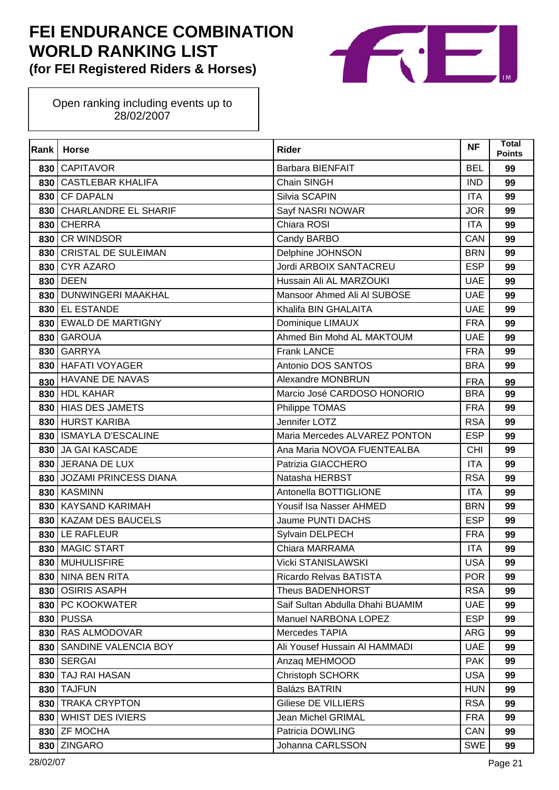

| Rank | <b>Horse</b>                | <b>Rider</b>                     | <b>NF</b>  | <b>Total</b><br><b>Points</b> |
|------|-----------------------------|----------------------------------|------------|-------------------------------|
|      | 830 CAPITAVOR               | <b>Barbara BIENFAIT</b>          | <b>BEL</b> | 99                            |
| 830  | <b>CASTLEBAR KHALIFA</b>    | Chain SINGH                      | <b>IND</b> | 99                            |
| 830  | <b>CF DAPALN</b>            | Silvia SCAPIN                    | <b>ITA</b> | 99                            |
| 830  | <b>CHARLANDRE EL SHARIF</b> | Sayf NASRI NOWAR                 | <b>JOR</b> | 99                            |
| 830  | <b>CHERRA</b>               | Chiara ROSI                      | <b>ITA</b> | 99                            |
| 830  | <b>CR WINDSOR</b>           | Candy BARBO                      | CAN        | 99                            |
| 830  | <b>CRISTAL DE SULEIMAN</b>  | Delphine JOHNSON                 | <b>BRN</b> | 99                            |
| 830  | <b>CYR AZARO</b>            | Jordi ARBOIX SANTACREU           | <b>ESP</b> | 99                            |
| 830  | <b>DEEN</b>                 | Hussain Ali AL MARZOUKI          | <b>UAE</b> | 99                            |
|      | 830   DUNWINGERI MAAKHAL    | Mansoor Ahmed Ali Al SUBOSE      | <b>UAE</b> | 99                            |
| 830  | <b>EL ESTANDE</b>           | Khalifa BIN GHALAITA             | <b>UAE</b> | 99                            |
|      | 830 EWALD DE MARTIGNY       | Dominique LIMAUX                 | <b>FRA</b> | 99                            |
|      | 830 GAROUA                  | Ahmed Bin Mohd AL MAKTOUM        | <b>UAE</b> | 99                            |
| 830  | <b>GARRYA</b>               | <b>Frank LANCE</b>               | <b>FRA</b> | 99                            |
| 830  | <b>HAFATI VOYAGER</b>       | Antonio DOS SANTOS               | <b>BRA</b> | 99                            |
| 830  | HAVANE DE NAVAS             | Alexandre MONBRUN                | <b>FRA</b> | 99                            |
|      | 830 HDL KAHAR               | Marcio José CARDOSO HONORIO      | <b>BRA</b> | 99                            |
|      | 830 HIAS DES JAMETS         | Philippe TOMAS                   | <b>FRA</b> | 99                            |
|      | 830 HURST KARIBA            | Jennifer LOTZ                    | <b>RSA</b> | 99                            |
| 830  | <b>ISMAYLA D'ESCALINE</b>   | Maria Mercedes ALVAREZ PONTON    | <b>ESP</b> | 99                            |
| 830  | <b>JA GAI KASCADE</b>       | Ana Maria NOVOA FUENTEALBA       | <b>CHI</b> | 99                            |
|      | 830 JERANA DE LUX           | Patrizia GIACCHERO               | <b>ITA</b> | 99                            |
| 830  | JOZAMI PRINCESS DIANA       | Natasha HERBST                   | <b>RSA</b> | 99                            |
| 830  | <b>KASMINN</b>              | Antonella BOTTIGLIONE            | <b>ITA</b> | 99                            |
| 830  | <b>KAYSAND KARIMAH</b>      | Yousif Isa Nasser AHMED          | <b>BRN</b> | 99                            |
|      | 830   KAZAM DES BAUCELS     | Jaume PUNTI DACHS                | <b>ESP</b> | 99                            |
| 830  | LE RAFLEUR                  | Sylvain DELPECH                  | <b>FRA</b> | 99                            |
|      | 830 MAGIC START             | Chiara MARRAMA                   | <b>ITA</b> | 99                            |
|      | 830 MUHULISFIRE             | <b>Vicki STANISLAWSKI</b>        | <b>USA</b> | 99                            |
| 830  | NINA BEN RITA               | Ricardo Relvas BATISTA           | <b>POR</b> | 99                            |
|      | 830 OSIRIS ASAPH            | Theus BADENHORST                 | <b>RSA</b> | 99                            |
|      | 830   PC KOOKWATER          | Saif Sultan Abdulla Dhahi BUAMIM | <b>UAE</b> | 99                            |
| 830  | <b>PUSSA</b>                | Manuel NARBONA LOPEZ             | <b>ESP</b> | 99                            |
|      | 830 RAS ALMODOVAR           | Mercedes TAPIA                   | ARG        | 99                            |
|      | 830 SANDINE VALENCIA BOY    | Ali Yousef Hussain Al HAMMADI    | <b>UAE</b> | 99                            |
|      | <b>830   SERGAI</b>         | Anzag MEHMOOD                    | <b>PAK</b> | 99                            |
| 830  | <b>TAJ RAI HASAN</b>        | Christoph SCHORK                 | <b>USA</b> | 99                            |
|      | 830   TAJFUN                | <b>Balázs BATRIN</b>             | <b>HUN</b> | 99                            |
|      | 830 TRAKA CRYPTON           | Giliese DE VILLIERS              | <b>RSA</b> | 99                            |
|      | 830 WHIST DES IVIERS        | Jean Michel GRIMAL               | <b>FRA</b> | 99                            |
|      | 830 ZF MOCHA                | Patricia DOWLING                 | CAN        | 99                            |
| 830  | <b>ZINGARO</b>              | Johanna CARLSSON                 | <b>SWE</b> | 99                            |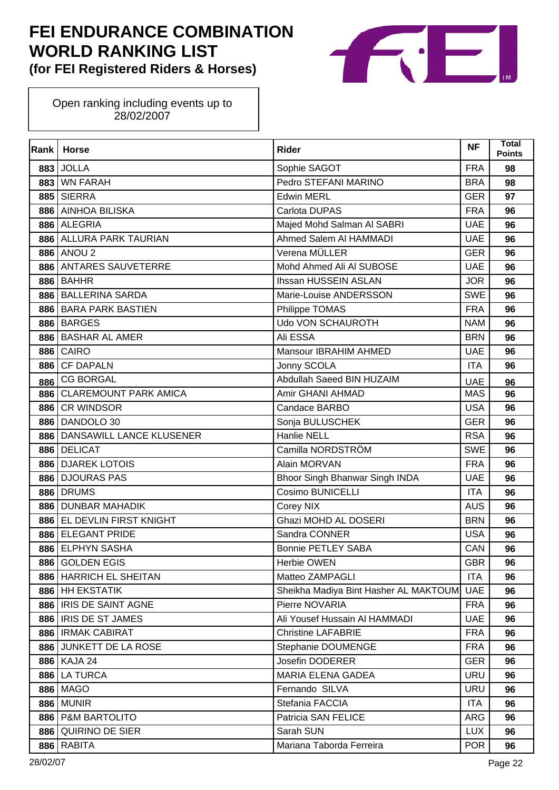

| Rank | <b>Horse</b>                 | <b>Rider</b>                          | <b>NF</b>  | Total<br><b>Points</b> |
|------|------------------------------|---------------------------------------|------------|------------------------|
| 883  | <b>JOLLA</b>                 | Sophie SAGOT                          | <b>FRA</b> | 98                     |
| 883  | <b>WN FARAH</b>              | Pedro STEFANI MARINO                  | <b>BRA</b> | 98                     |
| 885  | <b>SIERRA</b>                | <b>Edwin MERL</b>                     | <b>GER</b> | 97                     |
| 886  | <b>AINHOA BILISKA</b>        | Carlota DUPAS                         | <b>FRA</b> | 96                     |
| 886  | <b>ALEGRIA</b>               | Majed Mohd Salman AI SABRI            | <b>UAE</b> | 96                     |
| 886  | <b>ALLURA PARK TAURIAN</b>   | Ahmed Salem AI HAMMADI                | <b>UAE</b> | 96                     |
| 886  | ANOU <sub>2</sub>            | Verena MÜLLER                         | <b>GER</b> | 96                     |
| 886  | <b>ANTARES SAUVETERRE</b>    | Mohd Ahmed Ali Al SUBOSE              | <b>UAE</b> | 96                     |
| 886  | <b>BAHHR</b>                 | Ihssan HUSSEIN ASLAN                  | <b>JOR</b> | 96                     |
| 886  | <b>BALLERINA SARDA</b>       | Marie-Louise ANDERSSON                | <b>SWE</b> | 96                     |
| 886  | <b>BARA PARK BASTIEN</b>     | Philippe TOMAS                        | <b>FRA</b> | 96                     |
| 886  | <b>BARGES</b>                | <b>Udo VON SCHAUROTH</b>              | <b>NAM</b> | 96                     |
| 886  | <b>BASHAR AL AMER</b>        | Ali ESSA                              | <b>BRN</b> | 96                     |
| 886  | <b>CAIRO</b>                 | Mansour IBRAHIM AHMED                 | <b>UAE</b> | 96                     |
| 886  | <b>CF DAPALN</b>             | Jonny SCOLA                           | <b>ITA</b> | 96                     |
| 886  | <b>CG BORGAL</b>             | Abdullah Saeed BIN HUZAIM             | <b>UAE</b> | 96                     |
| 886  | <b>CLAREMOUNT PARK AMICA</b> | Amir GHANI AHMAD                      | <b>MAS</b> | 96                     |
| 886  | <b>CR WINDSOR</b>            | Candace BARBO                         | <b>USA</b> | 96                     |
| 886  | DANDOLO 30                   | Sonja BULUSCHEK                       | <b>GER</b> | 96                     |
| 886  | DANSAWILL LANCE KLUSENER     | Hanlie NELL                           | <b>RSA</b> | 96                     |
| 886  | <b>DELICAT</b>               | Camilla NORDSTRÖM                     | <b>SWE</b> | 96                     |
| 886  | <b>DJAREK LOTOIS</b>         | Alain MORVAN                          | <b>FRA</b> | 96                     |
| 886  | <b>DJOURAS PAS</b>           | Bhoor Singh Bhanwar Singh INDA        | <b>UAE</b> | 96                     |
| 886  | <b>DRUMS</b>                 | Cosimo BUNICELLI                      | <b>ITA</b> | 96                     |
| 886  | <b>DUNBAR MAHADIK</b>        | Corey NIX                             | <b>AUS</b> | 96                     |
| 886  | EL DEVLIN FIRST KNIGHT       | Ghazi MOHD AL DOSERI                  | <b>BRN</b> | 96                     |
| 886  | <b>ELEGANT PRIDE</b>         | Sandra CONNER                         | <b>USA</b> | 96                     |
| 886  | <b>ELPHYN SASHA</b>          | <b>Bonnie PETLEY SABA</b>             | CAN        | 96                     |
|      | 886 GOLDEN EGIS              | <b>Herbie OWEN</b>                    | <b>GBR</b> | 96                     |
| 886  | <b>HARRICH EL SHEITAN</b>    | Matteo ZAMPAGLI                       | <b>ITA</b> | 96                     |
|      | 886 HH EKSTATIK              | Sheikha Madiya Bint Hasher AL MAKTOUM | <b>UAE</b> | 96                     |
|      | 886   IRIS DE SAINT AGNE     | Pierre NOVARIA                        | <b>FRA</b> | 96                     |
| 886  | IRIS DE ST JAMES             | Ali Yousef Hussain Al HAMMADI         | <b>UAE</b> | 96                     |
| 886  | <b>IRMAK CABIRAT</b>         | <b>Christine LAFABRIE</b>             | <b>FRA</b> | 96                     |
|      | 886 JUNKETT DE LA ROSE       | Stephanie DOUMENGE                    | <b>FRA</b> | 96                     |
|      | 886 KAJA 24                  | Josefin DODERER                       | <b>GER</b> | 96                     |
| 886  | <b>LA TURCA</b>              | <b>MARIA ELENA GADEA</b>              | <b>URU</b> | 96                     |
| 886  | <b>MAGO</b>                  | Fernando SILVA                        | <b>URU</b> | 96                     |
| 886  | <b>MUNIR</b>                 | Stefania FACCIA                       | <b>ITA</b> | 96                     |
| 886  | <b>P&amp;M BARTOLITO</b>     | Patricia SAN FELICE                   | <b>ARG</b> | 96                     |
| 886  | QUIRINO DE SIER              | Sarah SUN                             | <b>LUX</b> | 96                     |
| 886  | <b>RABITA</b>                | Mariana Taborda Ferreira              | <b>POR</b> | 96                     |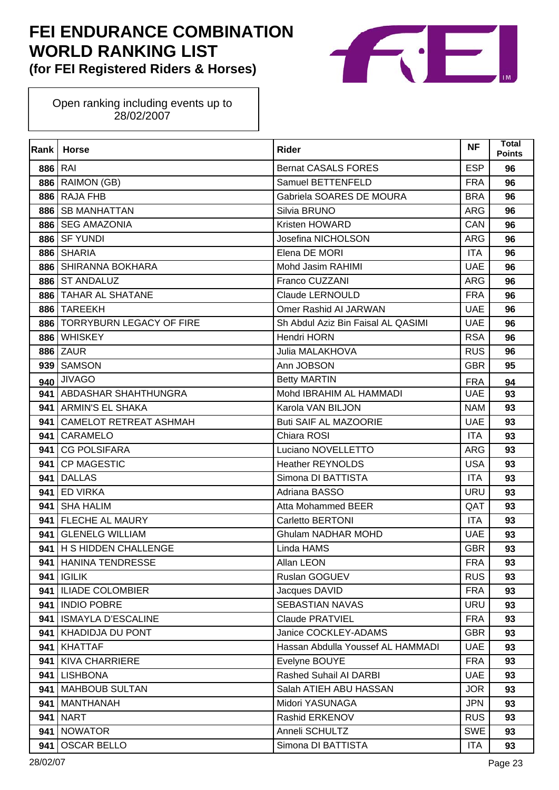

| Rank    | <b>Horse</b>                    | Rider                              | <b>NF</b>  | <b>Total</b><br><b>Points</b> |
|---------|---------------------------------|------------------------------------|------------|-------------------------------|
| 886 RAI |                                 | <b>Bernat CASALS FORES</b>         | <b>ESP</b> | 96                            |
|         | <b>886   RAIMON (GB)</b>        | Samuel BETTENFELD                  | <b>FRA</b> | 96                            |
| 886     | <b>RAJA FHB</b>                 | Gabriela SOARES DE MOURA           | <b>BRA</b> | 96                            |
| 886     | <b>SB MANHATTAN</b>             | Silvia BRUNO                       | <b>ARG</b> | 96                            |
| 886     | <b>SEG AMAZONIA</b>             | Kristen HOWARD                     | CAN        | 96                            |
| 886     | <b>SF YUNDI</b>                 | Josefina NICHOLSON                 | <b>ARG</b> | 96                            |
| 886     | <b>SHARIA</b>                   | Elena DE MORI                      | <b>ITA</b> | 96                            |
| 886     | SHIRANNA BOKHARA                | Mohd Jasim RAHIMI                  | <b>UAE</b> | 96                            |
| 886     | <b>ST ANDALUZ</b>               | Franco CUZZANI                     | ARG        | 96                            |
| 886     | TAHAR AL SHATANE                | <b>Claude LERNOULD</b>             | <b>FRA</b> | 96                            |
| 886     | <b>TAREEKH</b>                  | Omer Rashid AI JARWAN              | <b>UAE</b> | 96                            |
| 886     | <b>TORRYBURN LEGACY OF FIRE</b> | Sh Abdul Aziz Bin Faisal AL QASIMI | <b>UAE</b> | 96                            |
| 886     | <b>WHISKEY</b>                  | Hendri HORN                        | <b>RSA</b> | 96                            |
| 886     | ZAUR                            | Julia MALAKHOVA                    | <b>RUS</b> | 96                            |
| 939     | <b>SAMSON</b>                   | Ann JOBSON                         | <b>GBR</b> | 95                            |
| 940     | <b>JIVAGO</b>                   | <b>Betty MARTIN</b>                | <b>FRA</b> | 94                            |
| 941     | ABDASHAR SHAHTHUNGRA            | Mohd IBRAHIM AL HAMMADI            | <b>UAE</b> | 93                            |
| 941     | <b>ARMIN'S EL SHAKA</b>         | Karola VAN BILJON                  | <b>NAM</b> | 93                            |
| 941     | <b>CAMELOT RETREAT ASHMAH</b>   | <b>Buti SAIF AL MAZOORIE</b>       | <b>UAE</b> | 93                            |
| 941     | <b>CARAMELO</b>                 | Chiara ROSI                        | <b>ITA</b> | 93                            |
| 941     | <b>CG POLSIFARA</b>             | Luciano NOVELLETTO                 | ARG        | 93                            |
| 941     | <b>CP MAGESTIC</b>              | <b>Heather REYNOLDS</b>            | <b>USA</b> | 93                            |
| 941     | <b>DALLAS</b>                   | Simona DI BATTISTA                 | <b>ITA</b> | 93                            |
| 941     | <b>ED VIRKA</b>                 | Adriana BASSO                      | <b>URU</b> | 93                            |
| 941     | <b>SHA HALIM</b>                | Atta Mohammed BEER                 | QAT        | 93                            |
| 941     | FLECHE AL MAURY                 | Carletto BERTONI                   | <b>ITA</b> | 93                            |
| 941     | <b>GLENELG WILLIAM</b>          | <b>Ghulam NADHAR MOHD</b>          | <b>UAE</b> | 93                            |
| 941     | H S HIDDEN CHALLENGE            | Linda HAMS                         | <b>GBR</b> | 93                            |
|         | 941   HANINA TENDRESSE          | Allan LEON                         | <b>FRA</b> | 93                            |
| 941     | <b>IGILIK</b>                   | Ruslan GOGUEV                      | <b>RUS</b> | 93                            |
| 941     | <b>ILIADE COLOMBIER</b>         | Jacques DAVID                      | <b>FRA</b> | 93                            |
| 941     | <b>INDIO POBRE</b>              | <b>SEBASTIAN NAVAS</b>             | <b>URU</b> | 93                            |
| 941     | <b>ISMAYLA D'ESCALINE</b>       | <b>Claude PRATVIEL</b>             | <b>FRA</b> | 93                            |
| 941     | <b>KHADIDJA DU PONT</b>         | Janice COCKLEY-ADAMS               | <b>GBR</b> | 93                            |
| 941     | <b>KHATTAF</b>                  | Hassan Abdulla Youssef AL HAMMADI  | <b>UAE</b> | 93                            |
| 941     | <b>KIVA CHARRIERE</b>           | Evelyne BOUYE                      | <b>FRA</b> | 93                            |
| 941     | <b>LISHBONA</b>                 | Rashed Suhail AI DARBI             | <b>UAE</b> | 93                            |
| 941     | <b>MAHBOUB SULTAN</b>           | Salah ATIEH ABU HASSAN             | <b>JOR</b> | 93                            |
| 941     | <b>MANTHANAH</b>                | Midori YASUNAGA                    | <b>JPN</b> | 93                            |
| 941     | <b>NART</b>                     | Rashid ERKENOV                     | <b>RUS</b> | 93                            |
| 941     | <b>NOWATOR</b>                  | Anneli SCHULTZ                     | <b>SWE</b> | 93                            |
| 941     | <b>OSCAR BELLO</b>              | Simona DI BATTISTA                 | <b>ITA</b> | 93                            |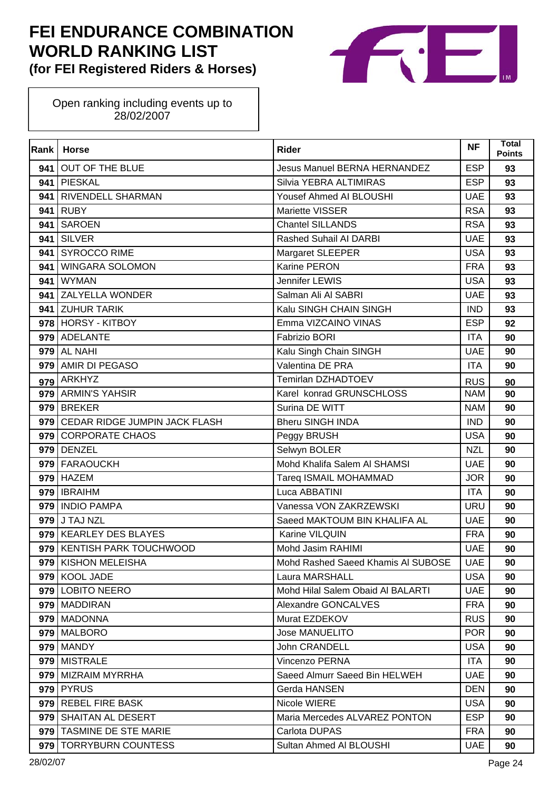

| Rank | <b>Horse</b>                  | <b>Rider</b>                        | <b>NF</b>  | Total<br><b>Points</b> |
|------|-------------------------------|-------------------------------------|------------|------------------------|
| 941  | <b>OUT OF THE BLUE</b>        | <b>Jesus Manuel BERNA HERNANDEZ</b> | <b>ESP</b> | 93                     |
| 941  | PIESKAL                       | Silvia YEBRA ALTIMIRAS              | <b>ESP</b> | 93                     |
| 941  | <b>RIVENDELL SHARMAN</b>      | Yousef Ahmed AI BLOUSHI             | <b>UAE</b> | 93                     |
| 941  | <b>RUBY</b>                   | Mariette VISSER                     | <b>RSA</b> | 93                     |
| 941  | <b>SAROEN</b>                 | <b>Chantel SILLANDS</b>             | <b>RSA</b> | 93                     |
| 941  | <b>SILVER</b>                 | Rashed Suhail AI DARBI              | <b>UAE</b> | 93                     |
| 941  | <b>SYROCCO RIME</b>           | Margaret SLEEPER                    | <b>USA</b> | 93                     |
| 941  | <b>WINGARA SOLOMON</b>        | Karine PERON                        | <b>FRA</b> | 93                     |
| 941  | <b>WYMAN</b>                  | Jennifer LEWIS                      | <b>USA</b> | 93                     |
|      | 941 ZALYELLA WONDER           | Salman Ali Al SABRI                 | <b>UAE</b> | 93                     |
| 941  | <b>ZUHUR TARIK</b>            | Kalu SINGH CHAIN SINGH              | <b>IND</b> | 93                     |
|      | 978 HORSY - KITBOY            | Emma VIZCAINO VINAS                 | <b>ESP</b> | 92                     |
|      | 979 ADELANTE                  | <b>Fabrizio BORI</b>                | <b>ITA</b> | 90                     |
|      | 979 AL NAHI                   | Kalu Singh Chain SINGH              | <b>UAE</b> | 90                     |
| 979  | AMIR DI PEGASO                | Valentina DE PRA                    | <b>ITA</b> | 90                     |
| 979  | ARKHYZ                        | Temirlan DZHADTOEV                  | <b>RUS</b> | 90                     |
|      | 979 ARMIN'S YAHSIR            | Karel konrad GRUNSCHLOSS            | <b>NAM</b> | 90                     |
|      | 979 BREKER                    | Surina DE WITT                      | <b>NAM</b> | 90                     |
| 979  | CEDAR RIDGE JUMPIN JACK FLASH | <b>Bheru SINGH INDA</b>             | <b>IND</b> | 90                     |
|      | 979 CORPORATE CHAOS           | Peggy BRUSH                         | <b>USA</b> | 90                     |
| 979  | <b>DENZEL</b>                 | Selwyn BOLER                        | <b>NZL</b> | 90                     |
| 979  | <b>FARAOUCKH</b>              | Mohd Khalifa Salem AI SHAMSI        | <b>UAE</b> | 90                     |
| 979  | <b>HAZEM</b>                  | Tareq ISMAIL MOHAMMAD               | <b>JOR</b> | 90                     |
|      | 979 <b>IBRAIHM</b>            | Luca ABBATINI                       | <b>ITA</b> | 90                     |
| 979  | <b>INDIO PAMPA</b>            | Vanessa VON ZAKRZEWSKI              | <b>URU</b> | 90                     |
|      | 979 J TAJ NZL                 | Saeed MAKTOUM BIN KHALIFA AL        | <b>UAE</b> | 90                     |
| 979  | <b>KEARLEY DES BLAYES</b>     | Karine VILQUIN                      | <b>FRA</b> | 90                     |
| 979  | <b>KENTISH PARK TOUCHWOOD</b> | Mohd Jasim RAHIMI                   | <b>UAE</b> | 90                     |
|      | 979 KISHON MELEISHA           | Mohd Rashed Saeed Khamis AI SUBOSE  | <b>UAE</b> | 90                     |
| 979  | <b>KOOL JADE</b>              | Laura MARSHALL                      | <b>USA</b> | 90                     |
|      | 979 LOBITO NEERO              | Mohd Hilal Salem Obaid AI BALARTI   | <b>UAE</b> | 90                     |
|      | 979   MADDIRAN                | Alexandre GONCALVES                 | <b>FRA</b> | 90                     |
|      | 979   MADONNA                 | Murat EZDEKOV                       | <b>RUS</b> | 90                     |
|      | 979 MALBORO                   | <b>Jose MANUELITO</b>               | <b>POR</b> | 90                     |
|      | 979   MANDY                   | <b>John CRANDELL</b>                | <b>USA</b> | 90                     |
|      | 979   MISTRALE                | Vincenzo PERNA                      | <b>ITA</b> | 90                     |
| 979  | <b>MIZRAIM MYRRHA</b>         | Saeed Almurr Saeed Bin HELWEH       | <b>UAE</b> | 90                     |
|      | <b>979 PYRUS</b>              | Gerda HANSEN                        | <b>DEN</b> | 90                     |
|      | 979 REBEL FIRE BASK           | Nicole WIERE                        | <b>USA</b> | 90                     |
|      | 979   SHAITAN AL DESERT       | Maria Mercedes ALVAREZ PONTON       | <b>ESP</b> | 90                     |
|      | 979 TASMINE DE STE MARIE      | Carlota DUPAS                       | <b>FRA</b> | 90                     |
| 979  | <b>TORRYBURN COUNTESS</b>     | Sultan Ahmed Al BLOUSHI             | <b>UAE</b> | 90                     |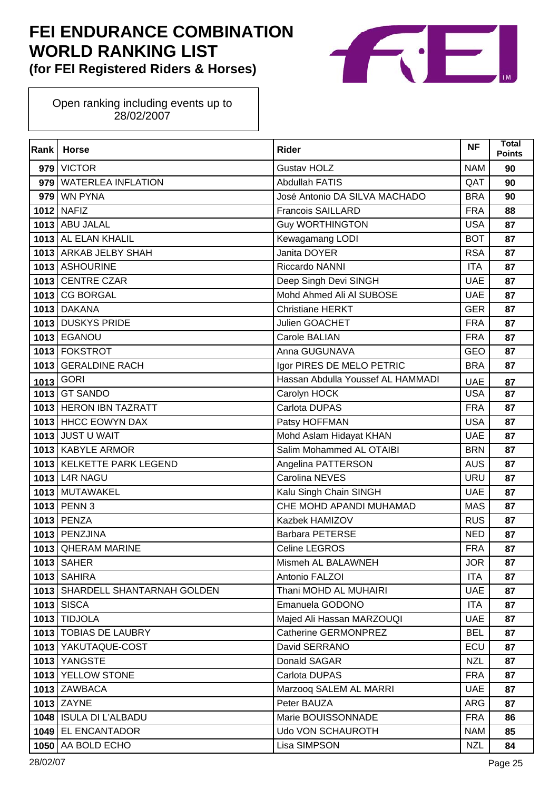

| Rank | <b>Horse</b>                    | <b>Rider</b>                      | <b>NF</b>  | Total<br><b>Points</b> |
|------|---------------------------------|-----------------------------------|------------|------------------------|
| 979  | <b>VICTOR</b>                   | <b>Gustav HOLZ</b>                | <b>NAM</b> | 90                     |
| 979  | <b>WATERLEA INFLATION</b>       | <b>Abdullah FATIS</b>             | QAT        | 90                     |
| 979  | <b>WN PYNA</b>                  | José Antonio DA SILVA MACHADO     | <b>BRA</b> | 90                     |
|      | 1012 NAFIZ                      | <b>Francois SAILLARD</b>          | <b>FRA</b> | 88                     |
|      | 1013 ABU JALAL                  | <b>Guy WORTHINGTON</b>            | <b>USA</b> | 87                     |
|      | 1013 AL ELAN KHALIL             | Kewagamang LODI                   | <b>BOT</b> | 87                     |
|      | 1013 ARKAB JELBY SHAH           | Janita DOYER                      | <b>RSA</b> | 87                     |
|      | 1013 ASHOURINE                  | Riccardo NANNI                    | <b>ITA</b> | 87                     |
|      | 1013 CENTRE CZAR                | Deep Singh Devi SINGH             | <b>UAE</b> | 87                     |
|      | 1013 CG BORGAL                  | Mohd Ahmed Ali Al SUBOSE          | <b>UAE</b> | 87                     |
|      | <b>1013 DAKANA</b>              | <b>Christiane HERKT</b>           | <b>GER</b> | 87                     |
|      | 1013 DUSKYS PRIDE               | Julien GOACHET                    | <b>FRA</b> | 87                     |
|      | <b>1013 EGANOU</b>              | Carole BALIAN                     | <b>FRA</b> | 87                     |
|      | 1013 FOKSTROT                   | Anna GUGUNAVA                     | <b>GEO</b> | 87                     |
|      | 1013 GERALDINE RACH             | Igor PIRES DE MELO PETRIC         | <b>BRA</b> | 87                     |
| 1013 | <b>GORI</b>                     | Hassan Abdulla Youssef AL HAMMADI | <b>UAE</b> | 87                     |
|      | 1013 GT SANDO                   | Carolyn HOCK                      | <b>USA</b> | 87                     |
|      | 1013 HERON IBN TAZRATT          | Carlota DUPAS                     | <b>FRA</b> | 87                     |
|      | 1013 HHCC EOWYN DAX             | Patsy HOFFMAN                     | <b>USA</b> | 87                     |
|      | 1013 JUST U WAIT                | Mohd Aslam Hidayat KHAN           | <b>UAE</b> | 87                     |
|      | 1013 KABYLE ARMOR               | Salim Mohammed AL OTAIBI          | <b>BRN</b> | 87                     |
|      | 1013 KELKETTE PARK LEGEND       | Angelina PATTERSON                | <b>AUS</b> | 87                     |
|      | 1013 L4R NAGU                   | Carolina NEVES                    | <b>URU</b> | 87                     |
|      | 1013 MUTAWAKEL                  | Kalu Singh Chain SINGH            | <b>UAE</b> | 87                     |
|      | 1013 PENN 3                     | CHE MOHD APANDI MUHAMAD           | <b>MAS</b> | 87                     |
|      | 1013 PENZA                      | Kazbek HAMIZOV                    | <b>RUS</b> | 87                     |
|      | 1013 PENZJINA                   | Barbara PETERSE                   | <b>NED</b> | 87                     |
|      | 1013 QHERAM MARINE              | Celine LEGROS                     | <b>FRA</b> | 87                     |
|      | <b>1013   SAHER</b>             | Mismeh AL BALAWNEH                | <b>JOR</b> | 87                     |
|      | <b>1013 SAHIRA</b>              | Antonio FALZOI                    | <b>ITA</b> | 87                     |
|      | 1013 SHARDELL SHANTARNAH GOLDEN | Thani MOHD AL MUHAIRI             | <b>UAE</b> | 87                     |
|      | <b>1013 SISCA</b>               | Emanuela GODONO                   | <b>ITA</b> | 87                     |
|      | 1013 TIDJOLA                    | Majed Ali Hassan MARZOUQI         | <b>UAE</b> | 87                     |
|      | 1013 TOBIAS DE LAUBRY           | Catherine GERMONPREZ              | <b>BEL</b> | 87                     |
|      | 1013 YAKUTAQUE-COST             | David SERRANO                     | ECU        | 87                     |
|      | 1013 YANGSTE                    | Donald SAGAR                      | <b>NZL</b> | 87                     |
|      | 1013 YELLOW STONE               | Carlota DUPAS                     | <b>FRA</b> | 87                     |
|      | 1013 ZAWBACA                    | Marzooq SALEM AL MARRI            | <b>UAE</b> | 87                     |
|      | 1013 ZAYNE                      | Peter BAUZA                       | <b>ARG</b> | 87                     |
|      | 1048   ISULA DI L'ALBADU        | Marie BOUISSONNADE                | <b>FRA</b> | 86                     |
|      | 1049 EL ENCANTADOR              | Udo VON SCHAUROTH                 | <b>NAM</b> | 85                     |
| 1050 | AA BOLD ECHO                    | Lisa SIMPSON                      | <b>NZL</b> | 84                     |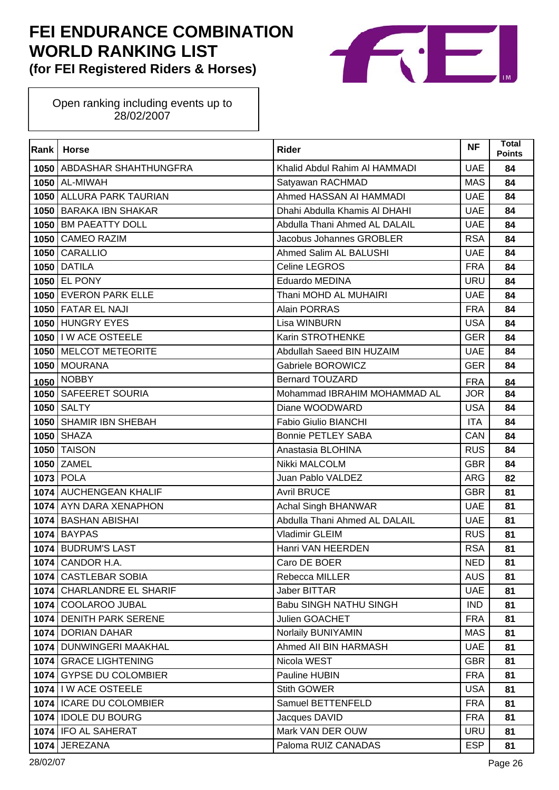

| Rank | <b>Horse</b>                 | <b>Rider</b>                  | <b>NF</b>  | <b>Total</b><br><b>Points</b> |
|------|------------------------------|-------------------------------|------------|-------------------------------|
|      | 1050   ABDASHAR SHAHTHUNGFRA | Khalid Abdul Rahim AI HAMMADI | <b>UAE</b> | 84                            |
|      | <b>1050 AL-MIWAH</b>         | Satyawan RACHMAD              | <b>MAS</b> | 84                            |
|      | 1050 ALLURA PARK TAURIAN     | Ahmed HASSAN AI HAMMADI       | <b>UAE</b> | 84                            |
|      | 1050 BARAKA IBN SHAKAR       | Dhahi Abdulla Khamis AI DHAHI | <b>UAE</b> | 84                            |
|      | 1050 BM PAEATTY DOLL         | Abdulla Thani Ahmed AL DALAIL | <b>UAE</b> | 84                            |
|      | 1050 CAMEO RAZIM             | Jacobus Johannes GROBLER      | <b>RSA</b> | 84                            |
|      | 1050 CARALLIO                | Ahmed Salim AL BALUSHI        | <b>UAE</b> | 84                            |
|      | <b>1050 DATILA</b>           | Celine LEGROS                 | <b>FRA</b> | 84                            |
|      | 1050 EL PONY                 | Eduardo MEDINA                | <b>URU</b> | 84                            |
|      | 1050 EVERON PARK ELLE        | Thani MOHD AL MUHAIRI         | <b>UAE</b> | 84                            |
|      | 1050 FATAR EL NAJI           | Alain PORRAS                  | <b>FRA</b> | 84                            |
|      | 1050 HUNGRY EYES             | Lisa WINBURN                  | <b>USA</b> | 84                            |
|      | 1050   I W ACE OSTEELE       | Karin STROTHENKE              | <b>GER</b> | 84                            |
|      | 1050 MELCOT METEORITE        | Abdullah Saeed BIN HUZAIM     | <b>UAE</b> | 84                            |
|      | 1050 MOURANA                 | Gabriele BOROWICZ             | <b>GER</b> | 84                            |
|      | 1050 NOBBY                   | <b>Bernard TOUZARD</b>        | <b>FRA</b> | 84                            |
|      | 1050   SAFEERET SOURIA       | Mohammad IBRAHIM MOHAMMAD AL  | <b>JOR</b> | 84                            |
|      | 1050 SALTY                   | Diane WOODWARD                | <b>USA</b> | 84                            |
|      | 1050 SHAMIR IBN SHEBAH       | Fabio Giulio BIANCHI          | <b>ITA</b> | 84                            |
|      | <b>1050 SHAZA</b>            | <b>Bonnie PETLEY SABA</b>     | CAN        | 84                            |
|      | <b>1050 TAISON</b>           | Anastasia BLOHINA             | <b>RUS</b> | 84                            |
|      | 1050 ZAMEL                   | Nikki MALCOLM                 | <b>GBR</b> | 84                            |
| 1073 | <b>POLA</b>                  | Juan Pablo VALDEZ             | <b>ARG</b> | 82                            |
|      | 1074 AUCHENGEAN KHALIF       | <b>Avril BRUCE</b>            | <b>GBR</b> | 81                            |
|      | 1074 AYN DARA XENAPHON       | <b>Achal Singh BHANWAR</b>    | <b>UAE</b> | 81                            |
| 1074 | <b>BASHAN ABISHAI</b>        | Abdulla Thani Ahmed AL DALAIL | <b>UAE</b> | 81                            |
| 1074 | <b>BAYPAS</b>                | Vladimir GLEIM                | <b>RUS</b> | 81                            |
| 1074 | <b>BUDRUM'S LAST</b>         | Hanri VAN HEERDEN             | <b>RSA</b> | 81                            |
|      | 1074 CANDOR H.A.             | Caro DE BOER                  | <b>NED</b> | 81                            |
|      | 1074 CASTLEBAR SOBIA         | Rebecca MILLER                | <b>AUS</b> | 81                            |
|      | 1074 CHARLANDRE EL SHARIF    | Jaber BITTAR                  | <b>UAE</b> | 81                            |
|      | 1074 COOLAROO JUBAL          | Babu SINGH NATHU SINGH        | <b>IND</b> | 81                            |
|      | 1074 DENITH PARK SERENE      | Julien GOACHET                | <b>FRA</b> | 81                            |
|      | 1074 DORIAN DAHAR            | Norlaily BUNIYAMIN            | <b>MAS</b> | 81                            |
|      | 1074   DUNWINGERI MAAKHAL    | Ahmed All BIN HARMASH         | <b>UAE</b> | 81                            |
|      | 1074 GRACE LIGHTENING        | Nicola WEST                   | <b>GBR</b> | 81                            |
|      | 1074 GYPSE DU COLOMBIER      | Pauline HUBIN                 | <b>FRA</b> | 81                            |
|      | 1074   I W ACE OSTEELE       | Stith GOWER                   | <b>USA</b> | 81                            |
|      | 1074   ICARE DU COLOMBIER    | Samuel BETTENFELD             | <b>FRA</b> | 81                            |
|      | 1074 IDOLE DU BOURG          | Jacques DAVID                 | <b>FRA</b> | 81                            |
|      | 1074 IFO AL SAHERAT          | Mark VAN DER OUW              | <b>URU</b> | 81                            |
|      | 1074 JEREZANA                | Paloma RUIZ CANADAS           | <b>ESP</b> | 81                            |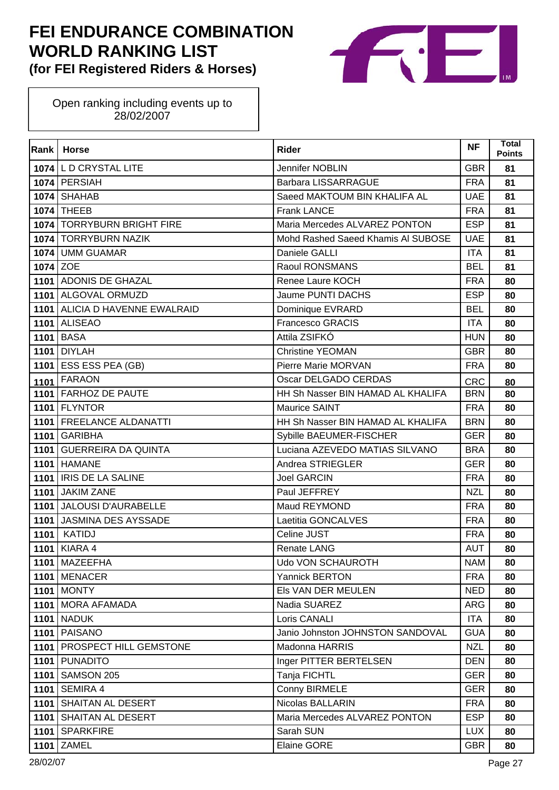

| Rank     | <b>Horse</b>                     | <b>Rider</b>                       | <b>NF</b>  | <b>Total</b><br><b>Points</b> |
|----------|----------------------------------|------------------------------------|------------|-------------------------------|
|          | 1074 L D CRYSTAL LITE            | Jennifer NOBLIN                    | <b>GBR</b> | 81                            |
|          | 1074 PERSIAH                     | Barbara LISSARRAGUE                | <b>FRA</b> | 81                            |
| 1074     | <b>SHAHAB</b>                    | Saeed MAKTOUM BIN KHALIFA AL       | <b>UAE</b> | 81                            |
|          | 1074 THEEB                       | <b>Frank LANCE</b>                 | <b>FRA</b> | 81                            |
|          | 1074   TORRYBURN BRIGHT FIRE     | Maria Mercedes ALVAREZ PONTON      | <b>ESP</b> | 81                            |
|          | 1074 TORRYBURN NAZIK             | Mohd Rashed Saeed Khamis AI SUBOSE | <b>UAE</b> | 81                            |
| 1074     | <b>UMM GUAMAR</b>                | Daniele GALLI                      | <b>ITA</b> | 81                            |
| 1074 ZOE |                                  | Raoul RONSMANS                     | <b>BEL</b> | 81                            |
|          | 1101 ADONIS DE GHAZAL            | Renee Laure KOCH                   | <b>FRA</b> | 80                            |
|          | 1101 ALGOVAL ORMUZD              | Jaume PUNTI DACHS                  | <b>ESP</b> | 80                            |
|          | 1101   ALICIA D HAVENNE EWALRAID | Dominique EVRARD                   | <b>BEL</b> | 80                            |
|          | <b>1101 ALISEAO</b>              | <b>Francesco GRACIS</b>            | <b>ITA</b> | 80                            |
|          | <b>1101 BASA</b>                 | Attila ZSIFKÓ                      | <b>HUN</b> | 80                            |
|          | <b>1101 DIYLAH</b>               | <b>Christine YEOMAN</b>            | <b>GBR</b> | 80                            |
|          | 1101 ESS ESS PEA (GB)            | Pierre Marie MORVAN                | <b>FRA</b> | 80                            |
|          | 1101 FARAON                      | Oscar DELGADO CERDAS               | <b>CRC</b> | 80                            |
|          | 1101 FARHOZ DE PAUTE             | HH Sh Nasser BIN HAMAD AL KHALIFA  | <b>BRN</b> | 80                            |
|          | <b>1101 FLYNTOR</b>              | Maurice SAINT                      | <b>FRA</b> | 80                            |
|          | 1101   FREELANCE ALDANATTI       | HH Sh Nasser BIN HAMAD AL KHALIFA  | <b>BRN</b> | 80                            |
|          | 1101 GARIBHA                     | Sybille BAEUMER-FISCHER            | <b>GER</b> | 80                            |
|          | 1101 GUERREIRA DA QUINTA         | Luciana AZEVEDO MATIAS SILVANO     | <b>BRA</b> | 80                            |
|          | <b>1101 HAMANE</b>               | Andrea STRIEGLER                   | <b>GER</b> | 80                            |
|          | 1101   IRIS DE LA SALINE         | <b>Joel GARCIN</b>                 | <b>FRA</b> | 80                            |
|          | 1101 JAKIM ZANE                  | Paul JEFFREY                       | <b>NZL</b> | 80                            |
|          | 1101 JALOUSI D'AURABELLE         | Maud REYMOND                       | <b>FRA</b> | 80                            |
|          | 1101 JASMINA DES AYSSADE         | Laetitia GONCALVES                 | <b>FRA</b> | 80                            |
| 1101     | <b>KATIDJ</b>                    | Celine JUST                        | <b>FRA</b> | 80                            |
|          | 1101   KIARA 4                   | <b>Renate LANG</b>                 | <b>AUT</b> | 80                            |
|          | 1101   MAZEEFHA                  | Udo VON SCHAUROTH                  | <b>NAM</b> | 80                            |
|          | 1101 MENACER                     | <b>Yannick BERTON</b>              | <b>FRA</b> | 80                            |
|          | <b>1101   MONTY</b>              | Els VAN DER MEULEN                 | <b>NED</b> | 80                            |
|          | 1101 MORA AFAMADA                | Nadia SUAREZ                       | ARG        | 80                            |
|          | <b>1101   NADUK</b>              | Loris CANALI                       | <b>ITA</b> | 80                            |
|          | <b>1101   PAISANO</b>            | Janio Johnston JOHNSTON SANDOVAL   | <b>GUA</b> | 80                            |
|          | 1101   PROSPECT HILL GEMSTONE    | Madonna HARRIS                     | <b>NZL</b> | 80                            |
|          | 1101 PUNADITO                    | Inger PITTER BERTELSEN             | <b>DEN</b> | 80                            |
| 1101     | SAMSON 205                       | Tanja FICHTL                       | <b>GER</b> | 80                            |
|          | 1101 SEMIRA 4                    | Conny BIRMELE                      | <b>GER</b> | 80                            |
|          | 1101   SHAITAN AL DESERT         | Nicolas BALLARIN                   | <b>FRA</b> | 80                            |
|          | 1101   SHAITAN AL DESERT         | Maria Mercedes ALVAREZ PONTON      | <b>ESP</b> | 80                            |
|          | 1101 SPARKFIRE                   | Sarah SUN                          | <b>LUX</b> | 80                            |
| 1101     | ZAMEL                            | <b>Elaine GORE</b>                 | <b>GBR</b> | 80                            |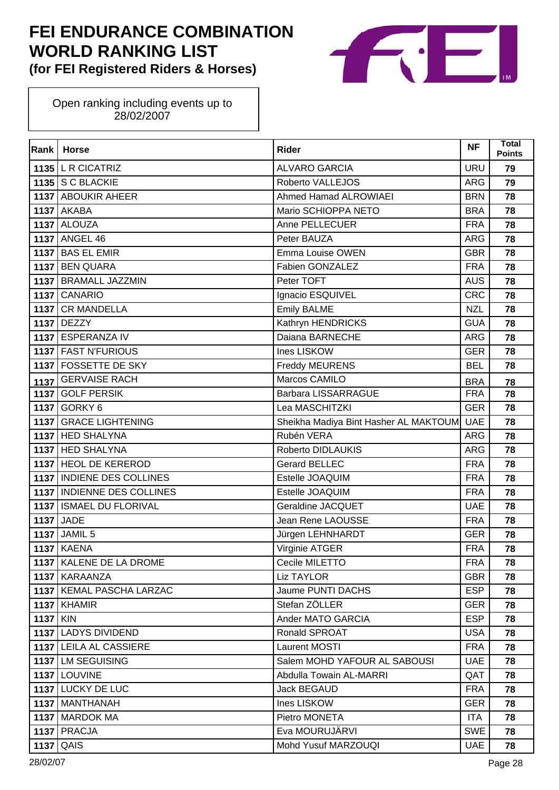

| Rank            | <b>Horse</b>               | <b>Rider</b>                          | <b>NF</b>  | <b>Total</b><br><b>Points</b> |
|-----------------|----------------------------|---------------------------------------|------------|-------------------------------|
|                 | $1135$ L R CICATRIZ        | <b>ALVARO GARCIA</b>                  | <b>URU</b> | 79                            |
|                 | 1135 S C BLACKIE           | Roberto VALLEJOS                      | <b>ARG</b> | 79                            |
|                 | 1137 ABOUKIR AHEER         | <b>Ahmed Hamad ALROWIAEI</b>          | <b>BRN</b> | 78                            |
|                 | <b>1137 AKABA</b>          | Mario SCHIOPPA NETO                   | <b>BRA</b> | 78                            |
|                 | 1137 ALOUZA                | Anne PELLECUER                        | <b>FRA</b> | 78                            |
|                 | 1137 ANGEL 46              | Peter BAUZA                           | <b>ARG</b> | 78                            |
| 1137            | <b>BAS EL EMIR</b>         | Emma Louise OWEN                      | <b>GBR</b> | 78                            |
|                 | 1137 BEN QUARA             | Fabien GONZALEZ                       | <b>FRA</b> | 78                            |
|                 | 1137 BRAMALL JAZZMIN       | Peter TOFT                            | <b>AUS</b> | 78                            |
|                 | 1137 CANARIO               | Ignacio ESQUIVEL                      | <b>CRC</b> | 78                            |
|                 | 1137 CR MANDELLA           | <b>Emily BALME</b>                    | <b>NZL</b> | 78                            |
|                 | 1137 DEZZY                 | Kathryn HENDRICKS                     | <b>GUA</b> | 78                            |
|                 | 1137 ESPERANZA IV          | Daiana BARNECHE                       | <b>ARG</b> | 78                            |
|                 | 1137 FAST N'FURIOUS        | Ines LISKOW                           | <b>GER</b> | 78                            |
|                 | 1137 FOSSETTE DE SKY       | Freddy MEURENS                        | <b>BEL</b> | 78                            |
| 1137            | <b>GERVAISE RACH</b>       | Marcos CAMILO                         | <b>BRA</b> | 78                            |
|                 | 1137 GOLF PERSIK           | <b>Barbara LISSARRAGUE</b>            | <b>FRA</b> | 78                            |
|                 | 1137 GORKY 6               | Lea MASCHITZKI                        | <b>GER</b> | 78                            |
| 1137            | <b>GRACE LIGHTENING</b>    | Sheikha Madiya Bint Hasher AL MAKTOUM | <b>UAE</b> | 78                            |
|                 | 1137 HED SHALYNA           | Rubén VERA                            | <b>ARG</b> | 78                            |
|                 | 1137 HED SHALYNA           | Roberto DIDLAUKIS                     | <b>ARG</b> | 78                            |
|                 | 1137 HEOL DE KEREROD       | <b>Gerard BELLEC</b>                  | <b>FRA</b> | 78                            |
|                 | 1137 INDIENE DES COLLINES  | Estelle JOAQUIM                       | <b>FRA</b> | 78                            |
|                 | 1137 INDIENNE DES COLLINES | Estelle JOAQUIM                       | <b>FRA</b> | 78                            |
|                 | 1137   ISMAEL DU FLORIVAL  | Geraldine JACQUET                     | <b>UAE</b> | 78                            |
|                 | <b>1137 JADE</b>           | Jean Rene LAOUSSE                     | <b>FRA</b> | 78                            |
|                 | 1137 JAMIL 5               | Jürgen LEHNHARDT                      | <b>GER</b> | 78                            |
|                 | <b>1137 KAENA</b>          | Virginie ATGER                        | <b>FRA</b> | 78                            |
|                 | 1137 KALENE DE LA DROME    | Cecile MILETTO                        | <b>FRA</b> | 78                            |
|                 | 1137 KARAANZA              | <b>Liz TAYLOR</b>                     | <b>GBR</b> | 78                            |
|                 | 1137   KEMAL PASCHA LARZAC | Jaume PUNTI DACHS                     | <b>ESP</b> | 78                            |
|                 | $1137$ KHAMIR              | Stefan ZÖLLER                         | <b>GER</b> | 78                            |
| <b>1137 KIN</b> |                            | Ander MATO GARCIA                     | <b>ESP</b> | 78                            |
|                 | 1137 LADYS DIVIDEND        | <b>Ronald SPROAT</b>                  | <b>USA</b> | 78                            |
|                 | 1137 LEILA AL CASSIERE     | Laurent MOSTI                         | <b>FRA</b> | 78                            |
|                 | 1137 LM SEGUISING          | Salem MOHD YAFOUR AL SABOUSI          | <b>UAE</b> | 78                            |
|                 | 1137 LOUVINE               | Abdulla Towain AL-MARRI               | QAT        | 78                            |
|                 | 1137 LUCKY DE LUC          | Jack BEGAUD                           | <b>FRA</b> | 78                            |
|                 | 1137 MANTHANAH             | Ines LISKOW                           | <b>GER</b> | 78                            |
|                 | 1137   MARDOK MA           | Pietro MONETA                         | <b>ITA</b> | 78                            |
|                 | 1137 PRACJA                | Eva MOURUJÄRVI                        | <b>SWE</b> | 78                            |
| 1137            | QAIS                       | Mohd Yusuf MARZOUQI                   | <b>UAE</b> | 78                            |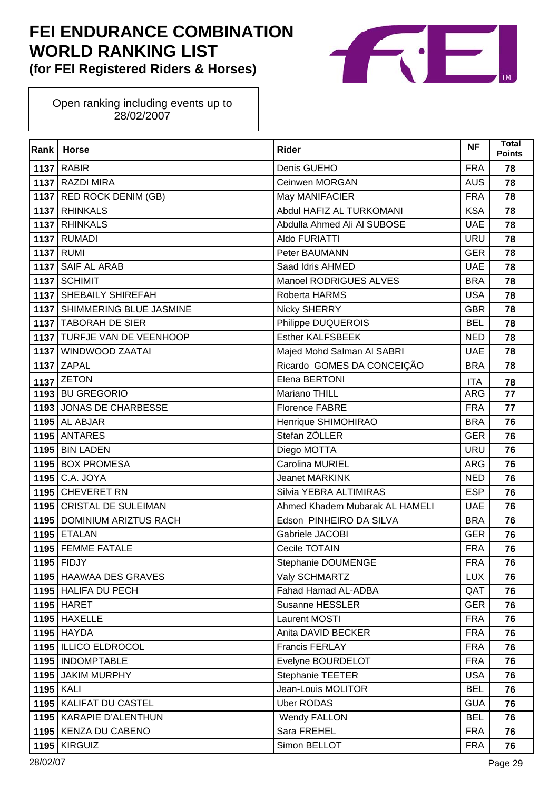

| Rank             | <b>Horse</b>                 | <b>Rider</b>                   | <b>NF</b>  | <b>Total</b><br><b>Points</b> |
|------------------|------------------------------|--------------------------------|------------|-------------------------------|
|                  | <b>1137 RABIR</b>            | Denis GUEHO                    | <b>FRA</b> | 78                            |
|                  | 1137 RAZDI MIRA              | Ceinwen MORGAN                 | <b>AUS</b> | 78                            |
|                  | 1137 RED ROCK DENIM (GB)     | May MANIFACIER                 | <b>FRA</b> | 78                            |
|                  | 1137 RHINKALS                | Abdul HAFIZ AL TURKOMANI       | <b>KSA</b> | 78                            |
|                  | 1137 RHINKALS                | Abdulla Ahmed Ali Al SUBOSE    | <b>UAE</b> | 78                            |
|                  | <b>1137 RUMADI</b>           | Aldo FURIATTI                  | <b>URU</b> | 78                            |
|                  | <b>1137 RUMI</b>             | Peter BAUMANN                  | <b>GER</b> | 78                            |
|                  | 1137 SAIF AL ARAB            | Saad Idris AHMED               | <b>UAE</b> | 78                            |
|                  | 1137 SCHIMIT                 | Manoel RODRIGUES ALVES         | <b>BRA</b> | 78                            |
|                  | 1137 SHEBAILY SHIREFAH       | Roberta HARMS                  | <b>USA</b> | 78                            |
|                  | 1137 SHIMMERING BLUE JASMINE | <b>Nicky SHERRY</b>            | <b>GBR</b> | 78                            |
|                  | 1137 TABORAH DE SIER         | Philippe DUQUEROIS             | <b>BEL</b> | 78                            |
|                  | 1137 TURFJE VAN DE VEENHOOP  | <b>Esther KALFSBEEK</b>        | <b>NED</b> | 78                            |
|                  | 1137   WINDWOOD ZAATAI       | Majed Mohd Salman AI SABRI     | <b>UAE</b> | 78                            |
|                  | <b>1137 ZAPAL</b>            | Ricardo GOMES DA CONCEIÇÃO     | <b>BRA</b> | 78                            |
|                  | $1137$ ZETON                 | Elena BERTONI                  | <b>ITA</b> | 78                            |
|                  | 1193 BU GREGORIO             | Mariano THILL                  | <b>ARG</b> | 77                            |
|                  | 1193 JONAS DE CHARBESSE      | <b>Florence FABRE</b>          | <b>FRA</b> | 77                            |
|                  | <b>1195 AL ABJAR</b>         | Henrique SHIMOHIRAO            | <b>BRA</b> | 76                            |
|                  | 1195 ANTARES                 | Stefan ZÖLLER                  | <b>GER</b> | 76                            |
|                  | <b>1195 BIN LADEN</b>        | Diego MOTTA                    | <b>URU</b> | 76                            |
|                  | 1195 BOX PROMESA             | Carolina MURIEL                | <b>ARG</b> | 76                            |
| 1195             | C.A. JOYA                    | <b>Jeanet MARKINK</b>          | <b>NED</b> | 76                            |
|                  | 1195 CHEVERET RN             | Silvia YEBRA ALTIMIRAS         | <b>ESP</b> | 76                            |
|                  | 1195 CRISTAL DE SULEIMAN     | Ahmed Khadem Mubarak AL HAMELI | <b>UAE</b> | 76                            |
|                  | 1195 DOMINIUM ARIZTUS RACH   | Edson PINHEIRO DA SILVA        | <b>BRA</b> | 76                            |
|                  | <b>1195 ETALAN</b>           | Gabriele JACOBI                | <b>GER</b> | 76                            |
|                  | 1195 FEMME FATALE            | Cecile TOTAIN                  | <b>FRA</b> | 76                            |
|                  | $1195$ FIDJY                 | Stephanie DOUMENGE             | <b>FRA</b> | 76                            |
|                  | 1195 HAAWAA DES GRAVES       | Valy SCHMARTZ                  | <b>LUX</b> | 76                            |
|                  | 1195 HALIFA DU PECH          | Fahad Hamad AL-ADBA            | QAT        | 76                            |
|                  | <b>1195 HARET</b>            | Susanne HESSLER                | <b>GER</b> | 76                            |
|                  | $1195$ HAXELLE               | Laurent MOSTI                  | <b>FRA</b> | 76                            |
|                  | $1195$ HAYDA                 | Anita DAVID BECKER             | <b>FRA</b> | 76                            |
|                  | 1195   ILLICO ELDROCOL       | Francis FERLAY                 | <b>FRA</b> | 76                            |
|                  | 1195   INDOMPTABLE           | Evelyne BOURDELOT              | <b>FRA</b> | 76                            |
|                  | 1195 JAKIM MURPHY            | Stephanie TEETER               | <b>USA</b> | 76                            |
| <b>1195 KALI</b> |                              | Jean-Louis MOLITOR             | <b>BEL</b> | 76                            |
|                  | 1195   KALIFAT DU CASTEL     | <b>Uber RODAS</b>              | <b>GUA</b> | 76                            |
|                  | 1195   KARAPIE D'ALENTHUN    | <b>Wendy FALLON</b>            | <b>BEL</b> | 76                            |
|                  | 1195 KENZA DU CABENO         | Sara FREHEL                    | <b>FRA</b> | 76                            |
|                  | 1195 KIRGUIZ                 | Simon BELLOT                   | <b>FRA</b> | 76                            |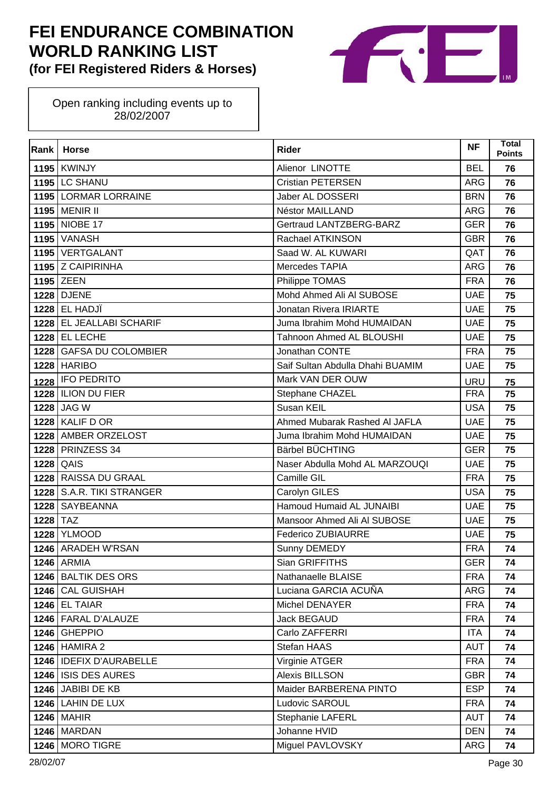

| Rank | <b>Horse</b>              | <b>Rider</b>                     | <b>NF</b>  | <b>Total</b><br><b>Points</b> |
|------|---------------------------|----------------------------------|------------|-------------------------------|
|      | <b>1195   KWINJY</b>      | Alienor LINOTTE                  | <b>BEL</b> | 76                            |
|      | <b>1195 LC SHANU</b>      | <b>Cristian PETERSEN</b>         | ARG        | 76                            |
|      | 1195 LORMAR LORRAINE      | Jaber AL DOSSERI                 | <b>BRN</b> | 76                            |
|      | 1195 MENIR II             | Néstor MAILLAND                  | <b>ARG</b> | 76                            |
|      | 1195 NIOBE 17             | Gertraud LANTZBERG-BARZ          | <b>GER</b> | 76                            |
|      | <b>1195 VANASH</b>        | Rachael ATKINSON                 | <b>GBR</b> | 76                            |
|      | 1195 VERTGALANT           | Saad W. AL KUWARI                | QAT        | 76                            |
|      | 1195 Z CAIPIRINHA         | Mercedes TAPIA                   | <b>ARG</b> | 76                            |
|      | 1195 ZEEN                 | Philippe TOMAS                   | <b>FRA</b> | 76                            |
|      | <b>1228 DJENE</b>         | Mohd Ahmed Ali Al SUBOSE         | <b>UAE</b> | 75                            |
|      | 1228 EL HADJİ             | Jonatan Rivera IRIARTE           | <b>UAE</b> | 75                            |
|      | 1228 EL JEALLABI SCHARIF  | Juma Ibrahim Mohd HUMAIDAN       | <b>UAE</b> | 75                            |
|      | 1228 EL LECHE             | Tahnoon Ahmed AL BLOUSHI         | <b>UAE</b> | 75                            |
|      | 1228 GAFSA DU COLOMBIER   | Jonathan CONTE                   | <b>FRA</b> | 75                            |
|      | <b>1228 HARIBO</b>        | Saif Sultan Abdulla Dhahi BUAMIM | <b>UAE</b> | 75                            |
| 1228 | <b>IFO PEDRITO</b>        | Mark VAN DER OUW                 | <b>URU</b> | 75                            |
|      | 1228   ILION DU FIER      | Stephane CHAZEL                  | <b>FRA</b> | 75                            |
|      | 1228 JAG W                | Susan KEIL                       | <b>USA</b> | 75                            |
| 1228 | <b>KALIF D OR</b>         | Ahmed Mubarak Rashed AI JAFLA    | <b>UAE</b> | 75                            |
|      | 1228 AMBER ORZELOST       | Juma Ibrahim Mohd HUMAIDAN       | <b>UAE</b> | 75                            |
|      | <b>1228 PRINZESS 34</b>   | Bärbel BÜCHTING                  | <b>GER</b> | 75                            |
|      | <b>1228 QAIS</b>          | Naser Abdulla Mohd AL MARZOUQI   | <b>UAE</b> | 75                            |
|      | 1228 RAISSA DU GRAAL      | Camille GIL                      | <b>FRA</b> | 75                            |
|      | 1228 S.A.R. TIKI STRANGER | Carolyn GILES                    | <b>USA</b> | 75                            |
| 1228 | <b>SAYBEANNA</b>          | Hamoud Humaid AL JUNAIBI         | <b>UAE</b> | 75                            |
| 1228 | <b>TAZ</b>                | Mansoor Ahmed Ali Al SUBOSE      | <b>UAE</b> | 75                            |
| 1228 | <b>YLMOOD</b>             | <b>Federico ZUBIAURRE</b>        | <b>UAE</b> | 75                            |
|      | 1246 ARADEH W'RSAN        | Sunny DEMEDY                     | <b>FRA</b> | 74                            |
|      | <b>1246</b> ARMIA         | Sian GRIFFITHS                   | <b>GER</b> | 74                            |
|      | 1246 BALTIK DES ORS       | Nathanaelle BLAISE               | <b>FRA</b> | 74                            |
|      | 1246 CAL GUISHAH          | Luciana GARCIA ACUÑA             | ARG        | 74                            |
|      | $1246$ EL TAIAR           | Michel DENAYER                   | <b>FRA</b> | 74                            |
|      | 1246 FARAL D'ALAUZE       | Jack BEGAUD                      | <b>FRA</b> | 74                            |
|      | 1246 GHEPPIO              | Carlo ZAFFERRI                   | <b>ITA</b> | 74                            |
|      | <b>1246 HAMIRA 2</b>      | Stefan HAAS                      | <b>AUT</b> | 74                            |
|      | 1246   IDEFIX D'AURABELLE | Virginie ATGER                   | <b>FRA</b> | 74                            |
|      | 1246 ISIS DES AURES       | Alexis BILLSON                   | <b>GBR</b> | 74                            |
|      | <b>1246</b> JABIBI DE KB  | Maider BARBERENA PINTO           | <b>ESP</b> | 74                            |
|      | 1246 LAHIN DE LUX         | Ludovic SAROUL                   | <b>FRA</b> | 74                            |
|      | <b>1246 MAHIR</b>         | <b>Stephanie LAFERL</b>          | <b>AUT</b> | 74                            |
|      | 1246 MARDAN               | Johanne HVID                     | <b>DEN</b> | 74                            |
|      | 1246 MORO TIGRE           | Miguel PAVLOVSKY                 | ARG        | 74                            |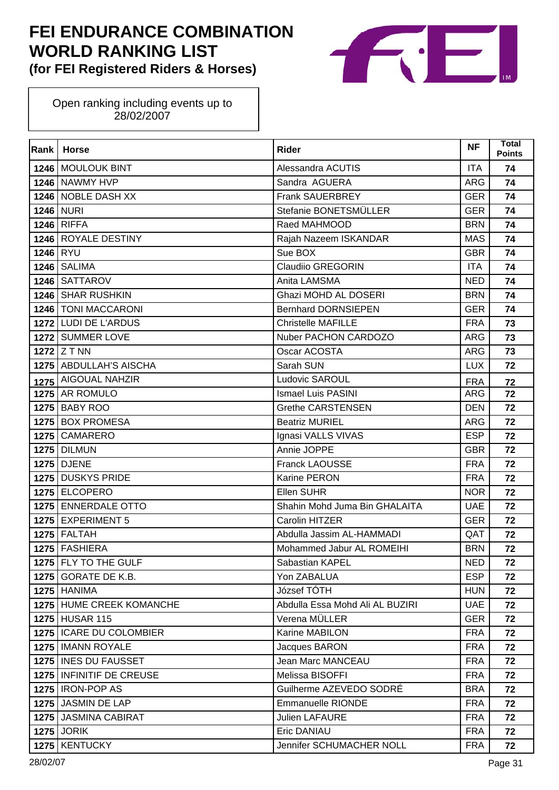

| Rank     | <b>Horse</b>              | <b>Rider</b>                    | <b>NF</b>  | <b>Total</b><br><b>Points</b> |
|----------|---------------------------|---------------------------------|------------|-------------------------------|
|          | 1246 MOULOUK BINT         | Alessandra ACUTIS               | <b>ITA</b> | 74                            |
|          | 1246 NAWMY HVP            | Sandra AGUERA                   | ARG        | 74                            |
|          | 1246 NOBLE DASH XX        | <b>Frank SAUERBREY</b>          | <b>GER</b> | 74                            |
|          | 1246 NURI                 | Stefanie BONETSMÜLLER           | <b>GER</b> | 74                            |
|          | <b>1246 RIFFA</b>         | Raed MAHMOOD                    | <b>BRN</b> | 74                            |
|          | 1246 ROYALE DESTINY       | Rajah Nazeem ISKANDAR           | <b>MAS</b> | 74                            |
| 1246 RYU |                           | Sue BOX                         | <b>GBR</b> | 74                            |
|          | <b>1246   SALIMA</b>      | Claudiio GREGORIN               | <b>ITA</b> | 74                            |
|          | 1246 SATTAROV             | Anita LAMSMA                    | <b>NED</b> | 74                            |
|          | 1246 SHAR RUSHKIN         | Ghazi MOHD AL DOSERI            | <b>BRN</b> | 74                            |
|          | 1246 TONI MACCARONI       | <b>Bernhard DORNSIEPEN</b>      | <b>GER</b> | 74                            |
|          | 1272 LUDI DE L'ARDUS      | <b>Christelle MAFILLE</b>       | <b>FRA</b> | 73                            |
|          | 1272 SUMMER LOVE          | Nuber PACHON CARDOZO            | <b>ARG</b> | 73                            |
|          | 1272 $Z$ T NN             | Oscar ACOSTA                    | <b>ARG</b> | 73                            |
|          | 1275   ABDULLAH'S AISCHA  | Sarah SUN                       | <b>LUX</b> | 72                            |
|          | 1275 AIGOUAL NAHZIR       | Ludovic SAROUL                  | <b>FRA</b> | 72                            |
|          | 1275 AR ROMULO            | <b>Ismael Luis PASINI</b>       | <b>ARG</b> | 72                            |
|          | 1275 BABY ROO             | <b>Grethe CARSTENSEN</b>        | <b>DEN</b> | 72                            |
|          | 1275 BOX PROMESA          | <b>Beatriz MURIEL</b>           | <b>ARG</b> | 72                            |
|          | 1275 CAMARERO             | Ignasi VALLS VIVAS              | <b>ESP</b> | 72                            |
|          | <b>1275 DILMUN</b>        | Annie JOPPE                     | <b>GBR</b> | 72                            |
|          | 1275 DJENE                | Franck LAOUSSE                  | <b>FRA</b> | 72                            |
| 1275     | <b>DUSKYS PRIDE</b>       | Karine PERON                    | <b>FRA</b> | 72                            |
|          | 1275 ELCOPERO             | Ellen SUHR                      | <b>NOR</b> | 72                            |
|          | 1275 ENNERDALE OTTO       | Shahin Mohd Juma Bin GHALAITA   | <b>UAE</b> | 72                            |
|          | 1275 EXPERIMENT 5         | Carolin HITZER                  | <b>GER</b> | 72                            |
|          | $1275$ FALTAH             | Abdulla Jassim AL-HAMMADI       | QAT        | 72                            |
|          | 1275 FASHIERA             | Mohammed Jabur AL ROMEIHI       | <b>BRN</b> | 72                            |
|          | 1275 FLY TO THE GULF      | Sabastian KAPEL                 | <b>NED</b> | 72                            |
|          | $1275$ GORATE DE K.B.     | Yon ZABALUA                     | <b>ESP</b> | 72                            |
|          | <b>1275 HANIMA</b>        | József TÓTH                     | <b>HUN</b> | 72                            |
|          | 1275 HUME CREEK KOMANCHE  | Abdulla Essa Mohd Ali AL BUZIRI | <b>UAE</b> | 72                            |
|          | <b>1275 HUSAR 115</b>     | Verena MÜLLER                   | <b>GER</b> | 72                            |
|          | 1275   ICARE DU COLOMBIER | Karine MABILON                  | <b>FRA</b> | 72                            |
|          | 1275   IMANN ROYALE       | Jacques BARON                   | <b>FRA</b> | 72                            |
|          | 1275   INES DU FAUSSET    | Jean Marc MANCEAU               | <b>FRA</b> | 72                            |
|          | 1275 INFINITIF DE CREUSE  | Melissa BISOFFI                 | <b>FRA</b> | 72                            |
|          | 1275   IRON-POP AS        | Guilherme AZEVEDO SODRÉ         | <b>BRA</b> | 72                            |
|          | 1275 JASMIN DE LAP        | <b>Emmanuelle RIONDE</b>        | <b>FRA</b> | 72                            |
|          | 1275 JASMINA CABIRAT      | <b>Julien LAFAURE</b>           | <b>FRA</b> | 72                            |
|          | <b>1275 JORIK</b>         | <b>Eric DANIAU</b>              | <b>FRA</b> | 72                            |
| 1275     | <b>KENTUCKY</b>           | Jennifer SCHUMACHER NOLL        | <b>FRA</b> | 72                            |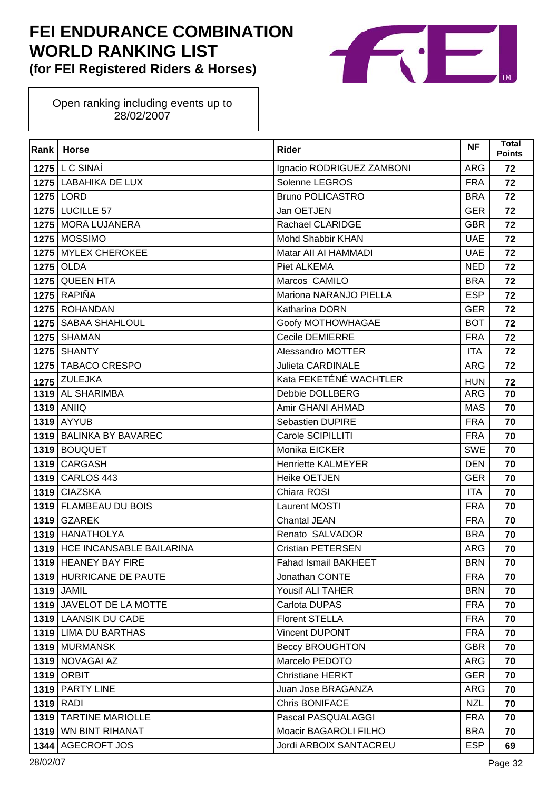

| Rank | <b>Horse</b>                  | <b>Rider</b>                | <b>NF</b>  | <b>Total</b><br><b>Points</b> |
|------|-------------------------------|-----------------------------|------------|-------------------------------|
|      | <b>1275 L C SINAÍ</b>         | Ignacio RODRIGUEZ ZAMBONI   | <b>ARG</b> | 72                            |
|      | 1275 LABAHIKA DE LUX          | Solenne LEGROS              | <b>FRA</b> | 72                            |
|      | 1275 LORD                     | <b>Bruno POLICASTRO</b>     | <b>BRA</b> | 72                            |
|      | <b>1275 LUCILLE 57</b>        | Jan OETJEN                  | <b>GER</b> | 72                            |
|      | 1275 MORA LUJANERA            | Rachael CLARIDGE            | <b>GBR</b> | 72                            |
|      | 1275 MOSSIMO                  | <b>Mohd Shabbir KHAN</b>    | <b>UAE</b> | 72                            |
|      | 1275 MYLEX CHEROKEE           | Matar All AI HAMMADI        | <b>UAE</b> | 72                            |
|      | 1275 OLDA                     | Piet ALKEMA                 | <b>NED</b> | 72                            |
|      | 1275 QUEEN HTA                | Marcos CAMILO               | <b>BRA</b> | 72                            |
|      | <b>1275 RAPIÑA</b>            | Mariona NARANJO PIELLA      | <b>ESP</b> | 72                            |
| 1275 | <b>ROHANDAN</b>               | Katharina DORN              | <b>GER</b> | 72                            |
|      | 1275   SABAA SHAHLOUL         | Goofy MOTHOWHAGAE           | <b>BOT</b> | 72                            |
|      | <b>1275 SHAMAN</b>            | <b>Cecile DEMIERRE</b>      | <b>FRA</b> | 72                            |
|      | <b>1275 SHANTY</b>            | Alessandro MOTTER           | <b>ITA</b> | 72                            |
|      | 1275 TABACO CRESPO            | <b>Julieta CARDINALE</b>    | <b>ARG</b> | 72                            |
|      | <b>1275 ZULEJKA</b>           | Kata FEKETÉNÉ WACHTLER      | <b>HUN</b> | 72                            |
|      | 1319 AL SHARIMBA              | Debbie DOLLBERG             | <b>ARG</b> | 70                            |
|      | <b>1319 ANIIQ</b>             | Amir GHANI AHMAD            | <b>MAS</b> | 70                            |
| 1319 | <b>AYYUB</b>                  | <b>Sebastien DUPIRE</b>     | <b>FRA</b> | 70                            |
|      | 1319 BALINKA BY BAVAREC       | Carole SCIPILLITI           | <b>FRA</b> | 70                            |
|      | 1319 BOUQUET                  | Monika EICKER               | <b>SWE</b> | 70                            |
|      | 1319 CARGASH                  | <b>Henriette KALMEYER</b>   | <b>DEN</b> | 70                            |
|      | 1319 CARLOS 443               | <b>Heike OETJEN</b>         | <b>GER</b> | 70                            |
|      | 1319 CIAZSKA                  | Chiara ROSI                 | <b>ITA</b> | 70                            |
|      | 1319   FLAMBEAU DU BOIS       | Laurent MOSTI               | <b>FRA</b> | 70                            |
|      | <b>1319 GZAREK</b>            | Chantal JEAN                | <b>FRA</b> | 70                            |
|      | 1319 HANATHOLYA               | Renato SALVADOR             | <b>BRA</b> | 70                            |
|      | 1319 HCE INCANSABLE BAILARINA | <b>Cristian PETERSEN</b>    | <b>ARG</b> | 70                            |
|      | 1319 HEANEY BAY FIRE          | <b>Fahad Ismail BAKHEET</b> | <b>BRN</b> | 70                            |
|      | 1319 HURRICANE DE PAUTE       | Jonathan CONTE              | <b>FRA</b> | 70                            |
|      | <b>1319 JAMIL</b>             | Yousif ALI TAHER            | <b>BRN</b> | 70                            |
|      | 1319 JAVELOT DE LA MOTTE      | Carlota DUPAS               | <b>FRA</b> | 70                            |
|      | 1319 LAANSIK DU CADE          | <b>Florent STELLA</b>       | <b>FRA</b> | 70                            |
|      | 1319 LIMA DU BARTHAS          | <b>Vincent DUPONT</b>       | <b>FRA</b> | 70                            |
|      | 1319 MURMANSK                 | <b>Beccy BROUGHTON</b>      | <b>GBR</b> | 70                            |
|      | 1319 NOVAGAI AZ               | Marcelo PEDOTO              | <b>ARG</b> | 70                            |
| 1319 | <b>ORBIT</b>                  | <b>Christiane HERKT</b>     | <b>GER</b> | 70                            |
|      | 1319 PARTY LINE               | Juan Jose BRAGANZA          | <b>ARG</b> | 70                            |
|      | $1319$ RADI                   | <b>Chris BONIFACE</b>       | <b>NZL</b> | 70                            |
| 1319 | <b>TARTINE MARIOLLE</b>       | Pascal PASQUALAGGI          | <b>FRA</b> | 70                            |
| 1319 | <b>WN BINT RIHANAT</b>        | Moacir BAGAROLI FILHO       | <b>BRA</b> | 70                            |
| 1344 | AGECROFT JOS                  | Jordi ARBOIX SANTACREU      | <b>ESP</b> | 69                            |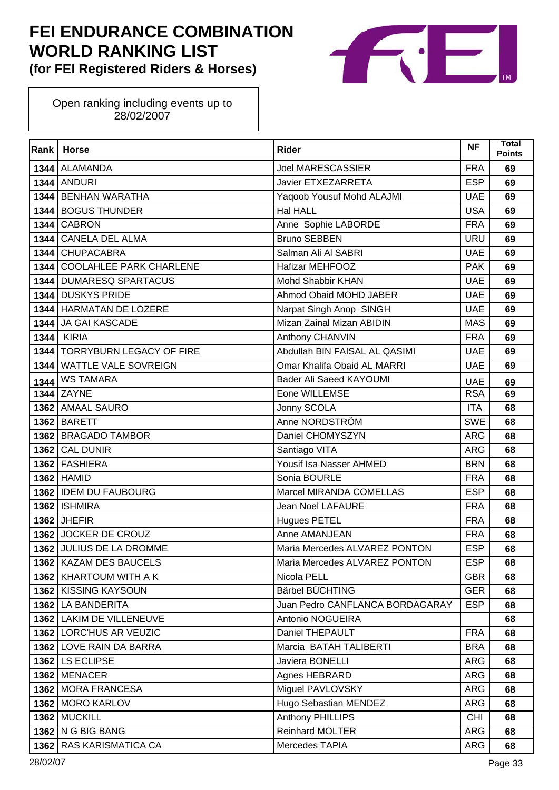

| Rank | <b>Horse</b>                  | <b>Rider</b>                    | <b>NF</b>  | Total<br><b>Points</b> |
|------|-------------------------------|---------------------------------|------------|------------------------|
|      | 1344 ALAMANDA                 | <b>Joel MARESCASSIER</b>        | <b>FRA</b> | 69                     |
|      | <b>1344 ANDURI</b>            | Javier ETXEZARRETA              | <b>ESP</b> | 69                     |
| 1344 | <b>BENHAN WARATHA</b>         | Yaqoob Yousuf Mohd ALAJMI       | <b>UAE</b> | 69                     |
|      | 1344 BOGUS THUNDER            | Hal HALL                        | <b>USA</b> | 69                     |
| 1344 | <b>CABRON</b>                 | Anne Sophie LABORDE             | <b>FRA</b> | 69                     |
|      | 1344 CANELA DEL ALMA          | <b>Bruno SEBBEN</b>             | <b>URU</b> | 69                     |
| 1344 | <b>CHUPACABRA</b>             | Salman Ali Al SABRI             | <b>UAE</b> | 69                     |
|      | 1344 COOLAHLEE PARK CHARLENE  | Hafizar MEHFOOZ                 | <b>PAK</b> | 69                     |
|      | 1344 DUMARESQ SPARTACUS       | Mohd Shabbir KHAN               | <b>UAE</b> | 69                     |
|      | 1344 DUSKYS PRIDE             | Ahmod Obaid MOHD JABER          | <b>UAE</b> | 69                     |
| 1344 | <b>HARMATAN DE LOZERE</b>     | Narpat Singh Anop SINGH         | <b>UAE</b> | 69                     |
|      | 1344 JA GAI KASCADE           | Mizan Zainal Mizan ABIDIN       | <b>MAS</b> | 69                     |
| 1344 | KIRIA                         | Anthony CHANVIN                 | <b>FRA</b> | 69                     |
|      | 1344 TORRYBURN LEGACY OF FIRE | Abdullah BIN FAISAL AL QASIMI   | <b>UAE</b> | 69                     |
| 1344 | <b>WATTLE VALE SOVREIGN</b>   | Omar Khalifa Obaid AL MARRI     | <b>UAE</b> | 69                     |
| 1344 | <b>WS TAMARA</b>              | Bader Ali Saeed KAYOUMI         | <b>UAE</b> | 69                     |
|      | 1344 ZAYNE                    | Eone WILLEMSE                   | <b>RSA</b> | 69                     |
|      | 1362 AMAAL SAURO              | Jonny SCOLA                     | <b>ITA</b> | 68                     |
|      | <b>1362 BARETT</b>            | Anne NORDSTRÖM                  | <b>SWE</b> | 68                     |
|      | 1362 BRAGADO TAMBOR           | Daniel CHOMYSZYN                | <b>ARG</b> | 68                     |
|      | 1362 CAL DUNIR                | Santiago VITA                   | <b>ARG</b> | 68                     |
|      | 1362 FASHIERA                 | Yousif Isa Nasser AHMED         | <b>BRN</b> | 68                     |
|      | 1362 HAMID                    | Sonia BOURLE                    | <b>FRA</b> | 68                     |
|      | 1362 IDEM DU FAUBOURG         | Marcel MIRANDA COMELLAS         | <b>ESP</b> | 68                     |
|      | <b>1362   ISHMIRA</b>         | Jean Noel LAFAURE               | <b>FRA</b> | 68                     |
|      | 1362 JHEFIR                   | <b>Hugues PETEL</b>             | <b>FRA</b> | 68                     |
|      | 1362 JOCKER DE CROUZ          | Anne AMANJEAN                   | <b>FRA</b> | 68                     |
|      | 1362 JULIUS DE LA DROMME      | Maria Mercedes ALVAREZ PONTON   | <b>ESP</b> | 68                     |
|      | 1362   KAZAM DES BAUCELS      | Maria Mercedes ALVAREZ PONTON   | ESP        | 68                     |
|      | 1362 KHARTOUM WITH A K        | Nicola PELL                     | <b>GBR</b> | 68                     |
|      | 1362 KISSING KAYSOUN          | Bärbel BÜCHTING                 | <b>GER</b> | 68                     |
|      | 1362 LA BANDERITA             | Juan Pedro CANFLANCA BORDAGARAY | <b>ESP</b> | 68                     |
|      | 1362 LAKIM DE VILLENEUVE      | Antonio NOGUEIRA                |            | 68                     |
|      | 1362 LORC'HUS AR VEUZIC       | Daniel THEPAULT                 | <b>FRA</b> | 68                     |
|      | 1362 LOVE RAIN DA BARRA       | Marcia BATAH TALIBERTI          | <b>BRA</b> | 68                     |
|      | 1362 LS ECLIPSE               | Javiera BONELLI                 | ARG        | 68                     |
|      | 1362 MENACER                  | Agnes HEBRARD                   | ARG        | 68                     |
|      | 1362 MORA FRANCESA            | Miguel PAVLOVSKY                | <b>ARG</b> | 68                     |
|      | 1362 MORO KARLOV              | Hugo Sebastian MENDEZ           | ARG        | 68                     |
|      | 1362 MUCKILL                  | Anthony PHILLIPS                | <b>CHI</b> | 68                     |
|      | 1362 N G BIG BANG             | <b>Reinhard MOLTER</b>          | ARG        | 68                     |
|      | 1362 RAS KARISMATICA CA       | Mercedes TAPIA                  | ARG        | 68                     |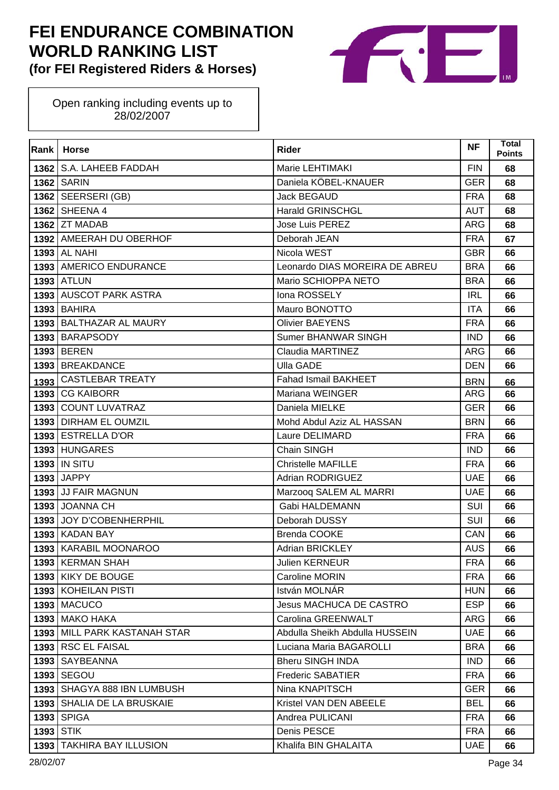

| Rank | <b>Horse</b>                 | <b>Rider</b>                   | <b>NF</b>  | <b>Total</b><br><b>Points</b> |
|------|------------------------------|--------------------------------|------------|-------------------------------|
|      | 1362   S.A. LAHEEB FADDAH    | Marie LEHTIMAKI                | <b>FIN</b> | 68                            |
|      | <b>1362   SARIN</b>          | Daniela KÖBEL-KNAUER           | <b>GER</b> | 68                            |
|      | $1362$ SEERSERI (GB)         | Jack BEGAUD                    | <b>FRA</b> | 68                            |
|      | 1362 SHEENA 4                | <b>Harald GRINSCHGL</b>        | <b>AUT</b> | 68                            |
|      | 1362 ZT MADAB                | <b>Jose Luis PEREZ</b>         | <b>ARG</b> | 68                            |
|      | 1392 AMEERAH DU OBERHOF      | Deborah JEAN                   | <b>FRA</b> | 67                            |
| 1393 | <b>AL NAHI</b>               | Nicola WEST                    | <b>GBR</b> | 66                            |
|      | 1393   AMERICO ENDURANCE     | Leonardo DIAS MOREIRA DE ABREU | <b>BRA</b> | 66                            |
|      | <b>1393 ATLUN</b>            | Mario SCHIOPPA NETO            | <b>BRA</b> | 66                            |
|      | 1393 AUSCOT PARK ASTRA       | Iona ROSSELY                   | <b>IRL</b> | 66                            |
| 1393 | <b>BAHIRA</b>                | Mauro BONOTTO                  | <b>ITA</b> | 66                            |
|      | 1393 BALTHAZAR AL MAURY      | <b>Olivier BAEYENS</b>         | <b>FRA</b> | 66                            |
|      | 1393 BARAPSODY               | Sumer BHANWAR SINGH            | <b>IND</b> | 66                            |
|      | 1393 BEREN                   | Claudia MARTINEZ               | <b>ARG</b> | 66                            |
| 1393 | <b>BREAKDANCE</b>            | <b>Ulla GADE</b>               | <b>DEN</b> | 66                            |
| 1393 | <b>CASTLEBAR TREATY</b>      | <b>Fahad Ismail BAKHEET</b>    | <b>BRN</b> | 66                            |
|      | 1393 CG KAIBORR              | Mariana WEINGER                | <b>ARG</b> | 66                            |
| 1393 | <b>COUNT LUVATRAZ</b>        | Daniela MIELKE                 | <b>GER</b> | 66                            |
|      | 1393   DIRHAM EL OUMZIL      | Mohd Abdul Aziz AL HASSAN      | <b>BRN</b> | 66                            |
|      | 1393 ESTRELLA D'OR           | Laure DELIMARD                 | <b>FRA</b> | 66                            |
|      | 1393 HUNGARES                | Chain SINGH                    | <b>IND</b> | 66                            |
|      | 1393   IN SITU               | <b>Christelle MAFILLE</b>      | <b>FRA</b> | 66                            |
| 1393 | <b>JAPPY</b>                 | Adrian RODRIGUEZ               | <b>UAE</b> | 66                            |
|      | 1393 JJ FAIR MAGNUN          | Marzooq SALEM AL MARRI         | <b>UAE</b> | 66                            |
|      | 1393 JOANNA CH               | <b>Gabi HALDEMANN</b>          | SUI        | 66                            |
| 1393 | JOY D'COBENHERPHIL           | Deborah DUSSY                  | SUI        | 66                            |
| 1393 | <b>KADAN BAY</b>             | <b>Brenda COOKE</b>            | CAN        | 66                            |
|      | 1393   KARABIL MOONAROO      | <b>Adrian BRICKLEY</b>         | <b>AUS</b> | 66                            |
|      | 1393 KERMAN SHAH             | <b>Julien KERNEUR</b>          | <b>FRA</b> | 66                            |
|      | 1393 KIKY DE BOUGE           | <b>Caroline MORIN</b>          | <b>FRA</b> | 66                            |
|      | 1393   KOHEILAN PISTI        | István MOLNÁR                  | <b>HUN</b> | 66                            |
|      | <b>1393   MACUCO</b>         | Jesus MACHUCA DE CASTRO        | <b>ESP</b> | 66                            |
| 1393 | <b>MAKO HAKA</b>             | Carolina GREENWALT             | ARG        | 66                            |
|      | 1393 MILL PARK KASTANAH STAR | Abdulla Sheikh Abdulla HUSSEIN | <b>UAE</b> | 66                            |
|      | 1393 RSC EL FAISAL           | Luciana Maria BAGAROLLI        | <b>BRA</b> | 66                            |
| 1393 | SAYBEANNA                    | <b>Bheru SINGH INDA</b>        | <b>IND</b> | 66                            |
| 1393 | SEGOU                        | <b>Frederic SABATIER</b>       | <b>FRA</b> | 66                            |
| 1393 | SHAGYA 888 IBN LUMBUSH       | Nina KNAPITSCH                 | <b>GER</b> | 66                            |
|      | 1393 SHALIA DE LA BRUSKAIE   | Kristel VAN DEN ABEELE         | <b>BEL</b> | 66                            |
| 1393 | <b>SPIGA</b>                 | Andrea PULICANI                | <b>FRA</b> | 66                            |
|      | <b>1393 STIK</b>             | Denis PESCE                    | <b>FRA</b> | 66                            |
| 1393 | TAKHIRA BAY ILLUSION         | Khalifa BIN GHALAITA           | <b>UAE</b> | 66                            |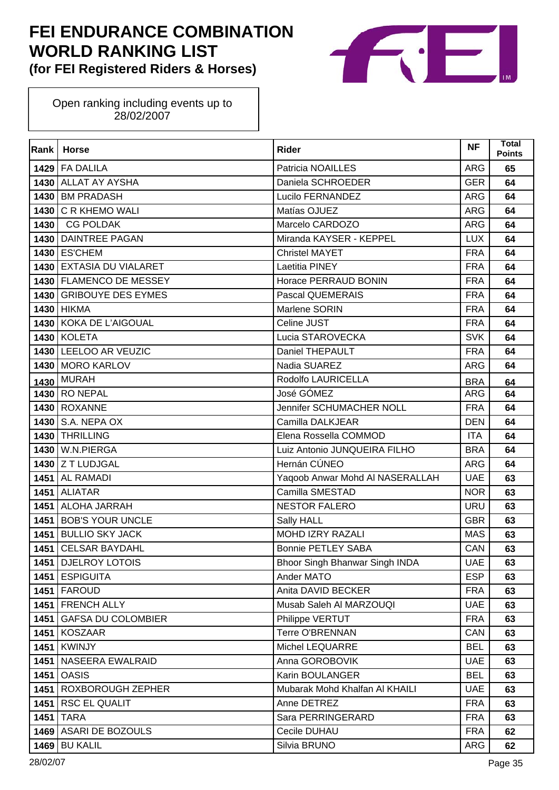

| Rank | <b>Horse</b>              | <b>Rider</b>                    | <b>NF</b>  | <b>Total</b><br><b>Points</b> |
|------|---------------------------|---------------------------------|------------|-------------------------------|
|      | 1429 FA DALILA            | Patricia NOAILLES               | <b>ARG</b> | 65                            |
| 1430 | <b>ALLAT AY AYSHA</b>     | Daniela SCHROEDER               | <b>GER</b> | 64                            |
| 1430 | <b>BM PRADASH</b>         | Lucilo FERNANDEZ                | <b>ARG</b> | 64                            |
| 1430 | <b>C R KHEMO WALI</b>     | Matías OJUEZ                    | <b>ARG</b> | 64                            |
| 1430 | <b>CG POLDAK</b>          | Marcelo CARDOZO                 | <b>ARG</b> | 64                            |
| 1430 | <b>DAINTREE PAGAN</b>     | Miranda KAYSER - KEPPEL         | <b>LUX</b> | 64                            |
| 1430 | <b>ES'CHEM</b>            | <b>Christel MAYET</b>           | <b>FRA</b> | 64                            |
|      | 1430 EXTASIA DU VIALARET  | Laetitia PINEY                  | <b>FRA</b> | 64                            |
|      | 1430 FLAMENCO DE MESSEY   | Horace PERRAUD BONIN            | <b>FRA</b> | 64                            |
| 1430 | <b>GRIBOUYE DES EYMES</b> | Pascal QUEMERAIS                | <b>FRA</b> | 64                            |
|      | 1430 HIKMA                | Marlene SORIN                   | <b>FRA</b> | 64                            |
|      | 1430 KOKA DE L'AIGOUAL    | Celine JUST                     | <b>FRA</b> | 64                            |
|      | <b>1430 KOLETA</b>        | Lucia STAROVECKA                | <b>SVK</b> | 64                            |
|      | 1430 LEELOO AR VEUZIC     | Daniel THEPAULT                 | <b>FRA</b> | 64                            |
|      | 1430 MORO KARLOV          | Nadia SUAREZ                    | ARG        | 64                            |
| 1430 | <b>MURAH</b>              | Rodolfo LAURICELLA              | <b>BRA</b> | 64                            |
|      | <b>1430 RO NEPAL</b>      | José GÓMEZ                      | ARG        | 64                            |
|      | <b>1430 ROXANNE</b>       | Jennifer SCHUMACHER NOLL        | <b>FRA</b> | 64                            |
| 1430 | S.A. NEPA OX              | Camilla DALKJEAR                | <b>DEN</b> | 64                            |
| 1430 | <b>THRILLING</b>          | Elena Rossella COMMOD           | <b>ITA</b> | 64                            |
| 1430 | W.N.PIERGA                | Luiz Antonio JUNQUEIRA FILHO    | <b>BRA</b> | 64                            |
|      | 1430 Z T LUDJGAL          | Hernán CÚNEO                    | ARG        | 64                            |
|      | 1451 AL RAMADI            | Yaqoob Anwar Mohd AI NASERALLAH | <b>UAE</b> | 63                            |
|      | 1451 ALIATAR              | Camilla SMESTAD                 | <b>NOR</b> | 63                            |
|      | 1451   ALOHA JARRAH       | <b>NESTOR FALERO</b>            | <b>URU</b> | 63                            |
| 1451 | <b>BOB'S YOUR UNCLE</b>   | Sally HALL                      | <b>GBR</b> | 63                            |
| 1451 | <b>BULLIO SKY JACK</b>    | <b>MOHD IZRY RAZALI</b>         | <b>MAS</b> | 63                            |
| 1451 | <b>CELSAR BAYDAHL</b>     | <b>Bonnie PETLEY SABA</b>       | CAN        | 63                            |
|      | 1451 DJELROY LOTOIS       | Bhoor Singh Bhanwar Singh INDA  | <b>UAE</b> | 63                            |
|      | 1451 ESPIGUITA            | Ander MATO                      | <b>ESP</b> | 63                            |
|      | <b>1451   FAROUD</b>      | Anita DAVID BECKER              | <b>FRA</b> | 63                            |
|      | 1451   FRENCH ALLY        | Musab Saleh AI MARZOUQI         | <b>UAE</b> | 63                            |
| 1451 | <b>GAFSA DU COLOMBIER</b> | Philippe VERTUT                 | <b>FRA</b> | 63                            |
|      | 1451 KOSZAAR              | <b>Terre O'BRENNAN</b>          | CAN        | 63                            |
|      | <b>1451 KWINJY</b>        | Michel LEQUARRE                 | <b>BEL</b> | 63                            |
| 1451 | NASEERA EWALRAID          | Anna GOROBOVIK                  | <b>UAE</b> | 63                            |
|      | <b>1451 OASIS</b>         | Karin BOULANGER                 | <b>BEL</b> | 63                            |
|      | 1451   ROXBOROUGH ZEPHER  | Mubarak Mohd Khalfan Al KHAILI  | <b>UAE</b> | 63                            |
|      | 1451 RSC EL QUALIT        | Anne DETREZ                     | <b>FRA</b> | 63                            |
| 1451 | <b>TARA</b>               | Sara PERRINGERARD               | <b>FRA</b> | 63                            |
|      | 1469 ASARI DE BOZOULS     | Cecile DUHAU                    | <b>FRA</b> | 62                            |
| 1469 | <b>BU KALIL</b>           | Silvia BRUNO                    | ARG        | 62                            |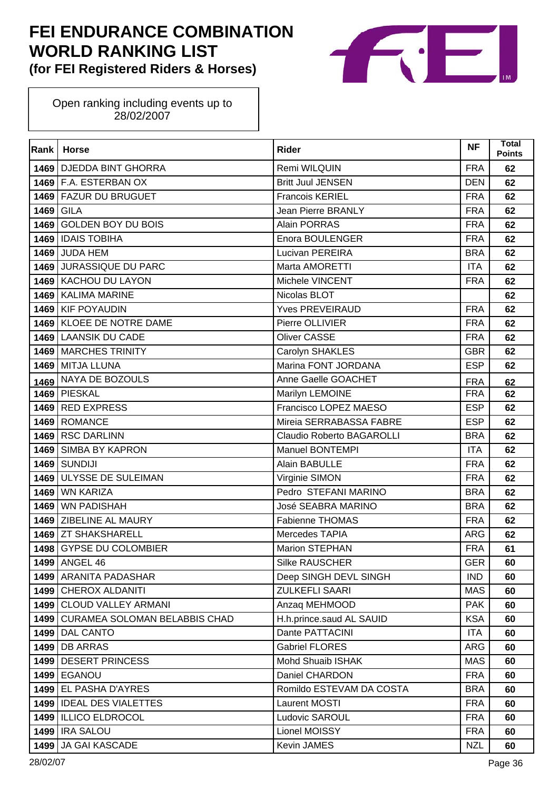

| <b>Rank</b> | <b>Horse</b>                       | <b>Rider</b>                     | <b>NF</b>  | Total<br><b>Points</b> |
|-------------|------------------------------------|----------------------------------|------------|------------------------|
|             | 1469   DJEDDA BINT GHORRA          | Remi WILQUIN                     | <b>FRA</b> | 62                     |
|             | 1469 F.A. ESTERBAN OX              | <b>Britt Juul JENSEN</b>         | <b>DEN</b> | 62                     |
|             | 1469 FAZUR DU BRUGUET              | <b>Francois KERIEL</b>           | <b>FRA</b> | 62                     |
| 1469        | <b>GILA</b>                        | <b>Jean Pierre BRANLY</b>        | <b>FRA</b> | 62                     |
| 1469        | <b>GOLDEN BOY DU BOIS</b>          | Alain PORRAS                     | <b>FRA</b> | 62                     |
| 1469        | <b>IDAIS TOBIHA</b>                | Enora BOULENGER                  | <b>FRA</b> | 62                     |
| 1469        | <b>JUDA HEM</b>                    | Lucivan PEREIRA                  | <b>BRA</b> | 62                     |
| 1469        | <b>JURASSIQUE DU PARC</b>          | Marta AMORETTI                   | <b>ITA</b> | 62                     |
| 1469        | <b>KACHOU DU LAYON</b>             | Michele VINCENT                  | <b>FRA</b> | 62                     |
| 1469        | <b>KALIMA MARINE</b>               | Nicolas BLOT                     |            | 62                     |
| 1469        | <b>KIF POYAUDIN</b>                | <b>Yves PREVEIRAUD</b>           | <b>FRA</b> | 62                     |
| 1469        | <b>KLOEE DE NOTRE DAME</b>         | Pierre OLLIVIER                  | <b>FRA</b> | 62                     |
| 1469        | <b>LAANSIK DU CADE</b>             | <b>Oliver CASSE</b>              | <b>FRA</b> | 62                     |
| 1469        | <b>MARCHES TRINITY</b>             | Carolyn SHAKLES                  | <b>GBR</b> | 62                     |
| 1469        | <b>MITJA LLUNA</b>                 | Marina FONT JORDANA              | <b>ESP</b> | 62                     |
| 1469        | NAYA DE BOZOULS                    | Anne Gaelle GOACHET              | <b>FRA</b> | 62                     |
|             | 1469 PIESKAL                       | Marilyn LEMOINE                  | <b>FRA</b> | 62                     |
| 1469        | <b>RED EXPRESS</b>                 | Francisco LOPEZ MAESO            | <b>ESP</b> | 62                     |
| 1469        | <b>ROMANCE</b>                     | Mireia SERRABASSA FABRE          | <b>ESP</b> | 62                     |
| 1469        | <b>RSC DARLINN</b>                 | <b>Claudio Roberto BAGAROLLI</b> | <b>BRA</b> | 62                     |
|             | 1469 SIMBA BY KAPRON               | <b>Manuel BONTEMPI</b>           | <b>ITA</b> | 62                     |
| 1469        | <b>SUNDIJI</b>                     | Alain BABULLE                    | <b>FRA</b> | 62                     |
| 1469        | ULYSSE DE SULEIMAN                 | Virginie SIMON                   | <b>FRA</b> | 62                     |
| 1469        | <b>WN KARIZA</b>                   | Pedro STEFANI MARINO             | <b>BRA</b> | 62                     |
| 1469        | <b>WN PADISHAH</b>                 | José SEABRA MARINO               | <b>BRA</b> | 62                     |
|             | 1469 ZIBELINE AL MAURY             | <b>Fabienne THOMAS</b>           | <b>FRA</b> | 62                     |
|             | 1469 ZT SHAKSHARELL                | Mercedes TAPIA                   | <b>ARG</b> | 62                     |
| 1498        | <b>GYPSE DU COLOMBIER</b>          | <b>Marion STEPHAN</b>            | <b>FRA</b> | 61                     |
|             | 1499 ANGEL 46                      | Silke RAUSCHER                   | <b>GER</b> | 60                     |
|             | 1499 ARANITA PADASHAR              | Deep SINGH DEVL SINGH            | <b>IND</b> | 60                     |
|             | 1499 CHEROX ALDANITI               | <b>ZULKEFLI SAARI</b>            | <b>MAS</b> | 60                     |
|             | 1499 CLOUD VALLEY ARMANI           | Anzaq MEHMOOD                    | <b>PAK</b> | 60                     |
|             | 1499 CURAMEA SOLOMAN BELABBIS CHAD | H.h.prince.saud AL SAUID         | <b>KSA</b> | 60                     |
|             | 1499 DAL CANTO                     | Dante PATTACINI                  | <b>ITA</b> | 60                     |
|             | <b>1499 DB ARRAS</b>               | <b>Gabriel FLORES</b>            | <b>ARG</b> | 60                     |
| 1499        | <b>DESERT PRINCESS</b>             | Mohd Shuaib ISHAK                | <b>MAS</b> | 60                     |
|             | <b>1499 EGANOU</b>                 | Daniel CHARDON                   | <b>FRA</b> | 60                     |
|             | 1499 EL PASHA D'AYRES              | Romildo ESTEVAM DA COSTA         | <b>BRA</b> | 60                     |
|             | 1499   IDEAL DES VIALETTES         | Laurent MOSTI                    | <b>FRA</b> | 60                     |
|             | 1499   ILLICO ELDROCOL             | Ludovic SAROUL                   | <b>FRA</b> | 60                     |
|             | <b>1499 IRA SALOU</b>              | Lionel MOISSY                    | <b>FRA</b> | 60                     |
| 1499        | JA GAI KASCADE                     | Kevin JAMES                      | <b>NZL</b> | 60                     |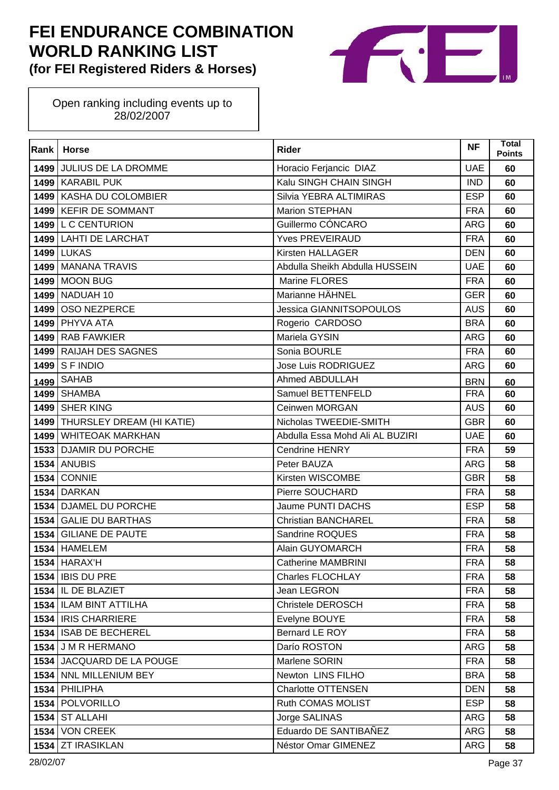

| Rank | <b>Horse</b>              | <b>Rider</b>                    | <b>NF</b>  | <b>Total</b><br><b>Points</b> |
|------|---------------------------|---------------------------------|------------|-------------------------------|
|      | 1499 JULIUS DE LA DROMME  | Horacio Ferjancic DIAZ          | <b>UAE</b> | 60                            |
|      | 1499 KARABIL PUK          | Kalu SINGH CHAIN SINGH          | <b>IND</b> | 60                            |
| 1499 | KASHA DU COLOMBIER        | Silvia YEBRA ALTIMIRAS          | <b>ESP</b> | 60                            |
|      | 1499 KEFIR DE SOMMANT     | <b>Marion STEPHAN</b>           | <b>FRA</b> | 60                            |
|      | 1499 L C CENTURION        | Guillermo CÓNCARO               | ARG        | 60                            |
|      | 1499 LAHTI DE LARCHAT     | <b>Yves PREVEIRAUD</b>          | <b>FRA</b> | 60                            |
| 1499 | <b>LUKAS</b>              | Kirsten HALLAGER                | <b>DEN</b> | 60                            |
|      | 1499 MANANA TRAVIS        | Abdulla Sheikh Abdulla HUSSEIN  | <b>UAE</b> | 60                            |
| 1499 | <b>MOON BUG</b>           | Marine FLORES                   | <b>FRA</b> | 60                            |
|      | 1499 NADUAH 10            | Marianne HÄHNEL                 | <b>GER</b> | 60                            |
| 1499 | OSO NEZPERCE              | <b>Jessica GIANNITSOPOULOS</b>  | <b>AUS</b> | 60                            |
| 1499 | <b>PHYVA ATA</b>          | Rogerio CARDOSO                 | <b>BRA</b> | 60                            |
| 1499 | <b>RAB FAWKIER</b>        | Mariela GYSIN                   | <b>ARG</b> | 60                            |
| 1499 | <b>RAIJAH DES SAGNES</b>  | Sonia BOURLE                    | <b>FRA</b> | 60                            |
| 1499 | S F INDIO                 | Jose Luis RODRIGUEZ             | ARG        | 60                            |
| 1499 | <b>SAHAB</b>              | Ahmed ABDULLAH                  | <b>BRN</b> | 60                            |
| 1499 | <b>SHAMBA</b>             | Samuel BETTENFELD               | <b>FRA</b> | 60                            |
| 1499 | <b>SHER KING</b>          | Ceinwen MORGAN                  | <b>AUS</b> | 60                            |
| 1499 | THURSLEY DREAM (HI KATIE) | Nicholas TWEEDIE-SMITH          | <b>GBR</b> | 60                            |
| 1499 | <b>WHITEOAK MARKHAN</b>   | Abdulla Essa Mohd Ali AL BUZIRI | <b>UAE</b> | 60                            |
| 1533 | <b>DJAMIR DU PORCHE</b>   | <b>Cendrine HENRY</b>           | <b>FRA</b> | 59                            |
| 1534 | <b>ANUBIS</b>             | Peter BAUZA                     | <b>ARG</b> | 58                            |
| 1534 | <b>CONNIE</b>             | Kirsten WISCOMBE                | <b>GBR</b> | 58                            |
| 1534 | <b>DARKAN</b>             | Pierre SOUCHARD                 | <b>FRA</b> | 58                            |
| 1534 | DJAMEL DU PORCHE          | Jaume PUNTI DACHS               | <b>ESP</b> | 58                            |
| 1534 | <b>GALIE DU BARTHAS</b>   | <b>Christian BANCHAREL</b>      | <b>FRA</b> | 58                            |
| 1534 | <b>GILIANE DE PAUTE</b>   | Sandrine ROQUES                 | <b>FRA</b> | 58                            |
| 1534 | <b>HAMELEM</b>            | Alain GUYOMARCH                 | <b>FRA</b> | 58                            |
|      | $1534$ HARAX'H            | <b>Catherine MAMBRINI</b>       | <b>FRA</b> | 58                            |
| 1534 | <b>IBIS DU PRE</b>        | Charles FLOCHLAY                | <b>FRA</b> | 58                            |
|      | 1534 IL DE BLAZIET        | Jean LEGRON                     | <b>FRA</b> | 58                            |
|      | 1534   ILAM BINT ATTILHA  | Christele DEROSCH               | <b>FRA</b> | 58                            |
|      | 1534   IRIS CHARRIERE     | Evelyne BOUYE                   | <b>FRA</b> | 58                            |
| 1534 | <b>ISAB DE BECHEREL</b>   | Bernard LE ROY                  | <b>FRA</b> | 58                            |
|      | 1534 J M R HERMANO        | Darío ROSTON                    | ARG        | 58                            |
|      | 1534 JACQUARD DE LA POUGE | Marlene SORIN                   | <b>FRA</b> | 58                            |
| 1534 | NNL MILLENIUM BEY         | Newton LINS FILHO               | <b>BRA</b> | 58                            |
|      | 1534 PHILIPHA             | <b>Charlotte OTTENSEN</b>       | <b>DEN</b> | 58                            |
| 1534 | POLVORILLO                | Ruth COMAS MOLIST               | <b>ESP</b> | 58                            |
| 1534 | <b>ST ALLAHI</b>          | Jorge SALINAS                   | <b>ARG</b> | 58                            |
| 1534 | <b>VON CREEK</b>          | Eduardo DE SANTIBAÑEZ           | <b>ARG</b> | 58                            |
| 1534 | <b>ZT IRASIKLAN</b>       | Néstor Omar GIMENEZ             | <b>ARG</b> | 58                            |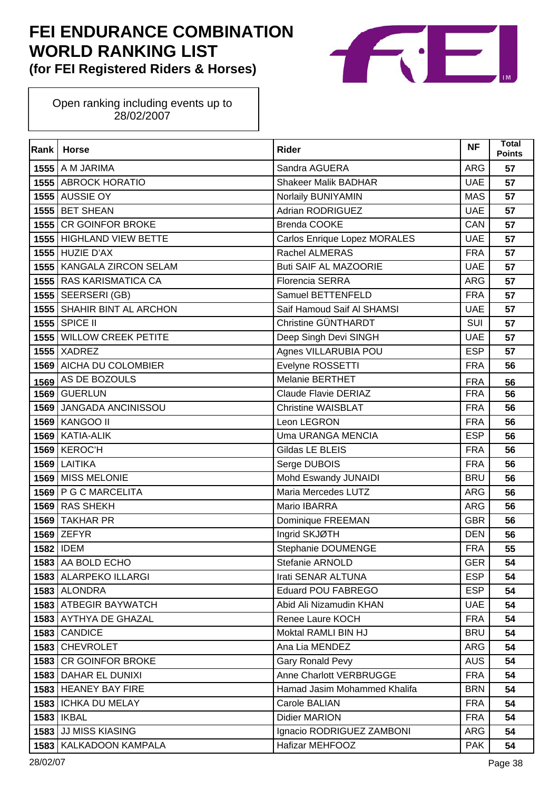

| Rank | <b>Horse</b>                | <b>Rider</b>                        | <b>NF</b>  | Total<br><b>Points</b> |
|------|-----------------------------|-------------------------------------|------------|------------------------|
|      | <b>1555</b> A M JARIMA      | Sandra AGUERA                       | <b>ARG</b> | 57                     |
|      | 1555 ABROCK HORATIO         | <b>Shakeer Malik BADHAR</b>         | <b>UAE</b> | 57                     |
|      | 1555 AUSSIE OY              | Norlaily BUNIYAMIN                  | <b>MAS</b> | 57                     |
|      | 1555 BET SHEAN              | <b>Adrian RODRIGUEZ</b>             | <b>UAE</b> | 57                     |
|      | 1555 CR GOINFOR BROKE       | <b>Brenda COOKE</b>                 | CAN        | 57                     |
|      | 1555 HIGHLAND VIEW BETTE    | <b>Carlos Enrique Lopez MORALES</b> | <b>UAE</b> | 57                     |
|      | <b>1555 HUZIE D'AX</b>      | Rachel ALMERAS                      | <b>FRA</b> | 57                     |
|      | 1555   KANGALA ZIRCON SELAM | <b>Buti SAIF AL MAZOORIE</b>        | <b>UAE</b> | 57                     |
|      | 1555 RAS KARISMATICA CA     | <b>Florencia SERRA</b>              | <b>ARG</b> | 57                     |
|      | 1555 SEERSERI (GB)          | Samuel BETTENFELD                   | <b>FRA</b> | 57                     |
|      | 1555 SHAHIR BINT AL ARCHON  | Saif Hamoud Saif AI SHAMSI          | <b>UAE</b> | 57                     |
|      | 1555 SPICE II               | Christine GÜNTHARDT                 | SUI        | 57                     |
|      | 1555 WILLOW CREEK PETITE    | Deep Singh Devi SINGH               | <b>UAE</b> | 57                     |
|      | $1555$ XADREZ               | Agnes VILLARUBIA POU                | <b>ESP</b> | 57                     |
|      | 1569 AICHA DU COLOMBIER     | Evelyne ROSSETTI                    | <b>FRA</b> | 56                     |
| 1569 | AS DE BOZOULS               | <b>Melanie BERTHET</b>              | <b>FRA</b> | 56                     |
|      | 1569 GUERLUN                | Claude Flavie DERIAZ                | <b>FRA</b> | 56                     |
|      | 1569 JANGADA ANCINISSOU     | <b>Christine WAISBLAT</b>           | <b>FRA</b> | 56                     |
| 1569 | <b>KANGOO II</b>            | Leon LEGRON                         | <b>FRA</b> | 56                     |
|      | 1569 KATIA-ALIK             | <b>Uma URANGA MENCIA</b>            | <b>ESP</b> | 56                     |
|      | 1569 KEROC'H                | Gildas LE BLEIS                     | <b>FRA</b> | 56                     |
| 1569 | <b>LAITIKA</b>              | Serge DUBOIS                        | <b>FRA</b> | 56                     |
| 1569 | <b>MISS MELONIE</b>         | Mohd Eswandy JUNAIDI                | <b>BRU</b> | 56                     |
|      | 1569 P G C MARCELITA        | Maria Mercedes LUTZ                 | <b>ARG</b> | 56                     |
|      | 1569 RAS SHEKH              | Mario IBARRA                        | <b>ARG</b> | 56                     |
| 1569 | <b>TAKHAR PR</b>            | Dominique FREEMAN                   | <b>GBR</b> | 56                     |
|      | 1569 ZEFYR                  | Ingrid SKJØTH                       | <b>DEN</b> | 56                     |
|      | 1582 IDEM                   | Stephanie DOUMENGE                  | <b>FRA</b> | 55                     |
|      | 1583 AA BOLD ECHO           | Stefanie ARNOLD                     | <b>GER</b> | 54                     |
|      | 1583 ALARPEKO ILLARGI       | Irati SENAR ALTUNA                  | <b>ESP</b> | 54                     |
|      | 1583 ALONDRA                | Eduard POU FABREGO                  | <b>ESP</b> | 54                     |
|      | 1583 ATBEGIR BAYWATCH       | Abid Ali Nizamudin KHAN             | <b>UAE</b> | 54                     |
|      | 1583 AYTHYA DE GHAZAL       | Renee Laure KOCH                    | <b>FRA</b> | 54                     |
|      | 1583 CANDICE                | Moktal RAMLI BIN HJ                 | <b>BRU</b> | 54                     |
|      | 1583 CHEVROLET              | Ana Lia MENDEZ                      | ARG        | 54                     |
| 1583 | <b>CR GOINFOR BROKE</b>     | <b>Gary Ronald Pevy</b>             | <b>AUS</b> | 54                     |
|      | 1583 DAHAR EL DUNIXI        | Anne Charlott VERBRUGGE             | <b>FRA</b> | 54                     |
|      | 1583 HEANEY BAY FIRE        | Hamad Jasim Mohammed Khalifa        | <b>BRN</b> | 54                     |
|      | 1583   ICHKA DU MELAY       | Carole BALIAN                       | <b>FRA</b> | 54                     |
|      | <b>1583   IKBAL</b>         | Didier MARION                       | <b>FRA</b> | 54                     |
| 1583 | <b>JJ MISS KIASING</b>      | Ignacio RODRIGUEZ ZAMBONI           | ARG        | 54                     |
| 1583 | KALKADOON KAMPALA           | Hafizar MEHFOOZ                     | <b>PAK</b> | 54                     |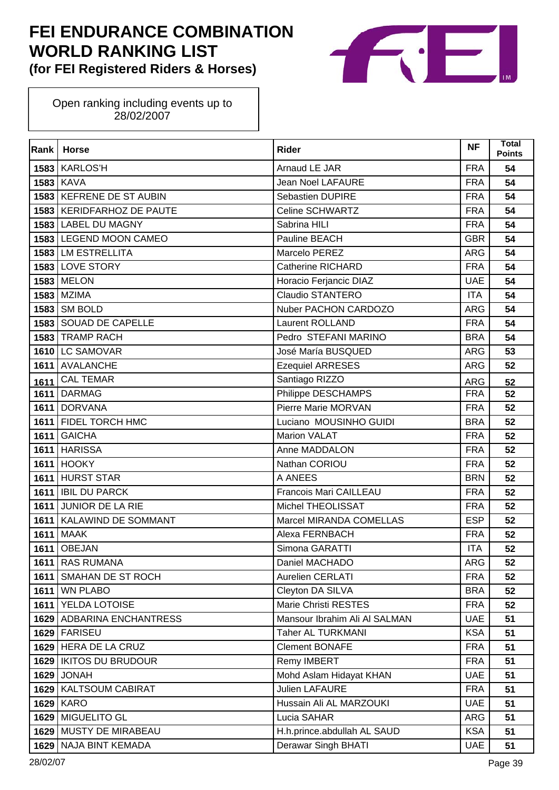

| Rank | <b>Horse</b>               | <b>Rider</b>                  | <b>NF</b>  | Total<br><b>Points</b> |
|------|----------------------------|-------------------------------|------------|------------------------|
|      | <b>1583 KARLOS'H</b>       | Arnaud LE JAR                 | <b>FRA</b> | 54                     |
|      | <b>1583 KAVA</b>           | <b>Jean Noel LAFAURE</b>      | <b>FRA</b> | 54                     |
|      | 1583 KEFRENE DE ST AUBIN   | <b>Sebastien DUPIRE</b>       | <b>FRA</b> | 54                     |
|      | 1583 KERIDFARHOZ DE PAUTE  | <b>Celine SCHWARTZ</b>        | <b>FRA</b> | 54                     |
|      | 1583 LABEL DU MAGNY        | Sabrina HILI                  | <b>FRA</b> | 54                     |
|      | 1583 LEGEND MOON CAMEO     | Pauline BEACH                 | <b>GBR</b> | 54                     |
|      | 1583 LM ESTRELLITA         | Marcelo PEREZ                 | <b>ARG</b> | 54                     |
|      | 1583 LOVE STORY            | <b>Catherine RICHARD</b>      | <b>FRA</b> | 54                     |
|      | <b>1583 MELON</b>          | Horacio Ferjancic DIAZ        | <b>UAE</b> | 54                     |
|      | 1583 MZIMA                 | <b>Claudio STANTERO</b>       | <b>ITA</b> | 54                     |
|      | 1583 SM BOLD               | Nuber PACHON CARDOZO          | <b>ARG</b> | 54                     |
|      | 1583 SOUAD DE CAPELLE      | <b>Laurent ROLLAND</b>        | <b>FRA</b> | 54                     |
|      | 1583 TRAMP RACH            | Pedro STEFANI MARINO          | <b>BRA</b> | 54                     |
|      | 1610 LC SAMOVAR            | José María BUSQUED            | <b>ARG</b> | 53                     |
|      | 1611 AVALANCHE             | <b>Ezequiel ARRESES</b>       | <b>ARG</b> | 52                     |
| 1611 | <b>CAL TEMAR</b>           | Santiago RIZZO                | <b>ARG</b> | 52                     |
|      | 1611 DARMAG                | Philippe DESCHAMPS            | <b>FRA</b> | 52                     |
|      | 1611 DORVANA               | Pierre Marie MORVAN           | <b>FRA</b> | 52                     |
|      | 1611 FIDEL TORCH HMC       | Luciano MOUSINHO GUIDI        | <b>BRA</b> | 52                     |
| 1611 | <b>GAICHA</b>              | <b>Marion VALAT</b>           | <b>FRA</b> | 52                     |
|      | 1611 HARISSA               | Anne MADDALON                 | <b>FRA</b> | 52                     |
|      | 1611 HOOKY                 | Nathan CORIOU                 | <b>FRA</b> | 52                     |
|      | 1611 HURST STAR            | A ANEES                       | <b>BRN</b> | 52                     |
|      | 1611   IBIL DU PARCK       | Francois Mari CAILLEAU        | <b>FRA</b> | 52                     |
|      | 1611 JUNIOR DE LA RIE      | Michel THEOLISSAT             | <b>FRA</b> | 52                     |
|      | 1611   KALAWIND DE SOMMANT | Marcel MIRANDA COMELLAS       | <b>ESP</b> | 52                     |
| 1611 | <b>MAAK</b>                | Alexa FERNBACH                | <b>FRA</b> | 52                     |
| 1611 | <b>OBEJAN</b>              | Simona GARATTI                | <b>ITA</b> | 52                     |
|      | 1611 RAS RUMANA            | Daniel MACHADO                | <b>ARG</b> | 52                     |
| 1611 | SMAHAN DE ST ROCH          | <b>Aurelien CERLATI</b>       | <b>FRA</b> | 52                     |
|      | <b>1611</b> WN PLABO       | Cleyton DA SILVA              | <b>BRA</b> | 52                     |
|      | 1611 YELDA LOTOISE         | Marie Christi RESTES          | <b>FRA</b> | 52                     |
|      | 1629 ADBARINA ENCHANTRESS  | Mansour Ibrahim Ali Al SALMAN | <b>UAE</b> | 51                     |
|      | 1629 FARISEU               | <b>Taher AL TURKMANI</b>      | <b>KSA</b> | 51                     |
|      | 1629 HERA DE LA CRUZ       | <b>Clement BONAFE</b>         | <b>FRA</b> | 51                     |
|      | 1629   IKITOS DU BRUDOUR   | Remy IMBERT                   | <b>FRA</b> | 51                     |
|      | 1629 JONAH                 | Mohd Aslam Hidayat KHAN       | <b>UAE</b> | 51                     |
|      | 1629 KALTSOUM CABIRAT      | <b>Julien LAFAURE</b>         | <b>FRA</b> | 51                     |
|      | <b>1629 KARO</b>           | Hussain Ali AL MARZOUKI       | <b>UAE</b> | 51                     |
|      | 1629 MIGUELITO GL          | Lucia SAHAR                   | <b>ARG</b> | 51                     |
|      | 1629 MUSTY DE MIRABEAU     | H.h.prince.abdullah AL SAUD   | <b>KSA</b> | 51                     |
|      | 1629   NAJA BINT KEMADA    | Derawar Singh BHATI           | <b>UAE</b> | 51                     |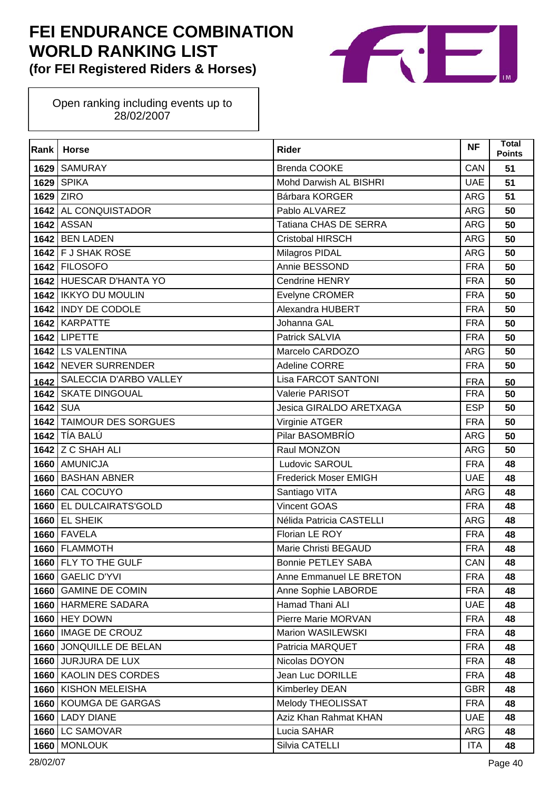

| Rank     | <b>Horse</b>               | <b>Rider</b>                 | <b>NF</b>  | <b>Total</b><br><b>Points</b> |
|----------|----------------------------|------------------------------|------------|-------------------------------|
| 1629     | <b>SAMURAY</b>             | <b>Brenda COOKE</b>          | CAN        | 51                            |
| 1629     | <b>SPIKA</b>               | Mohd Darwish AL BISHRI       | <b>UAE</b> | 51                            |
| 1629     | <b>ZIRO</b>                | Bárbara KORGER               | <b>ARG</b> | 51                            |
|          | 1642 AL CONQUISTADOR       | Pablo ALVAREZ                | <b>ARG</b> | 50                            |
|          | <b>1642 ASSAN</b>          | Tatiana CHAS DE SERRA        | <b>ARG</b> | 50                            |
|          | <b>1642 BEN LADEN</b>      | <b>Cristobal HIRSCH</b>      | <b>ARG</b> | 50                            |
|          | 1642 F J SHAK ROSE         | Milagros PIDAL               | <b>ARG</b> | 50                            |
|          | 1642 FILOSOFO              | Annie BESSOND                | <b>FRA</b> | 50                            |
|          | 1642 HUESCAR D'HANTA YO    | <b>Cendrine HENRY</b>        | <b>FRA</b> | 50                            |
|          | 1642   IKKYO DU MOULIN     | Evelyne CROMER               | <b>FRA</b> | 50                            |
|          | 1642 INDY DE CODOLE        | Alexandra HUBERT             | <b>FRA</b> | 50                            |
|          | 1642 KARPATTE              | Johanna GAL                  | <b>FRA</b> | 50                            |
|          | <b>1642 LIPETTE</b>        | Patrick SALVIA               | <b>FRA</b> | 50                            |
|          | 1642 LS VALENTINA          | Marcelo CARDOZO              | <b>ARG</b> | 50                            |
|          | 1642 NEVER SURRENDER       | <b>Adeline CORRE</b>         | <b>FRA</b> | 50                            |
| 1642     | SALECCIA D'ARBO VALLEY     | Lisa FARCOT SANTONI          | <b>FRA</b> | 50                            |
|          | 1642 SKATE DINGOUAL        | Valerie PARISOT              | <b>FRA</b> | 50                            |
| 1642 SUA |                            | Jesica GIRALDO ARETXAGA      | <b>ESP</b> | 50                            |
| 1642     | <b>TAIMOUR DES SORGUES</b> | Virginie ATGER               | <b>FRA</b> | 50                            |
|          | 1642 TÍA BALÚ              | Pilar BASOMBRÍO              | <b>ARG</b> | 50                            |
|          | <b>1642 Z C SHAH ALI</b>   | Raul MONZON                  | <b>ARG</b> | 50                            |
|          | 1660 AMUNICJA              | Ludovic SAROUL               | <b>FRA</b> | 48                            |
| 1660     | <b>BASHAN ABNER</b>        | <b>Frederick Moser EMIGH</b> | <b>UAE</b> | 48                            |
|          | 1660 CAL COCUYO            | Santiago VITA                | <b>ARG</b> | 48                            |
|          | 1660 EL DULCAIRATS'GOLD    | <b>Vincent GOAS</b>          | <b>FRA</b> | 48                            |
|          | <b>1660 EL SHEIK</b>       | Nélida Patricia CASTELLI     | <b>ARG</b> | 48                            |
| 1660     | <b>FAVELA</b>              | Florian LE ROY               | <b>FRA</b> | 48                            |
|          | 1660 FLAMMOTH              | Marie Christi BEGAUD         | <b>FRA</b> | 48                            |
|          | 1660 FLY TO THE GULF       | <b>Bonnie PETLEY SABA</b>    | CAN        | 48                            |
| 1660     | <b>GAELIC D'YVI</b>        | Anne Emmanuel LE BRETON      | <b>FRA</b> | 48                            |
|          | 1660 GAMINE DE COMIN       | Anne Sophie LABORDE          | <b>FRA</b> | 48                            |
|          | 1660 HARMERE SADARA        | Hamad Thani ALI              | <b>UAE</b> | 48                            |
|          | <b>1660 HEY DOWN</b>       | Pierre Marie MORVAN          | <b>FRA</b> | 48                            |
|          | 1660   IMAGE DE CROUZ      | Marion WASILEWSKI            | <b>FRA</b> | 48                            |
|          | 1660 JONQUILLE DE BELAN    | Patricia MARQUET             | <b>FRA</b> | 48                            |
|          | 1660 JURJURA DE LUX        | Nicolas DOYON                | <b>FRA</b> | 48                            |
|          | 1660   KAOLIN DES CORDES   | Jean Luc DORILLE             | <b>FRA</b> | 48                            |
| 1660     | <b>KISHON MELEISHA</b>     | Kimberley DEAN               | <b>GBR</b> | 48                            |
| 1660     | <b>KOUMGA DE GARGAS</b>    | Melody THEOLISSAT            | <b>FRA</b> | 48                            |
| 1660     | <b>LADY DIANE</b>          | Aziz Khan Rahmat KHAN        | <b>UAE</b> | 48                            |
| 1660     | <b>LC SAMOVAR</b>          | Lucia SAHAR                  | ARG        | 48                            |
| 1660     | <b>MONLOUK</b>             | Silvia CATELLI               | <b>ITA</b> | 48                            |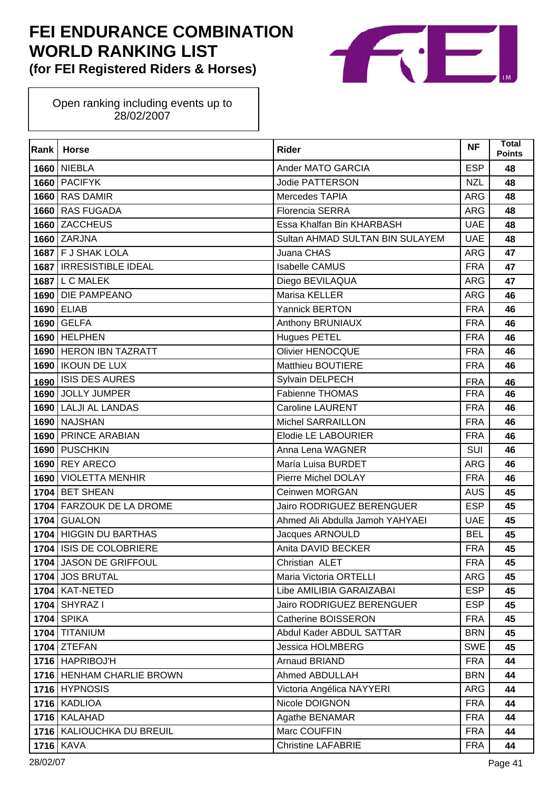

| Rank | <b>Horse</b>                | <b>Rider</b>                    | <b>NF</b>  | <b>Total</b><br><b>Points</b> |
|------|-----------------------------|---------------------------------|------------|-------------------------------|
| 1660 | <b>NIEBLA</b>               | Ander MATO GARCIA               | <b>ESP</b> | 48                            |
| 1660 | <b>PACIFYK</b>              | Jodie PATTERSON                 | <b>NZL</b> | 48                            |
| 1660 | <b>RAS DAMIR</b>            | Mercedes TAPIA                  | <b>ARG</b> | 48                            |
|      | 1660 RAS FUGADA             | <b>Florencia SERRA</b>          | <b>ARG</b> | 48                            |
| 1660 | <b>ZACCHEUS</b>             | Essa Khalfan Bin KHARBASH       | <b>UAE</b> | 48                            |
|      | 1660 ZARJNA                 | Sultan AHMAD SULTAN BIN SULAYEM | <b>UAE</b> | 48                            |
|      | 1687 F J SHAK LOLA          | Juana CHAS                      | <b>ARG</b> | 47                            |
|      | 1687   IRRESISTIBLE IDEAL   | <b>Isabelle CAMUS</b>           | <b>FRA</b> | 47                            |
| 1687 | L C MALEK                   | Diego BEVILAQUA                 | <b>ARG</b> | 47                            |
|      | 1690 DIE PAMPEANO           | Marisa KELLER                   | <b>ARG</b> | 46                            |
| 1690 | <b>ELIAB</b>                | Yannick BERTON                  | <b>FRA</b> | 46                            |
|      | 1690 GELFA                  | Anthony BRUNIAUX                | <b>FRA</b> | 46                            |
| 1690 | <b>HELPHEN</b>              | <b>Hugues PETEL</b>             | <b>FRA</b> | 46                            |
|      | 1690 HERON IBN TAZRATT      | <b>Olivier HENOCQUE</b>         | <b>FRA</b> | 46                            |
| 1690 | <b>IKOUN DE LUX</b>         | <b>Matthieu BOUTIERE</b>        | <b>FRA</b> | 46                            |
| 1690 | <b>ISIS DES AURES</b>       | Sylvain DELPECH                 | <b>FRA</b> | 46                            |
| 1690 | <b>JOLLY JUMPER</b>         | Fabienne THOMAS                 | <b>FRA</b> | 46                            |
| 1690 | <b>LALJI AL LANDAS</b>      | <b>Caroline LAURENT</b>         | <b>FRA</b> | 46                            |
| 1690 | <b>NAJSHAN</b>              | <b>Michel SARRAILLON</b>        | <b>FRA</b> | 46                            |
|      | 1690 PRINCE ARABIAN         | Elodie LE LABOURIER             | <b>FRA</b> | 46                            |
| 1690 | <b>PUSCHKIN</b>             | Anna Lena WAGNER                | SUI        | 46                            |
| 1690 | <b>REY ARECO</b>            | María Luisa BURDET              | <b>ARG</b> | 46                            |
| 1690 | <b>VIOLETTA MENHIR</b>      | Pierre Michel DOLAY             | <b>FRA</b> | 46                            |
|      | 1704 BET SHEAN              | Ceinwen MORGAN                  | <b>AUS</b> | 45                            |
| 1704 | <b>FARZOUK DE LA DROME</b>  | Jairo RODRIGUEZ BERENGUER       | <b>ESP</b> | 45                            |
| 1704 | <b>GUALON</b>               | Ahmed Ali Abdulla Jamoh YAHYAEI | <b>UAE</b> | 45                            |
| 1704 | <b>HIGGIN DU BARTHAS</b>    | Jacques ARNOULD                 | <b>BEL</b> | 45                            |
|      | 1704   ISIS DE COLOBRIERE   | Anita DAVID BECKER              | <b>FRA</b> | 45                            |
|      | 1704 JASON DE GRIFFOUL      | Christian ALET                  | <b>FRA</b> | 45                            |
|      | 1704 JOS BRUTAL             | Maria Victoria ORTELLI          | <b>ARG</b> | 45                            |
|      | <b>1704   KAT-NETED</b>     | Libe AMILIBIA GARAIZABAI        | <b>ESP</b> | 45                            |
|      | 1704 SHYRAZ I               | Jairo RODRIGUEZ BERENGUER       | <b>ESP</b> | 45                            |
|      | <b>1704 SPIKA</b>           | Catherine BOISSERON             | <b>FRA</b> | 45                            |
|      | 1704 TITANIUM               | Abdul Kader ABDUL SATTAR        | <b>BRN</b> | 45                            |
|      | $1704$ ZTEFAN               | Jessica HOLMBERG                | <b>SWE</b> | 45                            |
|      | 1716 HAPRIBOJ'H             | Arnaud BRIAND                   | <b>FRA</b> | 44                            |
|      | 1716   HENHAM CHARLIE BROWN | Ahmed ABDULLAH                  | <b>BRN</b> | 44                            |
|      | 1716 HYPNOSIS               | Victoria Angélica NAYYERI       | <b>ARG</b> | 44                            |
|      | 1716 KADLIOA                | Nicole DOIGNON                  | <b>FRA</b> | 44                            |
|      | 1716 KALAHAD                | Agathe BENAMAR                  | <b>FRA</b> | 44                            |
|      | 1716   KALIOUCHKA DU BREUIL | Marc COUFFIN                    | <b>FRA</b> | 44                            |
|      | <b>1716 KAVA</b>            | <b>Christine LAFABRIE</b>       | <b>FRA</b> | 44                            |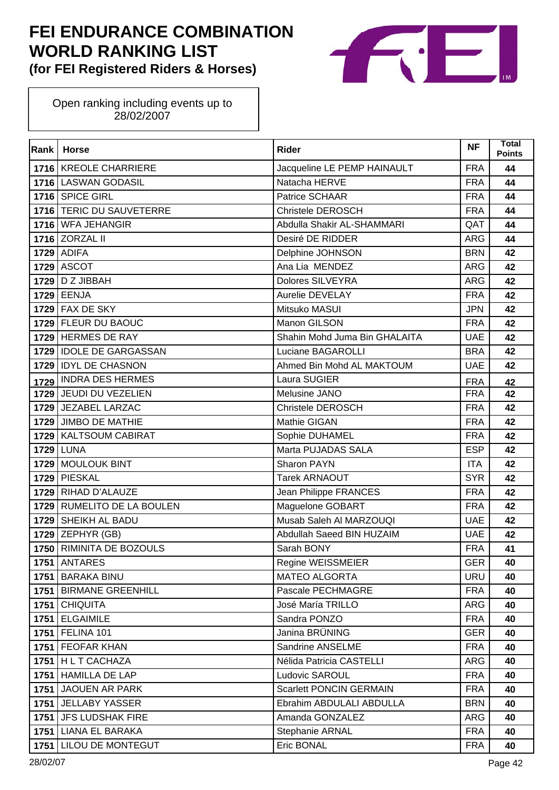

| Rank | <b>Horse</b>                 | <b>Rider</b>                   | <b>NF</b>  | Total<br><b>Points</b> |
|------|------------------------------|--------------------------------|------------|------------------------|
|      | 1716 KREOLE CHARRIERE        | Jacqueline LE PEMP HAINAULT    | <b>FRA</b> | 44                     |
|      | 1716 LASWAN GODASIL          | Natacha HERVE                  | <b>FRA</b> | 44                     |
|      | 1716 SPICE GIRL              | Patrice SCHAAR                 | <b>FRA</b> | 44                     |
|      | 1716 TERIC DU SAUVETERRE     | <b>Christele DEROSCH</b>       | <b>FRA</b> | 44                     |
|      | 1716 WFA JEHANGIR            | Abdulla Shakir AL-SHAMMARI     | QAT        | 44                     |
|      | 1716 ZORZAL II               | Desiré DE RIDDER               | <b>ARG</b> | 44                     |
|      | <b>1729 ADIFA</b>            | Delphine JOHNSON               | <b>BRN</b> | 42                     |
|      | <b>1729 ASCOT</b>            | Ana Lia MENDEZ                 | <b>ARG</b> | 42                     |
|      | 1729 D Z JIBBAH              | <b>Dolores SILVEYRA</b>        | <b>ARG</b> | 42                     |
|      | 1729 EENJA                   | Aurelie DEVELAY                | <b>FRA</b> | 42                     |
| 1729 | <b>FAX DE SKY</b>            | Mitsuko MASUI                  | <b>JPN</b> | 42                     |
|      | 1729 FLEUR DU BAOUC          | Manon GILSON                   | <b>FRA</b> | 42                     |
|      | 1729 HERMES DE RAY           | Shahin Mohd Juma Bin GHALAITA  | <b>UAE</b> | 42                     |
|      | 1729 IDOLE DE GARGASSAN      | Luciane BAGAROLLI              | <b>BRA</b> | 42                     |
| 1729 | <b>IDYL DE CHASNON</b>       | Ahmed Bin Mohd AL MAKTOUM      | <b>UAE</b> | 42                     |
| 1729 | <b>INDRA DES HERMES</b>      | Laura SUGIER                   | <b>FRA</b> | 42                     |
|      | 1729 JEUDI DU VEZELIEN       | Melusine JANO                  | <b>FRA</b> | 42                     |
|      | 1729 JEZABEL LARZAC          | <b>Christele DEROSCH</b>       | <b>FRA</b> | 42                     |
| 1729 | <b>JIMBO DE MATHIE</b>       | Mathie GIGAN                   | <b>FRA</b> | 42                     |
|      | 1729   KALTSOUM CABIRAT      | Sophie DUHAMEL                 | <b>FRA</b> | 42                     |
|      | <b>1729 LUNA</b>             | Marta PUJADAS SALA             | <b>ESP</b> | 42                     |
|      | 1729 MOULOUK BINT            | Sharon PAYN                    | <b>ITA</b> | 42                     |
| 1729 | <b>PIESKAL</b>               | <b>Tarek ARNAOUT</b>           | <b>SYR</b> | 42                     |
|      | 1729 RIHAD D'ALAUZE          | Jean Philippe FRANCES          | <b>FRA</b> | 42                     |
| 1729 | <b>RUMELITO DE LA BOULEN</b> | Maguelone GOBART               | <b>FRA</b> | 42                     |
|      | 1729 SHEIKH AL BADU          | Musab Saleh Al MARZOUQI        | <b>UAE</b> | 42                     |
|      | $1729$ ZEPHYR (GB)           | Abdullah Saeed BIN HUZAIM      | <b>UAE</b> | 42                     |
|      | 1750 RIMINITA DE BOZOULS     | Sarah BONY                     | <b>FRA</b> | 41                     |
|      | <b>1751   ANTARES</b>        | Regine WEISSMEIER              | <b>GER</b> | 40                     |
| 1751 | <b>BARAKA BINU</b>           | <b>MATEO ALGORTA</b>           | <b>URU</b> | 40                     |
|      | 1751 BIRMANE GREENHILL       | Pascale PECHMAGRE              | <b>FRA</b> | 40                     |
| 1751 | <b>CHIQUITA</b>              | José María TRILLO              | <b>ARG</b> | 40                     |
| 1751 | <b>ELGAIMILE</b>             | Sandra PONZO                   | <b>FRA</b> | 40                     |
|      | <b>1751   FELINA 101</b>     | Janina BRÜNING                 | <b>GER</b> | 40                     |
|      | 1751   FEOFAR KHAN           | Sandrine ANSELME               | <b>FRA</b> | 40                     |
|      | 1751   H L T CACHAZA         | Nélida Patricia CASTELLI       | <b>ARG</b> | 40                     |
| 1751 | <b>HAMILLA DE LAP</b>        | Ludovic SAROUL                 | <b>FRA</b> | 40                     |
| 1751 | <b>JAOUEN AR PARK</b>        | <b>Scarlett PONCIN GERMAIN</b> | <b>FRA</b> | 40                     |
| 1751 | <b>JELLABY YASSER</b>        | Ebrahim ABDULALI ABDULLA       | <b>BRN</b> | 40                     |
| 1751 | <b>JFS LUDSHAK FIRE</b>      | Amanda GONZALEZ                | <b>ARG</b> | 40                     |
|      | 1751 LIANA EL BARAKA         | Stephanie ARNAL                | <b>FRA</b> | 40                     |
| 1751 | <b>LILOU DE MONTEGUT</b>     | Eric BONAL                     | <b>FRA</b> | 40                     |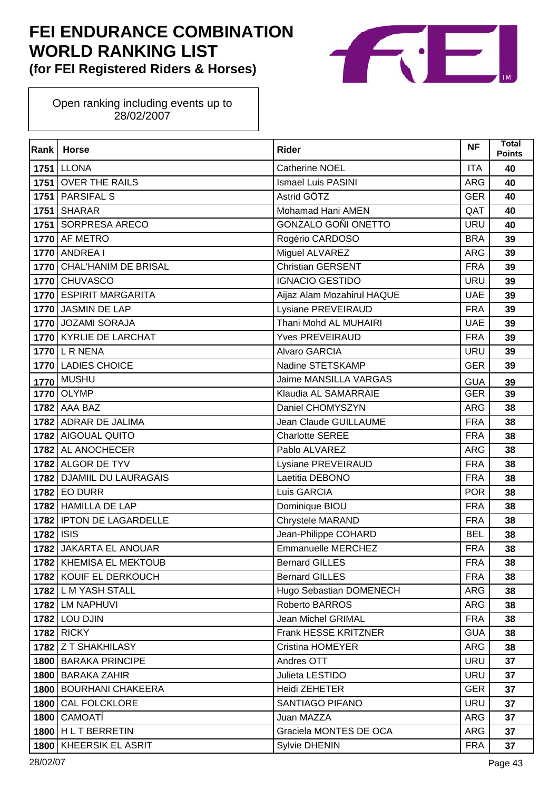

| Rank | <b>Horse</b>                | <b>Rider</b>                 | <b>NF</b>  | <b>Total</b><br><b>Points</b> |
|------|-----------------------------|------------------------------|------------|-------------------------------|
|      | <b>1751 LLONA</b>           | <b>Catherine NOEL</b>        | <b>ITA</b> | 40                            |
|      | 1751 OVER THE RAILS         | <b>Ismael Luis PASINI</b>    | <b>ARG</b> | 40                            |
|      | 1751 PARSIFAL S             | Astrid GÖTZ                  | <b>GER</b> | 40                            |
|      | $1751$ SHARAR               | Mohamad Hani AMEN            | QAT        | 40                            |
|      | 1751 SORPRESA ARECO         | GONZALO GOÑI ONETTO          | <b>URU</b> | 40                            |
|      | 1770 AF METRO               | Rogério CARDOSO              | <b>BRA</b> | 39                            |
|      | <b>1770 ANDREA I</b>        | Miguel ALVAREZ               | <b>ARG</b> | 39                            |
|      | 1770 CHAL'HANIM DE BRISAL   | <b>Christian GERSENT</b>     | <b>FRA</b> | 39                            |
|      | 1770 CHUVASCO               | <b>IGNACIO GESTIDO</b>       | <b>URU</b> | 39                            |
|      | 1770 ESPIRIT MARGARITA      | Aijaz Alam Mozahirul HAQUE   | <b>UAE</b> | 39                            |
|      | 1770 JASMIN DE LAP          | Lysiane PREVEIRAUD           | <b>FRA</b> | 39                            |
|      | 1770 JOZAMI SORAJA          | Thani Mohd AL MUHAIRI        | <b>UAE</b> | 39                            |
|      | 1770 KYRLIE DE LARCHAT      | <b>Yves PREVEIRAUD</b>       | <b>FRA</b> | 39                            |
|      | 1770 L R NENA               | <b>Alvaro GARCIA</b>         | <b>URU</b> | 39                            |
|      | 1770 LADIES CHOICE          | Nadine STETSKAMP             | <b>GER</b> | 39                            |
| 1770 | <b>MUSHU</b>                | <b>Jaime MANSILLA VARGAS</b> | <b>GUA</b> | 39                            |
|      | 1770 OLYMP                  | Klaudia AL SAMARRAIE         | <b>GER</b> | 39                            |
|      | <b>1782 AAA BAZ</b>         | Daniel CHOMYSZYN             | <b>ARG</b> | 38                            |
|      | 1782 ADRAR DE JALIMA        | Jean Claude GUILLAUME        | <b>FRA</b> | 38                            |
|      | 1782 AIGOUAL QUITO          | <b>Charlotte SEREE</b>       | <b>FRA</b> | 38                            |
|      | 1782 AL ANOCHECER           | Pablo ALVAREZ                | <b>ARG</b> | 38                            |
|      | 1782 ALGOR DE TYV           | Lysiane PREVEIRAUD           | <b>FRA</b> | 38                            |
| 1782 | <b>DJAMIIL DU LAURAGAIS</b> | Laetitia DEBONO              | <b>FRA</b> | 38                            |
|      | <b>1782 EO DURR</b>         | Luis GARCIA                  | <b>POR</b> | 38                            |
|      | 1782 HAMILLA DE LAP         | Dominique BIOU               | <b>FRA</b> | 38                            |
|      | 1782   IPTON DE LAGARDELLE  | Chrystele MARAND             | <b>FRA</b> | 38                            |
| 1782 | <b>ISIS</b>                 | Jean-Philippe COHARD         | <b>BEL</b> | 38                            |
| 1782 | <b>JAKARTA EL ANOUAR</b>    | <b>Emmanuelle MERCHEZ</b>    | <b>FRA</b> | 38                            |
|      | 1782 KHEMISA EL MEKTOUB     | <b>Bernard GILLES</b>        | <b>FRA</b> | 38                            |
|      | 1782 KOUIF EL DERKOUCH      | <b>Bernard GILLES</b>        | <b>FRA</b> | 38                            |
|      | 1782 L M YASH STALL         | Hugo Sebastian DOMENECH      | ARG        | 38                            |
|      | 1782 LM NAPHUVI             | Roberto BARROS               | <b>ARG</b> | 38                            |
|      | <b>1782 LOU DJIN</b>        | Jean Michel GRIMAL           | <b>FRA</b> | 38                            |
|      | <b>1782 RICKY</b>           | <b>Frank HESSE KRITZNER</b>  | <b>GUA</b> | 38                            |
|      | 1782 Z T SHAKHILASY         | Cristina HOMEYER             | ARG        | 38                            |
| 1800 | <b>BARAKA PRINCIPE</b>      | Andres OTT                   | <b>URU</b> | 37                            |
|      | 1800 BARAKA ZAHIR           | Julieta LESTIDO              | <b>URU</b> | 37                            |
| 1800 | <b>BOURHANI CHAKEERA</b>    | <b>Heidi ZEHETER</b>         | <b>GER</b> | 37                            |
| 1800 | <b>CAL FOLCKLORE</b>        | SANTIAGO PIFANO              | <b>URU</b> | 37                            |
| 1800 | CAMOATÍ                     | Juan MAZZA                   | ARG        | 37                            |
|      | 1800   H L T BERRETIN       | Graciela MONTES DE OCA       | ARG        | 37                            |
| 1800 | KHEERSIK EL ASRIT           | Sylvie DHENIN                | <b>FRA</b> | 37                            |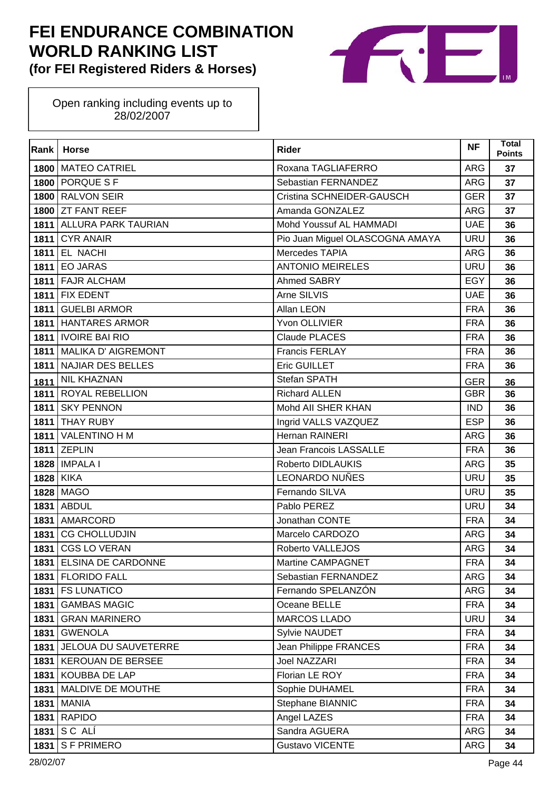

| Rank | <b>Horse</b>                | <b>Rider</b>                    | <b>NF</b>  | <b>Total</b><br><b>Points</b> |
|------|-----------------------------|---------------------------------|------------|-------------------------------|
|      | 1800 MATEO CATRIEL          | Roxana TAGLIAFERRO              | <b>ARG</b> | 37                            |
|      | 1800 PORQUE S F             | Sebastian FERNANDEZ             | <b>ARG</b> | 37                            |
| 1800 | <b>RALVON SEIR</b>          | Cristina SCHNEIDER-GAUSCH       | <b>GER</b> | 37                            |
|      | 1800 ZT FANT REEF           | Amanda GONZALEZ                 | <b>ARG</b> | 37                            |
|      | 1811 ALLURA PARK TAURIAN    | Mohd Youssuf AL HAMMADI         | <b>UAE</b> | 36                            |
| 1811 | <b>CYR ANAIR</b>            | Pio Juan Miguel OLASCOGNA AMAYA | <b>URU</b> | 36                            |
| 1811 | <b>EL NACHI</b>             | Mercedes TAPIA                  | <b>ARG</b> | 36                            |
|      | <b>1811 EO JARAS</b>        | <b>ANTONIO MEIRELES</b>         | <b>URU</b> | 36                            |
|      | 1811 FAJR ALCHAM            | Ahmed SABRY                     | EGY        | 36                            |
|      | <b>1811 FIX EDENT</b>       | Arne SILVIS                     | <b>UAE</b> | 36                            |
| 1811 | <b>GUELBI ARMOR</b>         | Allan LEON                      | <b>FRA</b> | 36                            |
|      | 1811 HANTARES ARMOR         | Yvon OLLIVIER                   | <b>FRA</b> | 36                            |
|      | 1811   IVOIRE BAI RIO       | Claude PLACES                   | <b>FRA</b> | 36                            |
|      | 1811 MALIKA D' AIGREMONT    | <b>Francis FERLAY</b>           | <b>FRA</b> | 36                            |
| 1811 | <b>NAJIAR DES BELLES</b>    | Eric GUILLET                    | <b>FRA</b> | 36                            |
| 1811 | <b>NIL KHAZNAN</b>          | Stefan SPATH                    | <b>GER</b> | 36                            |
|      | 1811 ROYAL REBELLION        | <b>Richard ALLEN</b>            | <b>GBR</b> | 36                            |
| 1811 | <b>SKY PENNON</b>           | Mohd All SHER KHAN              | <b>IND</b> | 36                            |
| 1811 | <b>THAY RUBY</b>            | Ingrid VALLS VAZQUEZ            | <b>ESP</b> | 36                            |
|      | 1811 VALENTINO H M          | Hernan RAINERI                  | <b>ARG</b> | 36                            |
|      | 1811 ZEPLIN                 | Jean Francois LASSALLE          | <b>FRA</b> | 36                            |
|      | 1828   IMPALA I             | Roberto DIDLAUKIS               | <b>ARG</b> | 35                            |
| 1828 | <b>KIKA</b>                 | <b>LEONARDO NUÑES</b>           | <b>URU</b> | 35                            |
|      | 1828 MAGO                   | Fernando SILVA                  | <b>URU</b> | 35                            |
| 1831 | ABDUL                       | Pablo PEREZ                     | <b>URU</b> | 34                            |
|      | 1831   AMARCORD             | Jonathan CONTE                  | <b>FRA</b> | 34                            |
| 1831 | <b>CG CHOLLUDJIN</b>        | Marcelo CARDOZO                 | <b>ARG</b> | 34                            |
| 1831 | <b>CGS LO VERAN</b>         | Roberto VALLEJOS                | <b>ARG</b> | 34                            |
|      | 1831 ELSINA DE CARDONNE     | <b>Martine CAMPAGNET</b>        | <b>FRA</b> | 34                            |
|      | 1831 FLORIDO FALL           | Sebastian FERNANDEZ             | ARG        | 34                            |
|      | 1831   FS LUNATICO          | Fernando SPELANZÓN              | ARG        | 34                            |
| 1831 | <b>GAMBAS MAGIC</b>         | Oceane BELLE                    | <b>FRA</b> | 34                            |
| 1831 | <b>GRAN MARINERO</b>        | <b>MARCOS LLADO</b>             | <b>URU</b> | 34                            |
| 1831 | <b>GWENOLA</b>              | Sylvie NAUDET                   | <b>FRA</b> | 34                            |
|      | 1831   JELOUA DU SAUVETERRE | Jean Philippe FRANCES           | <b>FRA</b> | 34                            |
| 1831 | <b>KEROUAN DE BERSEE</b>    | <b>Joel NAZZARI</b>             | <b>FRA</b> | 34                            |
| 1831 | KOUBBA DE LAP               | Florian LE ROY                  | <b>FRA</b> | 34                            |
| 1831 | MALDIVE DE MOUTHE           | Sophie DUHAMEL                  | <b>FRA</b> | 34                            |
| 1831 | <b>MANIA</b>                | Stephane BIANNIC                | <b>FRA</b> | 34                            |
| 1831 | <b>RAPIDO</b>               | Angel LAZES                     | <b>FRA</b> | 34                            |
| 1831 | SC ALI                      | Sandra AGUERA                   | ARG        | 34                            |
| 1831 | <b>SF PRIMERO</b>           | <b>Gustavo VICENTE</b>          | ARG        | 34                            |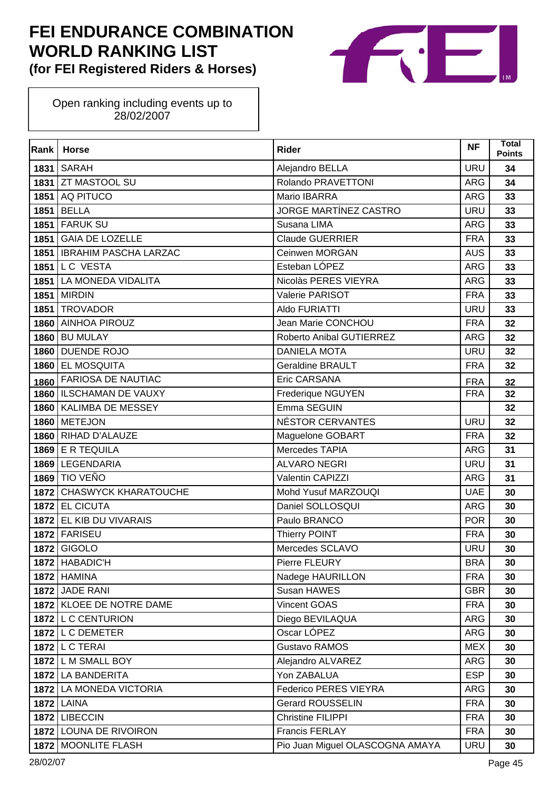

| Rank | <b>Horse</b>                 | <b>Rider</b>                    | <b>NF</b>  | <b>Total</b><br><b>Points</b> |
|------|------------------------------|---------------------------------|------------|-------------------------------|
|      | <b>1831   SARAH</b>          | Alejandro BELLA                 | <b>URU</b> | 34                            |
|      | 1831 ZT MASTOOL SU           | Rolando PRAVETTONI              | ARG        | 34                            |
| 1851 | AQ PITUCO                    | Mario IBARRA                    | <b>ARG</b> | 33                            |
| 1851 | <b>BELLA</b>                 | JORGE MARTÍNEZ CASTRO           | <b>URU</b> | 33                            |
|      | <b>1851 FARUK SU</b>         | Susana LIMA                     | <b>ARG</b> | 33                            |
|      | 1851 GAIA DE LOZELLE         | <b>Claude GUERRIER</b>          | <b>FRA</b> | 33                            |
|      | 1851   IBRAHIM PASCHA LARZAC | Ceinwen MORGAN                  | <b>AUS</b> | 33                            |
|      | <b>1851 LC VESTA</b>         | Esteban LÓPEZ                   | <b>ARG</b> | 33                            |
|      | 1851   LA MONEDA VIDALITA    | Nicolàs PERES VIEYRA            | <b>ARG</b> | 33                            |
|      | <b>1851 MIRDIN</b>           | Valerie PARISOT                 | <b>FRA</b> | 33                            |
| 1851 | <b>TROVADOR</b>              | Aldo FURIATTI                   | <b>URU</b> | 33                            |
|      | 1860 AINHOA PIROUZ           | Jean Marie CONCHOU              | <b>FRA</b> | 32                            |
| 1860 | <b>BU MULAY</b>              | Roberto Anibal GUTIERREZ        | <b>ARG</b> | 32                            |
|      | 1860 DUENDE ROJO             | <b>DANIELA MOTA</b>             | <b>URU</b> | 32                            |
| 1860 | <b>EL MOSQUITA</b>           | <b>Geraldine BRAULT</b>         | <b>FRA</b> | 32                            |
| 1860 | <b>FARIOSA DE NAUTIAC</b>    | <b>Eric CARSANA</b>             | <b>FRA</b> | 32                            |
|      | 1860   ILSCHAMAN DE VAUXY    | Frederique NGUYEN               | <b>FRA</b> | 32                            |
|      | 1860   KALIMBA DE MESSEY     | Emma SEGUIN                     |            | 32                            |
| 1860 | <b>METEJON</b>               | NÉSTOR CERVANTES                | <b>URU</b> | 32                            |
|      | 1860 RIHAD D'ALAUZE          | Maguelone GOBART                | <b>FRA</b> | 32                            |
|      | 1869 E R TEQUILA             | Mercedes TAPIA                  | <b>ARG</b> | 31                            |
|      | 1869 LEGENDARIA              | <b>ALVARO NEGRI</b>             | <b>URU</b> | 31                            |
| 1869 | <b>TIO VEÑO</b>              | Valentin CAPIZZI                | <b>ARG</b> | 31                            |
|      | 1872 CHASWYCK KHARATOUCHE    | Mohd Yusuf MARZOUQI             | <b>UAE</b> | 30                            |
|      | 1872 EL CICUTA               | Daniel SOLLOSQUI                | <b>ARG</b> | 30                            |
|      | 1872 EL KIB DU VIVARAIS      | Paulo BRANCO                    | <b>POR</b> | 30                            |
|      | 1872 FARISEU                 | <b>Thierry POINT</b>            | <b>FRA</b> | 30                            |
|      | 1872 GIGOLO                  | Mercedes SCLAVO                 | <b>URU</b> | 30                            |
|      | 1872 HABADIC'H               | Pierre FLEURY                   | <b>BRA</b> | 30                            |
|      | <b>1872 HAMINA</b>           | Nadege HAURILLON                | <b>FRA</b> | 30                            |
|      | <b>1872 JADE RANI</b>        | Susan HAWES                     | <b>GBR</b> | 30                            |
|      | 1872 KLOEE DE NOTRE DAME     | Vincent GOAS                    | <b>FRA</b> | 30                            |
|      | 1872 L C CENTURION           | Diego BEVILAQUA                 | ARG        | 30                            |
|      | 1872 L C DEMETER             | Oscar LÓPEZ                     | ARG        | 30                            |
|      | 1872   L C TERAI             | Gustavo RAMOS                   | <b>MEX</b> | 30                            |
|      | 1872 L M SMALL BOY           | Alejandro ALVAREZ               | ARG        | 30                            |
|      | 1872 LA BANDERITA            | Yon ZABALUA                     | <b>ESP</b> | 30                            |
|      | 1872 LA MONEDA VICTORIA      | Federico PERES VIEYRA           | ARG        | 30                            |
|      | <b>1872 LAINA</b>            | <b>Gerard ROUSSELIN</b>         | <b>FRA</b> | 30                            |
|      | 1872 LIBECCIN                | <b>Christine FILIPPI</b>        | <b>FRA</b> | 30                            |
|      | 1872 LOUNA DE RIVOIRON       | Francis FERLAY                  | <b>FRA</b> | 30                            |
|      | 1872   MOONLITE FLASH        | Pio Juan Miguel OLASCOGNA AMAYA | <b>URU</b> | 30                            |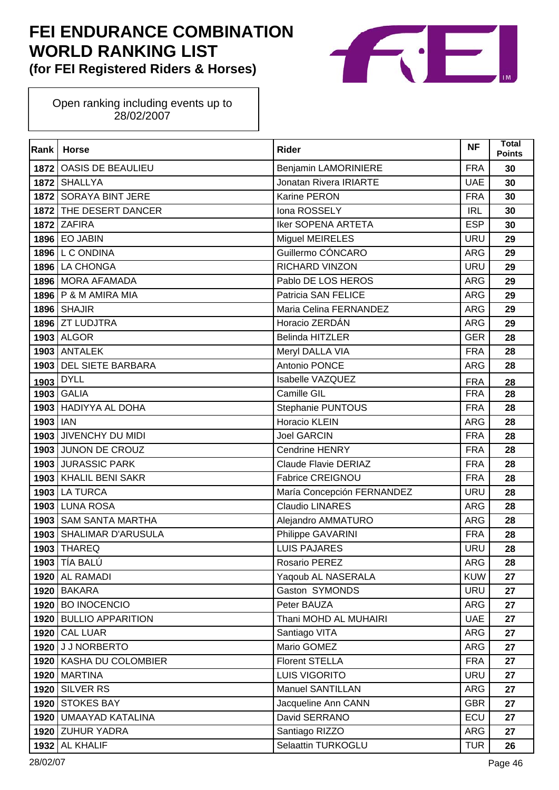

| Rank | <b>Horse</b>             | <b>Rider</b>                | <b>NF</b>  | Total<br><b>Points</b> |
|------|--------------------------|-----------------------------|------------|------------------------|
| 1872 | OASIS DE BEAULIEU        | Benjamin LAMORINIERE        | <b>FRA</b> | 30                     |
|      | 1872 SHALLYA             | Jonatan Rivera IRIARTE      | <b>UAE</b> | 30                     |
|      | 1872 SORAYA BINT JERE    | Karine PERON                | <b>FRA</b> | 30                     |
|      | 1872 THE DESERT DANCER   | Iona ROSSELY                | <b>IRL</b> | 30                     |
|      | <b>1872 ZAFIRA</b>       | <b>Iker SOPENA ARTETA</b>   | <b>ESP</b> | 30                     |
|      | <b>1896 EO JABIN</b>     | <b>Miguel MEIRELES</b>      | <b>URU</b> | 29                     |
|      | <b>1896 L C ONDINA</b>   | Guillermo CÓNCARO           | <b>ARG</b> | 29                     |
|      | 1896 LA CHONGA           | <b>RICHARD VINZON</b>       | <b>URU</b> | 29                     |
|      | 1896 MORA AFAMADA        | Pablo DE LOS HEROS          | <b>ARG</b> | 29                     |
|      | 1896   P & M AMIRA MIA   | Patricia SAN FELICE         | ARG        | 29                     |
|      | $1896$ SHAJIR            | Maria Celina FERNANDEZ      | <b>ARG</b> | 29                     |
|      | 1896 ZT LUDJTRA          | Horacio ZERDÁN              | <b>ARG</b> | 29                     |
|      | <b>1903 ALGOR</b>        | <b>Belinda HITZLER</b>      | <b>GER</b> | 28                     |
|      | <b>1903 ANTALEK</b>      | Meryl DALLA VIA             | <b>FRA</b> | 28                     |
| 1903 | <b>DEL SIETE BARBARA</b> | Antonio PONCE               | <b>ARG</b> | 28                     |
| 1903 | <b>DYLL</b>              | Isabelle VAZQUEZ            | <b>FRA</b> | 28                     |
|      | <b>1903 GALIA</b>        | <b>Camille GIL</b>          | <b>FRA</b> | 28                     |
| 1903 | <b>HADIYYA AL DOHA</b>   | Stephanie PUNTOUS           | <b>FRA</b> | 28                     |
| 1903 | <b>IAN</b>               | Horacio KLEIN               | <b>ARG</b> | 28                     |
|      | 1903 JIVENCHY DU MIDI    | <b>Joel GARCIN</b>          | <b>FRA</b> | 28                     |
|      | 1903 JUNON DE CROUZ      | <b>Cendrine HENRY</b>       | <b>FRA</b> | 28                     |
| 1903 | <b>JURASSIC PARK</b>     | <b>Claude Flavie DERIAZ</b> | <b>FRA</b> | 28                     |
|      | 1903 KHALIL BENI SAKR    | <b>Fabrice CREIGNOU</b>     | <b>FRA</b> | 28                     |
|      | <b>1903 LA TURCA</b>     | María Concepción FERNANDEZ  | <b>URU</b> | 28                     |
|      | <b>1903 LUNA ROSA</b>    | <b>Claudio LINARES</b>      | <b>ARG</b> | 28                     |
| 1903 | <b>SAM SANTA MARTHA</b>  | Alejandro AMMATURO          | ARG        | 28                     |
|      | 1903 SHALIMAR D'ARUSULA  | Philippe GAVARINI           | <b>FRA</b> | 28                     |
|      | <b>1903 THAREQ</b>       | <b>LUIS PAJARES</b>         | <b>URU</b> | 28                     |
|      | <b>1903</b> TÍA BALÚ     | Rosario PEREZ               | ARG        | 28                     |
| 1920 | <b>AL RAMADI</b>         | Yaqoub AL NASERALA          | <b>KUW</b> | 27                     |
|      | <b>1920 BAKARA</b>       | Gaston SYMONDS              | <b>URU</b> | 27                     |
| 1920 | <b>BO INOCENCIO</b>      | Peter BAUZA                 | <b>ARG</b> | 27                     |
| 1920 | <b>BULLIO APPARITION</b> | Thani MOHD AL MUHAIRI       | <b>UAE</b> | 27                     |
|      | <b>1920 CAL LUAR</b>     | Santiago VITA               | <b>ARG</b> | 27                     |
|      | 1920 JJ NORBERTO         | Mario GOMEZ                 | <b>ARG</b> | 27                     |
|      | 1920 KASHA DU COLOMBIER  | <b>Florent STELLA</b>       | <b>FRA</b> | 27                     |
| 1920 | <b>MARTINA</b>           | LUIS VIGORITO               | <b>URU</b> | 27                     |
| 1920 | <b>SILVER RS</b>         | Manuel SANTILLAN            | <b>ARG</b> | 27                     |
|      | 1920 STOKES BAY          | Jacqueline Ann CANN         | <b>GBR</b> | 27                     |
| 1920 | UMAAYAD KATALINA         | David SERRANO               | ECU        | 27                     |
|      | 1920 ZUHUR YADRA         | Santiago RIZZO              | <b>ARG</b> | 27                     |
|      | 1932 AL KHALIF           | Selaattin TURKOGLU          | <b>TUR</b> | 26                     |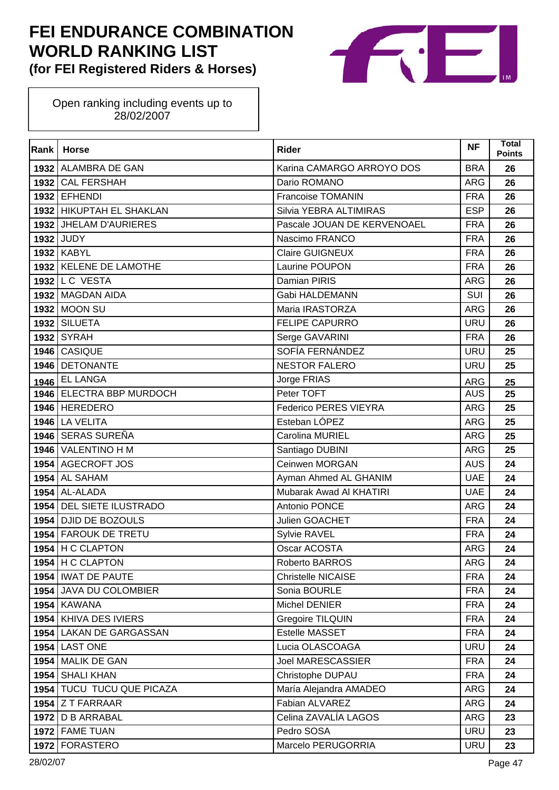

| Rank | <b>Horse</b>              | <b>Rider</b>                 | <b>NF</b>  | Total<br><b>Points</b> |
|------|---------------------------|------------------------------|------------|------------------------|
|      | 1932 ALAMBRA DE GAN       | Karina CAMARGO ARROYO DOS    | <b>BRA</b> | 26                     |
| 1932 | <b>CAL FERSHAH</b>        | Dario ROMANO                 | <b>ARG</b> | 26                     |
|      | 1932 EFHENDI              | <b>Francoise TOMANIN</b>     | <b>FRA</b> | 26                     |
|      | 1932 HIKUPTAH EL SHAKLAN  | Silvia YEBRA ALTIMIRAS       | <b>ESP</b> | 26                     |
|      | 1932 JHELAM D'AURIERES    | Pascale JOUAN DE KERVENOAEL  | <b>FRA</b> | 26                     |
|      | <b>1932 JUDY</b>          | Nascimo FRANCO               | <b>FRA</b> | 26                     |
|      | <b>1932 KABYL</b>         | <b>Claire GUIGNEUX</b>       | <b>FRA</b> | 26                     |
|      | 1932 KELENE DE LAMOTHE    | Laurine POUPON               | <b>FRA</b> | 26                     |
|      | 1932 L C VESTA            | <b>Damian PIRIS</b>          | <b>ARG</b> | 26                     |
|      | 1932 MAGDAN AIDA          | Gabi HALDEMANN               | SUI        | 26                     |
|      | 1932 MOON SU              | Maria IRASTORZA              | <b>ARG</b> | 26                     |
|      | 1932 SILUETA              | <b>FELIPE CAPURRO</b>        | <b>URU</b> | 26                     |
|      | <b>1932 SYRAH</b>         | Serge GAVARINI               | <b>FRA</b> | 26                     |
|      | 1946 CASIQUE              | SOFÍA FERNÁNDEZ              | <b>URU</b> | 25                     |
| 1946 | <b>DETONANTE</b>          | <b>NESTOR FALERO</b>         | <b>URU</b> | 25                     |
|      | 1946 EL LANGA             | Jorge FRIAS                  | <b>ARG</b> | 25                     |
|      | 1946 ELECTRA BBP MURDOCH  | Peter TOFT                   | <b>AUS</b> | 25                     |
|      | 1946 HEREDERO             | <b>Federico PERES VIEYRA</b> | ARG        | 25                     |
|      | <b>1946</b> LA VELITA     | Esteban LÓPEZ                | <b>ARG</b> | 25                     |
|      | 1946 SERAS SUREÑA         | Carolina MURIEL              | <b>ARG</b> | 25                     |
|      | 1946 VALENTINO H M        | Santiago DUBINI              | <b>ARG</b> | 25                     |
|      | 1954 AGECROFT JOS         | Ceinwen MORGAN               | <b>AUS</b> | 24                     |
| 1954 | <b>AL SAHAM</b>           | Ayman Ahmed AL GHANIM        | <b>UAE</b> | 24                     |
|      | $1954$ AL-ALADA           | Mubarak Awad Al KHATIRI      | <b>UAE</b> | 24                     |
|      | 1954 DEL SIETE ILUSTRADO  | Antonio PONCE                | <b>ARG</b> | 24                     |
|      | 1954 DJID DE BOZOULS      | Julien GOACHET               | <b>FRA</b> | 24                     |
|      | 1954 FAROUK DE TRETU      | Sylvie RAVEL                 | <b>FRA</b> | 24                     |
|      | $1954$ H C CLAPTON        | Oscar ACOSTA                 | <b>ARG</b> | 24                     |
|      | $1954$ H C CLAPTON        | Roberto BARROS               | <b>ARG</b> | 24                     |
|      | 1954   IWAT DE PAUTE      | <b>Christelle NICAISE</b>    | <b>FRA</b> | 24                     |
|      | 1954 JAVA DU COLOMBIER    | Sonia BOURLE                 | <b>FRA</b> | 24                     |
|      | <b>1954 KAWANA</b>        | Michel DENIER                | <b>FRA</b> | 24                     |
|      | 1954 KHIVA DES IVIERS     | Gregoire TILQUIN             | <b>FRA</b> | 24                     |
|      | 1954 LAKAN DE GARGASSAN   | Estelle MASSET               | <b>FRA</b> | 24                     |
|      | <b>1954 LAST ONE</b>      | Lucia OLASCOAGA              | URU        | 24                     |
|      | 1954 MALIK DE GAN         | <b>Joel MARESCASSIER</b>     | <b>FRA</b> | 24                     |
|      | 1954 SHALI KHAN           | Christophe DUPAU             | <b>FRA</b> | 24                     |
|      | 1954 TUCU TUCU QUE PICAZA | María Alejandra AMADEO       | ARG        | 24                     |
|      | $1954$ Z T FARRAAR        | Fabian ALVAREZ               | <b>ARG</b> | 24                     |
|      | 1972   D B ARRABAL        | Celina ZAVALÍA LAGOS         | <b>ARG</b> | 23                     |
|      | 1972 FAME TUAN            | Pedro SOSA                   | <b>URU</b> | 23                     |
|      | 1972   FORASTERO          | Marcelo PERUGORRIA           | URU        | 23                     |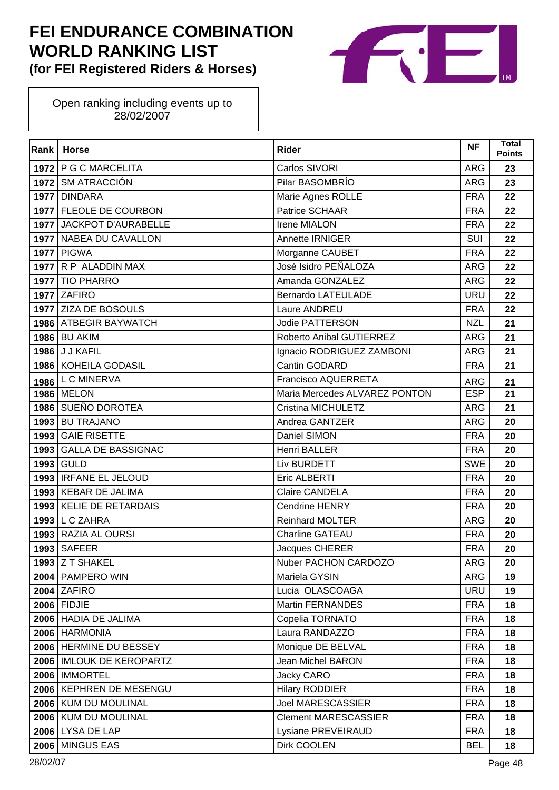

| <b>Rank</b> | <b>Horse</b>               | <b>Rider</b>                  | <b>NF</b>  | <b>Total</b><br><b>Points</b> |
|-------------|----------------------------|-------------------------------|------------|-------------------------------|
|             | 1972   P G C MARCELITA     | Carlos SIVORI                 | <b>ARG</b> | 23                            |
|             | 1972 SM ATRACCIÓN          | Pilar BASOMBRÍO               | ARG        | 23                            |
|             | 1977 DINDARA               | Marie Agnes ROLLE             | <b>FRA</b> | 22                            |
|             | 1977 FLEOLE DE COURBON     | Patrice SCHAAR                | <b>FRA</b> | 22                            |
|             | 1977 JACKPOT D'AURABELLE   | Irene MIALON                  | <b>FRA</b> | 22                            |
|             | 1977   NABEA DU CAVALLON   | Annette IRNIGER               | <b>SUI</b> | 22                            |
|             | <b>1977 PIGWA</b>          | Morganne CAUBET               | <b>FRA</b> | 22                            |
|             | 1977 R P ALADDIN MAX       | José Isidro PEÑALOZA          | <b>ARG</b> | 22                            |
|             | 1977 TIO PHARRO            | Amanda GONZALEZ               | <b>ARG</b> | 22                            |
|             | <b>1977 ZAFIRO</b>         | <b>Bernardo LATEULADE</b>     | <b>URU</b> | 22                            |
|             | 1977 ZIZA DE BOSOULS       | Laure ANDREU                  | <b>FRA</b> | 22                            |
|             | 1986 ATBEGIR BAYWATCH      | <b>Jodie PATTERSON</b>        | <b>NZL</b> | 21                            |
|             | <b>1986 BU AKIM</b>        | Roberto Anibal GUTIERREZ      | <b>ARG</b> | 21                            |
|             | <b>1986 J J KAFIL</b>      | Ignacio RODRIGUEZ ZAMBONI     | ARG        | 21                            |
|             | 1986 KOHEILA GODASIL       | Cantin GODARD                 | <b>FRA</b> | 21                            |
| 1986        | <b>LCMINERVA</b>           | Francisco AQUERRETA           | ARG        | 21                            |
|             | <b>1986 MELON</b>          | Maria Mercedes ALVAREZ PONTON | <b>ESP</b> | 21                            |
|             | 1986 SUEÑO DOROTEA         | Cristina MICHULETZ            | <b>ARG</b> | 21                            |
| 1993        | <b>BU TRAJANO</b>          | Andrea GANTZER                | <b>ARG</b> | 20                            |
| 1993        | <b>GAIE RISETTE</b>        | Daniel SIMON                  | <b>FRA</b> | 20                            |
| 1993        | <b>GALLA DE BASSIGNAC</b>  | <b>Henri BALLER</b>           | <b>FRA</b> | 20                            |
| 1993        | <b>GULD</b>                | Liv BURDETT                   | <b>SWE</b> | 20                            |
|             | 1993   IRFANE EL JELOUD    | Eric ALBERTI                  | <b>FRA</b> | 20                            |
|             | 1993   KEBAR DE JALIMA     | <b>Claire CANDELA</b>         | <b>FRA</b> | 20                            |
|             | 1993   KELIE DE RETARDAIS  | <b>Cendrine HENRY</b>         | <b>FRA</b> | 20                            |
| 1993        | L C ZAHRA                  | <b>Reinhard MOLTER</b>        | <b>ARG</b> | 20                            |
|             | 1993 RAZIA AL OURSI        | Charline GATEAU               | <b>FRA</b> | 20                            |
| 1993        | <b>SAFEER</b>              | Jacques CHERER                | <b>FRA</b> | 20                            |
|             | <b>1993 Z T SHAKEL</b>     | Nuber PACHON CARDOZO          | <b>ARG</b> | 20                            |
|             | 2004   PAMPERO WIN         | Mariela GYSIN                 | ARG        | 19                            |
|             | <b>2004 ZAFIRO</b>         | Lucia OLASCOAGA               | <b>URU</b> | 19                            |
|             | <b>2006 FIDJIE</b>         | <b>Martin FERNANDES</b>       | <b>FRA</b> | 18                            |
|             | 2006 HADIA DE JALIMA       | Copelia TORNATO               | <b>FRA</b> | 18                            |
|             | 2006 HARMONIA              | Laura RANDAZZO                | <b>FRA</b> | 18                            |
|             | 2006 HERMINE DU BESSEY     | Monique DE BELVAL             | <b>FRA</b> | 18                            |
|             | 2006   IMLOUK DE KEROPARTZ | Jean Michel BARON             | <b>FRA</b> | 18                            |
|             | 2006   IMMORTEL            | Jacky CARO                    | <b>FRA</b> | 18                            |
|             | 2006   KEPHREN DE MESENGU  | <b>Hilary RODDIER</b>         | <b>FRA</b> | 18                            |
|             | 2006   KUM DU MOULINAL     | <b>Joel MARESCASSIER</b>      | <b>FRA</b> | 18                            |
|             | 2006   KUM DU MOULINAL     | <b>Clement MARESCASSIER</b>   | <b>FRA</b> | 18                            |
|             | 2006 LYSA DE LAP           | Lysiane PREVEIRAUD            | <b>FRA</b> | 18                            |
| 2006        | <b>MINGUS EAS</b>          | Dirk COOLEN                   | <b>BEL</b> | 18                            |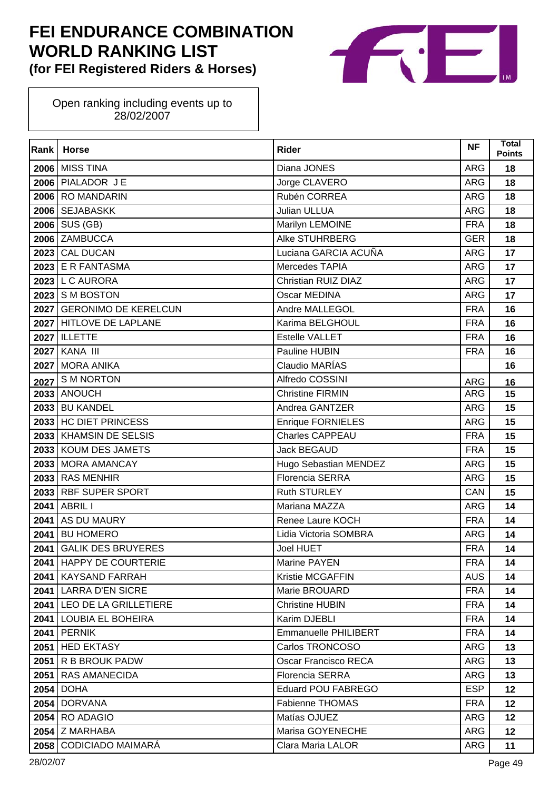

| Rank | <b>Horse</b>               | <b>Rider</b>             | <b>NF</b>  | <b>Total</b><br><b>Points</b> |
|------|----------------------------|--------------------------|------------|-------------------------------|
|      | <b>2006</b> MISS TINA      | Diana JONES              | <b>ARG</b> | 18                            |
|      | 2006 PIALADOR JE           | Jorge CLAVERO            | ARG        | 18                            |
|      | 2006 RO MANDARIN           | Rubén CORREA             | <b>ARG</b> | 18                            |
|      | 2006 SEJABASKK             | Julian ULLUA             | <b>ARG</b> | 18                            |
|      | $2006$ SUS (GB)            | Marilyn LEMOINE          | <b>FRA</b> | 18                            |
|      | 2006 ZAMBUCCA              | Alke STUHRBERG           | <b>GER</b> | 18                            |
|      | 2023 CAL DUCAN             | Luciana GARCIA ACUÑA     | <b>ARG</b> | 17                            |
|      | 2023 E R FANTASMA          | Mercedes TAPIA           | <b>ARG</b> | 17                            |
|      | $2023$ L C AURORA          | Christian RUIZ DIAZ      | <b>ARG</b> | 17                            |
|      | <b>2023 S M BOSTON</b>     | Oscar MEDINA             | <b>ARG</b> | 17                            |
|      | 2027 GERONIMO DE KERELCUN  | Andre MALLEGOL           | <b>FRA</b> | 16                            |
|      | 2027 HITLOVE DE LAPLANE    | Karima BELGHOUL          | <b>FRA</b> | 16                            |
|      | <b>2027 ILLETTE</b>        | <b>Estelle VALLET</b>    | <b>FRA</b> | 16                            |
|      | <b>2027 KANA III</b>       | Pauline HUBIN            | <b>FRA</b> | 16                            |
|      | 2027 MORA ANIKA            | Claudio MARÍAS           |            | 16                            |
|      | 2027 SM NORTON             | Alfredo COSSINI          | <b>ARG</b> | 16                            |
|      | <b>2033 ANOUCH</b>         | <b>Christine FIRMIN</b>  | <b>ARG</b> | 15                            |
|      | <b>2033 BU KANDEL</b>      | Andrea GANTZER           | <b>ARG</b> | 15                            |
|      | 2033 HC DIET PRINCESS      | <b>Enrique FORNIELES</b> | <b>ARG</b> | 15                            |
|      | 2033   KHAMSIN DE SELSIS   | <b>Charles CAPPEAU</b>   | <b>FRA</b> | 15                            |
|      | 2033   KOUM DES JAMETS     | <b>Jack BEGAUD</b>       | <b>FRA</b> | 15                            |
|      | 2033 MORA AMANCAY          | Hugo Sebastian MENDEZ    | <b>ARG</b> | 15                            |
|      | 2033 RAS MENHIR            | <b>Florencia SERRA</b>   | <b>ARG</b> | 15                            |
|      | 2033 RBF SUPER SPORT       | Ruth STURLEY             | CAN        | 15                            |
|      | 2041 ABRIL I               | Mariana MAZZA            | <b>ARG</b> | 14                            |
|      | 2041 AS DU MAURY           | Renee Laure KOCH         | <b>FRA</b> | 14                            |
| 2041 | <b>BU HOMERO</b>           | Lidia Victoria SOMBRA    | <b>ARG</b> | 14                            |
| 2041 | <b>GALIK DES BRUYERES</b>  | <b>Joel HUET</b>         | <b>FRA</b> | 14                            |
|      | 2041   HAPPY DE COURTERIE  | Marine PAYEN             | <b>FRA</b> | 14                            |
| 2041 | <b>KAYSAND FARRAH</b>      | <b>Kristie MCGAFFIN</b>  | <b>AUS</b> | 14                            |
|      | 2041 LARRA D'EN SICRE      | Marie BROUARD            | <b>FRA</b> | 14                            |
|      | 2041 LEO DE LA GRILLETIERE | <b>Christine HUBIN</b>   | <b>FRA</b> | 14                            |
|      | 2041   LOUBIA EL BOHEIRA   | Karim DJEBLI             | <b>FRA</b> | 14                            |
|      | <b>2041   PERNIK</b>       | Emmanuelle PHILIBERT     | <b>FRA</b> | 14                            |
|      | 2051 HED EKTASY            | Carlos TRONCOSO          | ARG        | 13                            |
|      | 2051 R B BROUK PADW        | Oscar Francisco RECA     | ARG        | 13                            |
|      | 2051   RAS AMANECIDA       | <b>Florencia SERRA</b>   | <b>ARG</b> | 13                            |
|      | <b>2054   DOHA</b>         | Eduard POU FABREGO       | <b>ESP</b> | 12                            |
|      | <b>2054   DORVANA</b>      | <b>Fabienne THOMAS</b>   | <b>FRA</b> | $12 \,$                       |
|      | <b>2054 RO ADAGIO</b>      | Matías OJUEZ             | ARG        | $12 \,$                       |
|      | 2054 Z MARHABA             | Marisa GOYENECHE         | ARG        | 12                            |
|      | 2058   CODICIADO MAIMARÁ   | Clara Maria LALOR        | ARG        | 11                            |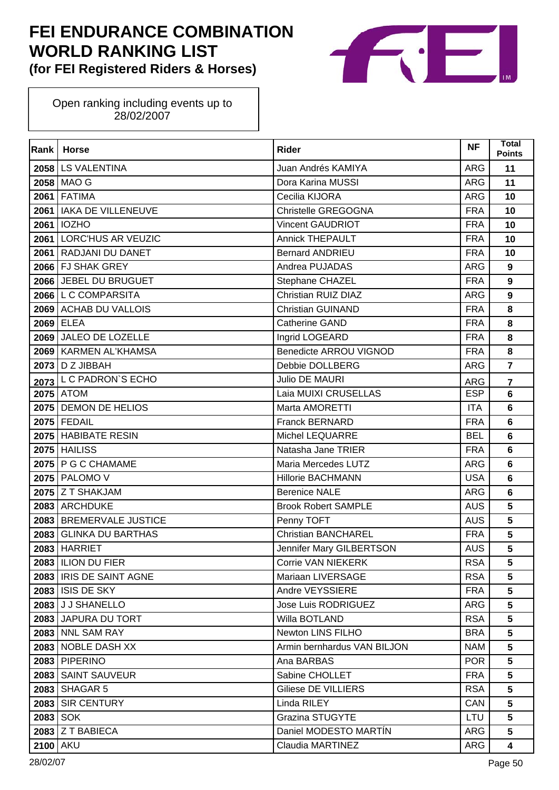

| Rank            | <b>Horse</b>              | <b>Rider</b>                  | <b>NF</b>  | <b>Total</b><br><b>Points</b> |
|-----------------|---------------------------|-------------------------------|------------|-------------------------------|
|                 | 2058 LS VALENTINA         | Juan Andrés KAMIYA            | ARG        | 11                            |
|                 | 2058 MAO G                | Dora Karina MUSSI             | ARG        | 11                            |
|                 | <b>2061 FATIMA</b>        | Cecilia KIJORA                | <b>ARG</b> | 10                            |
|                 | 2061   IAKA DE VILLENEUVE | Christelle GREGOGNA           | <b>FRA</b> | 10                            |
|                 | 2061   IOZHO              | <b>Vincent GAUDRIOT</b>       | <b>FRA</b> | 10                            |
|                 | 2061 LORC'HUS AR VEUZIC   | <b>Annick THEPAULT</b>        | <b>FRA</b> | 10                            |
|                 | 2061   RADJANI DU DANET   | <b>Bernard ANDRIEU</b>        | <b>FRA</b> | 10                            |
|                 | 2066 FJ SHAK GREY         | Andrea PUJADAS                | <b>ARG</b> | $\overline{9}$                |
|                 | 2066 JEBEL DU BRUGUET     | Stephane CHAZEL               | <b>FRA</b> | $\overline{9}$                |
|                 | 2066 L C COMPARSITA       | Christian RUIZ DIAZ           | ARG        | $\boldsymbol{9}$              |
|                 | 2069 ACHAB DU VALLOIS     | <b>Christian GUINAND</b>      | <b>FRA</b> | 8                             |
|                 | 2069 ELEA                 | <b>Catherine GAND</b>         | <b>FRA</b> | 8                             |
|                 | 2069 JALEO DE LOZELLE     | Ingrid LOGEARD                | <b>FRA</b> | 8                             |
|                 | 2069   KARMEN AL'KHAMSA   | <b>Benedicte ARROU VIGNOD</b> | <b>FRA</b> | 8                             |
|                 | 2073   D Z JIBBAH         | Debbie DOLLBERG               | <b>ARG</b> | $\overline{7}$                |
| 2073            | L C PADRON'S ECHO         | <b>Julio DE MAURI</b>         | ARG        | $\overline{7}$                |
|                 | <b>2075</b> ATOM          | Laia MUIXI CRUSELLAS          | <b>ESP</b> | 6                             |
|                 | 2075   DEMON DE HELIOS    | Marta AMORETTI                | <b>ITA</b> | 6                             |
|                 | 2075 FEDAIL               | Franck BERNARD                | <b>FRA</b> | 6                             |
|                 | 2075   HABIBATE RESIN     | <b>Michel LEQUARRE</b>        | <b>BEL</b> | 6                             |
|                 | <b>2075 HAILISS</b>       | Natasha Jane TRIER            | <b>FRA</b> | $6\phantom{a}$                |
|                 | 2075   P G C CHAMAME      | Maria Mercedes LUTZ           | ARG        | 6                             |
|                 | 2075   PALOMO V           | <b>Hillorie BACHMANN</b>      | <b>USA</b> | 6                             |
|                 | 2075 Z T SHAKJAM          | <b>Berenice NALE</b>          | ARG        | 6                             |
|                 | 2083 ARCHDUKE             | <b>Brook Robert SAMPLE</b>    | <b>AUS</b> | 5                             |
|                 | 2083 BREMERVALE JUSTICE   | Penny TOFT                    | <b>AUS</b> | 5                             |
| 2083            | <b>GLINKA DU BARTHAS</b>  | <b>Christian BANCHAREL</b>    | <b>FRA</b> | 5                             |
|                 | 2083 HARRIET              | Jennifer Mary GILBERTSON      | <b>AUS</b> | 5                             |
|                 | 2083   ILION DU FIER      | <b>Corrie VAN NIEKERK</b>     | <b>RSA</b> | 5                             |
|                 | 2083   IRIS DE SAINT AGNE | Mariaan LIVERSAGE             | <b>RSA</b> | 5                             |
|                 | <b>2083 ISIS DE SKY</b>   | Andre VEYSSIERE               | <b>FRA</b> | 5                             |
|                 | 2083 J J SHANELLO         | Jose Luis RODRIGUEZ           | <b>ARG</b> | 5                             |
|                 | 2083 JAPURA DU TORT       | Willa BOTLAND                 | <b>RSA</b> | 5                             |
|                 | 2083 NNL SAM RAY          | Newton LINS FILHO             | <b>BRA</b> | 5                             |
|                 | 2083 NOBLE DASH XX        | Armin bernhardus VAN BILJON   | <b>NAM</b> | 5                             |
|                 | 2083 PIPERINO             | Ana BARBAS                    | <b>POR</b> | 5                             |
|                 | 2083   SAINT SAUVEUR      | Sabine CHOLLET                | <b>FRA</b> | 5                             |
|                 | 2083 SHAGAR 5             | Giliese DE VILLIERS           | <b>RSA</b> | 5                             |
|                 | 2083 SIR CENTURY          | Linda RILEY                   | CAN        | 5                             |
| 2083 SOK        |                           | <b>Grazina STUGYTE</b>        | LTU        | 5                             |
|                 | 2083 Z T BABIECA          | Daniel MODESTO MARTÍN         | ARG        | 5                             |
| <b>2100 AKU</b> |                           | Claudia MARTINEZ              | <b>ARG</b> | $\overline{\mathbf{4}}$       |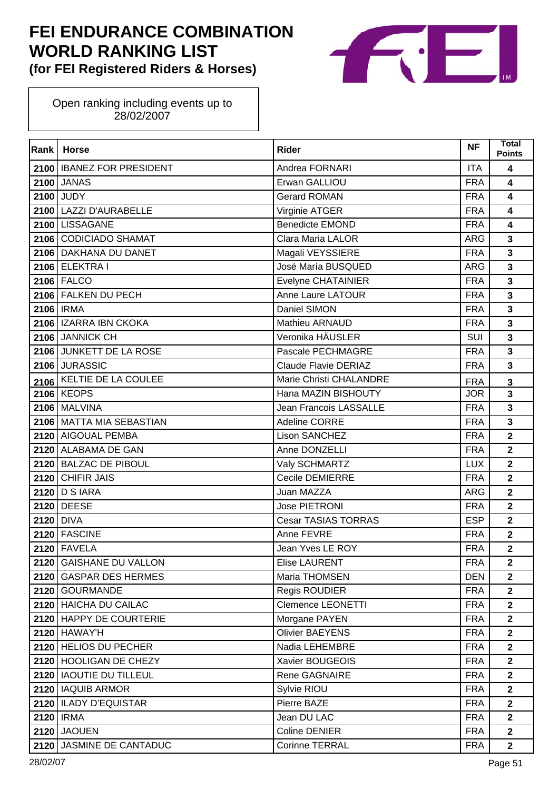

| Rank | <b>Horse</b>                | <b>Rider</b>               | <b>NF</b>  | Total<br><b>Points</b>  |
|------|-----------------------------|----------------------------|------------|-------------------------|
| 2100 | <b>IBANEZ FOR PRESIDENT</b> | Andrea FORNARI             | <b>ITA</b> | 4                       |
| 2100 | <b>JANAS</b>                | Erwan GALLIOU              | <b>FRA</b> | 4                       |
| 2100 | <b>JUDY</b>                 | <b>Gerard ROMAN</b>        | <b>FRA</b> | 4                       |
|      | 2100 LAZZI D'AURABELLE      | Virginie ATGER             | <b>FRA</b> | 4                       |
|      | 2100 LISSAGANE              | <b>Benedicte EMOND</b>     | <b>FRA</b> | 4                       |
|      | 2106 CODICIADO SHAMAT       | Clara Maria LALOR          | <b>ARG</b> | $\overline{\mathbf{3}}$ |
|      | 2106 DAKHANA DU DANET       | Magali VEYSSIERE           | <b>FRA</b> | $\overline{\mathbf{3}}$ |
|      | 2106 ELEKTRA I              | José María BUSQUED         | <b>ARG</b> | $\overline{\mathbf{3}}$ |
|      | 2106 FALCO                  | Evelyne CHATAINIER         | <b>FRA</b> | $\overline{\mathbf{3}}$ |
|      | 2106 FALKEN DU PECH         | Anne Laure LATOUR          | <b>FRA</b> | $\overline{\mathbf{3}}$ |
|      | 2106   IRMA                 | Daniel SIMON               | <b>FRA</b> | 3                       |
|      | 2106   IZARRA IBN CKOKA     | Mathieu ARNAUD             | <b>FRA</b> | $\overline{\mathbf{3}}$ |
|      | 2106 JANNICK CH             | Veronika HÄUSLER           | SUI        | $\overline{\mathbf{3}}$ |
|      | 2106 JUNKETT DE LA ROSE     | Pascale PECHMAGRE          | <b>FRA</b> | $\overline{\mathbf{3}}$ |
|      | 2106 JURASSIC               | Claude Flavie DERIAZ       | <b>FRA</b> | 3                       |
|      | 2106 KELTIE DE LA COULEE    | Marie Christi CHALANDRE    | <b>FRA</b> | $\mathbf{3}$            |
|      | <b>2106 KEOPS</b>           | Hana MAZIN BISHOUTY        | <b>JOR</b> | $\overline{\mathbf{3}}$ |
|      | <b>2106   MALVINA</b>       | Jean Francois LASSALLE     | <b>FRA</b> | $\overline{\mathbf{3}}$ |
|      | 2106   MATTA MIA SEBASTIAN  | Adeline CORRE              | <b>FRA</b> | 3                       |
|      | 2120 AIGOUAL PEMBA          | <b>Lison SANCHEZ</b>       | <b>FRA</b> | $\overline{2}$          |
|      | 2120 ALABAMA DE GAN         | Anne DONZELLI              | <b>FRA</b> | $\overline{\mathbf{2}}$ |
|      | 2120 BALZAC DE PIBOUL       | Valy SCHMARTZ              | <b>LUX</b> | $\overline{\mathbf{2}}$ |
|      | 2120 CHIFIR JAIS            | Cecile DEMIERRE            | <b>FRA</b> | $\overline{\mathbf{2}}$ |
|      | 2120 $D$ S IARA             | Juan MAZZA                 | <b>ARG</b> | $\overline{2}$          |
|      | 2120 DEESE                  | <b>Jose PIETRONI</b>       | <b>FRA</b> | $\overline{\mathbf{2}}$ |
|      | 2120 DIVA                   | <b>Cesar TASIAS TORRAS</b> | <b>ESP</b> | $\overline{2}$          |
|      | 2120 FASCINE                | Anne FEVRE                 | <b>FRA</b> | $\overline{\mathbf{2}}$ |
|      | <b>2120 FAVELA</b>          | Jean Yves LE ROY           | <b>FRA</b> | $\overline{\mathbf{2}}$ |
|      | 2120 GAISHANE DU VALLON     | <b>Elise LAURENT</b>       | <b>FRA</b> | $\mathbf{2}$            |
|      | 2120 GASPAR DES HERMES      | Maria THOMSEN              | <b>DEN</b> | $\overline{2}$          |
|      | 2120 GOURMANDE              | Regis ROUDIER              | <b>FRA</b> | $\mathbf{2}$            |
|      | 2120 HAICHA DU CAILAC       | <b>Clemence LEONETTI</b>   | <b>FRA</b> | $\mathbf{2}$            |
|      | 2120 HAPPY DE COURTERIE     | Morgane PAYEN              | <b>FRA</b> | $\mathbf{2}$            |
|      | <b>2120 HAWAY'H</b>         | <b>Olivier BAEYENS</b>     | <b>FRA</b> | $\overline{2}$          |
|      | 2120 HELIOS DU PECHER       | Nadia LEHEMBRE             | <b>FRA</b> | $\mathbf{2}$            |
|      | 2120 HOOLIGAN DE CHEZY      | Xavier BOUGEOIS            | <b>FRA</b> | $\mathbf{2}$            |
|      | 2120   IAOUTIE DU TILLEUL   | Rene GAGNAIRE              | <b>FRA</b> | $\mathbf{2}$            |
|      | 2120   IAQUIB ARMOR         | Sylvie RIOU                | <b>FRA</b> | $\overline{2}$          |
|      | 2120   ILADY D'EQUISTAR     | Pierre BAZE                | <b>FRA</b> | $\mathbf{2}$            |
|      | 2120   IRMA                 | Jean DU LAC                | <b>FRA</b> | $\mathbf{2}$            |
|      | <b>2120 JAOUEN</b>          | Coline DENIER              | <b>FRA</b> | $\mathbf{2}$            |
|      | 2120 JASMINE DE CANTADUC    | <b>Corinne TERRAL</b>      | <b>FRA</b> | $\mathbf{2}$            |